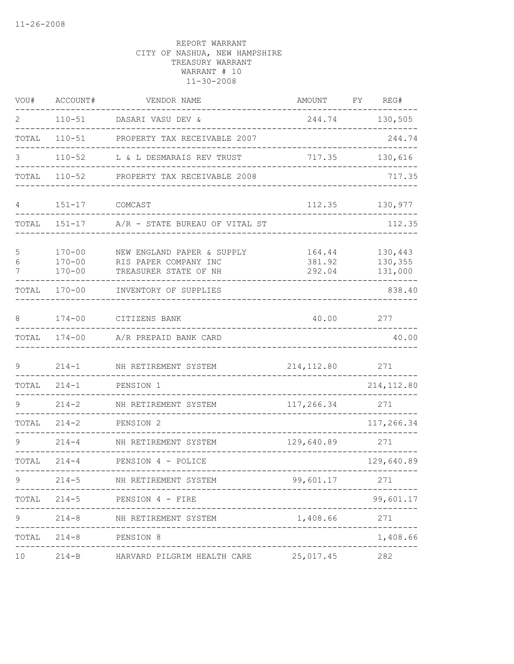| VOU#        | ACCOUNT#                               | VENDOR NAME                                                                  | AMOUNT                     | FY | REG#                          |
|-------------|----------------------------------------|------------------------------------------------------------------------------|----------------------------|----|-------------------------------|
| 2           | $110 - 51$                             | DASARI VASU DEV &                                                            | 244.74                     |    | 130,505                       |
| TOTAL       | $110 - 51$                             | PROPERTY TAX RECEIVABLE 2007                                                 |                            |    | 244.74                        |
| 3           | $110 - 52$                             | L & L DESMARAIS REV TRUST                                                    | 717.35                     |    | 130,616                       |
| TOTAL       | $110 - 52$                             | PROPERTY TAX RECEIVABLE 2008                                                 |                            |    | 717.35                        |
| 4           | $151 - 17$                             | COMCAST                                                                      | 112.35                     |    | 130,977                       |
| TOTAL       | $151 - 17$                             | A/R - STATE BUREAU OF VITAL ST                                               |                            |    | 112.35                        |
| 5<br>6<br>7 | $170 - 00$<br>$170 - 00$<br>$170 - 00$ | NEW ENGLAND PAPER & SUPPLY<br>RIS PAPER COMPANY INC<br>TREASURER STATE OF NH | 164.44<br>381.92<br>292.04 |    | 130,443<br>130,355<br>131,000 |
| TOTAL       | $170 - 00$                             | INVENTORY OF SUPPLIES                                                        |                            |    | 838.40                        |
| 8           | $174 - 00$                             | CITIZENS BANK                                                                | 40.00                      |    | 277                           |
| TOTAL       | $174 - 00$                             | A/R PREPAID BANK CARD                                                        |                            |    | 40.00                         |
| 9           | $214 - 1$                              | NH RETIREMENT SYSTEM                                                         | 214, 112.80                |    | 271                           |
| TOTAL       | $214 - 1$                              | PENSION 1                                                                    |                            |    | 214, 112.80                   |
|             | $214 - 2$                              | NH RETIREMENT SYSTEM                                                         | 117,266.34                 |    | 271                           |
| TOTAL       | $214 - 2$                              | PENSION 2                                                                    |                            |    | 117,266.34                    |
| 9           | $214 - 4$                              | NH RETIREMENT SYSTEM                                                         | 129,640.89                 |    | 271                           |
| TOTAL       | $214 - 4$                              | PENSION 4 - POLICE                                                           |                            |    | 129,640.89                    |
| 9           | $214 - 5$                              | NH RETIREMENT SYSTEM                                                         | 99,601.17                  |    | 271                           |
| TOTAL       |                                        | $214-5$ PENSION 4 - FIRE                                                     |                            |    | 99,601.17                     |
| 9           | $214 - 8$                              | NH RETIREMENT SYSTEM                                                         | 1,408.66                   |    | 271                           |
| TOTAL       | $214 - 8$                              | PENSION 8                                                                    |                            |    | 1,408.66                      |
| 10          |                                        | 214-B HARVARD PILGRIM HEALTH CARE 25,017.45                                  |                            |    | 282                           |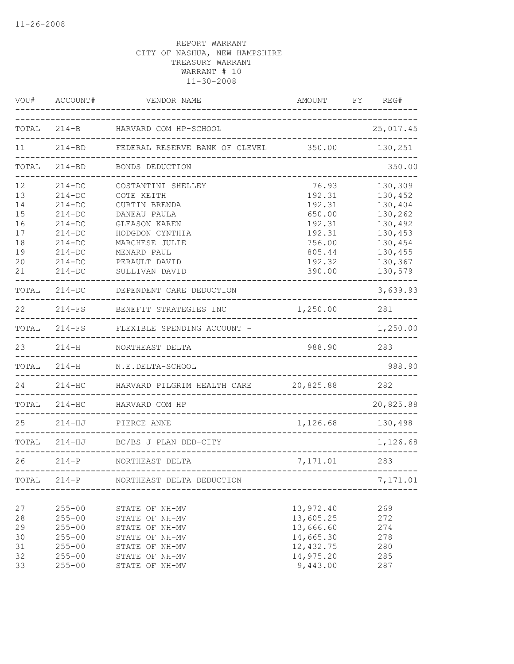| VOU#                                                     | ACCOUNT#                                                                                                                         | VENDOR NAME                                                                                                                                                                      | AMOUNT                                                                                          | FY | REG#                                                                                                       |
|----------------------------------------------------------|----------------------------------------------------------------------------------------------------------------------------------|----------------------------------------------------------------------------------------------------------------------------------------------------------------------------------|-------------------------------------------------------------------------------------------------|----|------------------------------------------------------------------------------------------------------------|
| TOTAL                                                    |                                                                                                                                  | 214-B HARVARD COM HP-SCHOOL                                                                                                                                                      | _____________________________                                                                   |    | 25,017.45                                                                                                  |
| 11                                                       |                                                                                                                                  | 214-BD FEDERAL RESERVE BANK OF CLEVEL 350.00<br>_____________________                                                                                                            |                                                                                                 |    | 130,251                                                                                                    |
| TOTAL                                                    | $214 - BD$                                                                                                                       | BONDS DEDUCTION                                                                                                                                                                  |                                                                                                 |    | 350.00                                                                                                     |
| 12<br>13<br>14<br>15<br>16<br>17<br>18<br>19<br>20<br>21 | $214 - DC$<br>$214 - DC$<br>$214 - DC$<br>$214 - DC$<br>$214-DC$<br>$214-DC$<br>$214-DC$<br>$214-DC$<br>$214 - DC$<br>$214 - DC$ | COSTANTINI SHELLEY<br>COTE KEITH<br>CURTIN BRENDA<br>DANEAU PAULA<br><b>GLEASON KAREN</b><br>HODGDON CYNTHIA<br>MARCHESE JULIE<br>MENARD PAUL<br>PERAULT DAVID<br>SULLIVAN DAVID | 76.93<br>192.31<br>192.31<br>650.00<br>192.31<br>192.31<br>756.00<br>805.44<br>192.32<br>390.00 |    | 130,309<br>130,452<br>130,404<br>130,262<br>130,492<br>130,453<br>130,454<br>130,455<br>130,367<br>130,579 |
| TOTAL                                                    | $214 - DC$                                                                                                                       | DEPENDENT CARE DEDUCTION                                                                                                                                                         |                                                                                                 |    | 3,639.93                                                                                                   |
| 22                                                       |                                                                                                                                  | 214-FS BENEFIT STRATEGIES INC                                                                                                                                                    | 1,250.00                                                                                        |    | 281                                                                                                        |
| TOTAL                                                    |                                                                                                                                  | 214-FS FLEXIBLE SPENDING ACCOUNT -                                                                                                                                               |                                                                                                 |    | 1,250.00                                                                                                   |
| 23                                                       | $214 - H$                                                                                                                        | NORTHEAST DELTA                                                                                                                                                                  | 988.90                                                                                          |    | 283                                                                                                        |
| TOTAL                                                    | $214 - H$                                                                                                                        | N.E.DELTA-SCHOOL                                                                                                                                                                 |                                                                                                 |    | 988.90                                                                                                     |
| 24                                                       | $214 - HC$                                                                                                                       | HARVARD PILGRIM HEALTH CARE<br>-------------------                                                                                                                               | 20,825.88                                                                                       |    | 282                                                                                                        |
| TOTAL                                                    | $214 - HC$                                                                                                                       | HARVARD COM HP                                                                                                                                                                   |                                                                                                 |    | 20,825.88                                                                                                  |
| 25                                                       | 214-HJ                                                                                                                           | PIERCE ANNE<br>----------------------------------                                                                                                                                | 1, 126.68 130, 498                                                                              |    |                                                                                                            |
|                                                          | TOTAL 214-HJ                                                                                                                     | BC/BS J PLAN DED-CITY                                                                                                                                                            | _______________________________                                                                 |    | 1,126.68                                                                                                   |
| 26                                                       | $214-P$                                                                                                                          | NORTHEAST DELTA                                                                                                                                                                  | 7,171.01 283                                                                                    |    |                                                                                                            |
| TOTAL                                                    |                                                                                                                                  | 214-P NORTHEAST DELTA DEDUCTION                                                                                                                                                  |                                                                                                 |    | 7,171.01                                                                                                   |
| 27<br>28<br>29<br>30<br>31<br>32<br>33                   | $255 - 00$<br>$255 - 00$<br>$255 - 00$<br>$255 - 00$<br>$255 - 00$<br>$255 - 00$<br>$255 - 00$                                   | STATE OF NH-MV<br>STATE OF NH-MV<br>STATE OF NH-MV<br>STATE OF NH-MV<br>STATE OF NH-MV<br>STATE OF NH-MV<br>STATE OF NH-MV                                                       | 13,972.40<br>13,605.25<br>13,666.60<br>14,665.30<br>12, 432.75<br>14,975.20<br>9,443.00         |    | 269<br>272<br>274<br>278<br>280<br>285<br>287                                                              |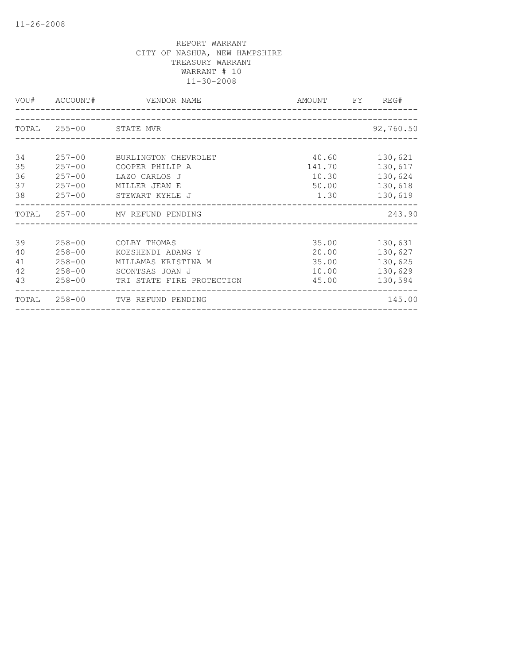|    |                        | VOU# ACCOUNT# VENDOR NAME       | AMOUNT FY REG# |           |
|----|------------------------|---------------------------------|----------------|-----------|
|    |                        |                                 |                |           |
|    | TOTAL 255-00 STATE MVR |                                 |                | 92,760.50 |
|    |                        |                                 |                |           |
| 34 | $257 - 00$             | BURLINGTON CHEVROLET            | 40.60          | 130,621   |
| 35 | $257 - 00$             | COOPER PHILIP A                 | 141.70         | 130,617   |
| 36 | $257 - 00$             | LAZO CARLOS J                   | 10.30          | 130,624   |
| 37 | $257 - 00$             | MILLER JEAN E                   | 50.00          | 130,618   |
| 38 |                        | 257-00 STEWART KYHLE J          | 1.30           | 130,619   |
|    |                        | TOTAL 257-00 MV REFUND PENDING  |                | 243.90    |
|    |                        |                                 |                |           |
| 39 | $258 - 00$             | COLBY THOMAS                    | 35.00          | 130,631   |
| 40 | $258 - 00$             | KOESHENDI ADANG Y               | 20.00          | 130,627   |
| 41 | $258 - 00$             | MILLAMAS KRISTINA M             | 35.00          | 130,625   |
| 42 | $258 - 00$             | SCONTSAS JOAN J                 | 10.00          | 130,629   |
| 43 | $258 - 00$             | TRI STATE FIRE PROTECTION       | 45.00          | 130,594   |
|    |                        | TOTAL 258-00 TVB REFUND PENDING |                | 145.00    |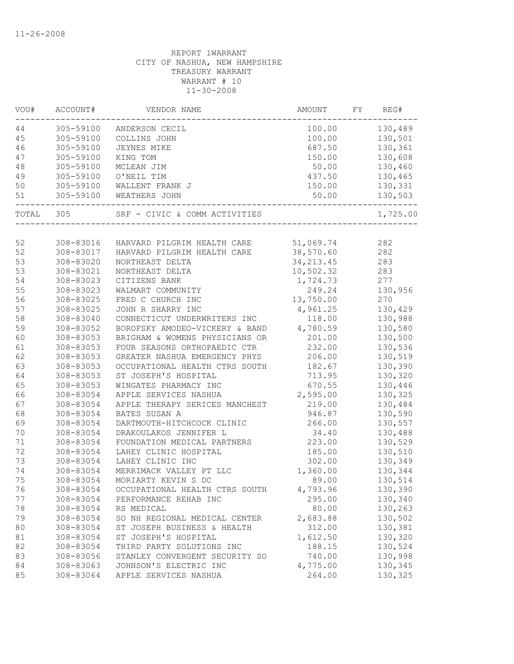| VOU# | ACCOUNT#  | VENDOR NAME                             | AMOUNT     | FY | REG#     |
|------|-----------|-----------------------------------------|------------|----|----------|
| 44   | 305-59100 | ANDERSON CECIL                          | 100.00     |    | 130,489  |
| 45   | 305-59100 | COLLINS JOHN                            | 100.00     |    | 130,501  |
| 46   | 305-59100 | <b>JEYNES MIKE</b>                      | 687.50     |    | 130,361  |
| 47   | 305-59100 | KING TOM                                | 150.00     |    | 130,608  |
| 48   | 305-59100 | MCLEAN JIM                              | 50.00      |    | 130,460  |
| 49   | 305-59100 | O'NEIL TIM                              | 437.50     |    | 130,465  |
| 50   | 305-59100 | WALLENT FRANK J                         | 150.00     |    | 130,331  |
| 51   | 305-59100 | WEATHERS JOHN                           | 50.00      |    | 130,503  |
|      | TOTAL 305 | SRF - CIVIC & COMM ACTIVITIES           |            |    | 1,725.00 |
|      |           |                                         |            |    |          |
| 52   | 308-83016 | HARVARD PILGRIM HEALTH CARE             | 51,069.74  |    | 282      |
| 52   | 308-83017 | HARVARD PILGRIM HEALTH CARE             | 38,570.60  |    | 282      |
| 53   | 308-83020 | NORTHEAST DELTA                         | 34, 213.45 |    | 283      |
| 53   | 308-83021 | NORTHEAST DELTA                         | 10,502.32  |    | 283      |
| 54   | 308-83023 | CITIZENS BANK                           | 1,724.73   |    | 277      |
| 55   | 308-83023 | WALMART COMMUNITY                       | 249.24     |    | 130,956  |
| 56   | 308-83025 | FRED C CHURCH INC                       | 13,750.00  |    | 270      |
| 57   | 308-83025 | JOHN R SHARRY INC                       | 4,961.25   |    | 130,429  |
| 58   | 308-83040 | CONNECTICUT UNDERWRITERS INC            | 118.00     |    | 130,988  |
| 59   | 308-83052 | BOROFSKY AMODEO-VICKERY & BAND 4,780.59 |            |    | 130,580  |
| 60   | 308-83053 | BRIGHAM & WOMENS PHYSICIANS OR          | 201.00     |    | 130,500  |
| 61   | 308-83053 | FOUR SEASONS ORTHOPAEDIC CTR            | 232.00     |    | 130,536  |
| 62   | 308-83053 | GREATER NASHUA EMERGENCY PHYS           | 206.00     |    | 130,519  |
| 63   | 308-83053 | OCCUPATIONAL HEALTH CTRS SOUTH          | 182.67     |    | 130,390  |
| 64   | 308-83053 | ST JOSEPH'S HOSPITAL                    | 713.95     |    | 130,320  |
| 65   | 308-83053 | WINGATES PHARMACY INC                   | 670.55     |    | 130,446  |
| 66   | 308-83054 | APPLE SERVICES NASHUA                   | 2,595.00   |    | 130,325  |
| 67   | 308-83054 | APPLE THERAPY SERICES MANCHEST          | 219.00     |    | 130,484  |
| 68   | 308-83054 | BATES SUSAN A                           | 946.87     |    | 130,590  |
| 69   | 308-83054 | DARTMOUTH-HITCHCOCK CLINIC              | 266.00     |    | 130,557  |
| 70   | 308-83054 | DRAKOULAKOS JENNIFER L                  | 34.40      |    | 130,488  |
| 71   | 308-83054 | FOUNDATION MEDICAL PARTNERS             | 223.00     |    | 130,529  |
| 72   | 308-83054 | LAHEY CLINIC HOSPITAL                   | 185.00     |    | 130,510  |
| 73   | 308-83054 | LAHEY CLINIC INC                        | 302.00     |    | 130,349  |
| 74   | 308-83054 | MERRIMACK VALLEY PT LLC                 | 1,360.00   |    | 130,344  |
| 75   | 308-83054 | MORIARTY KEVIN S DC                     | 89.00      |    | 130,514  |
| 76   | 308-83054 | OCCUPATIONAL HEALTH CTRS SOUTH          | 4,793.96   |    | 130,390  |
| 77   | 308-83054 | PERFORMANCE REHAB INC                   | 295.00     |    | 130,340  |
| 78   | 308-83054 | RS MEDICAL                              | 80.00      |    | 130,263  |
| 79   | 308-83054 | SO NH REGIONAL MEDICAL CENTER           | 2,683.88   |    | 130,502  |
|      |           |                                         | 312.00     |    | 130,381  |
| 80   | 308-83054 | ST JOSEPH BUSINESS & HEALTH             |            |    |          |
| 81   | 308-83054 | ST JOSEPH'S HOSPITAL                    | 1,612.50   |    | 130,320  |
| 82   | 308-83054 | THIRD PARTY SOLUTIONS INC               | 188.15     |    | 130,524  |
| 83   | 308-83056 | STANLEY CONVERGENT SECURITY SO          | 740.00     |    | 130,998  |
| 84   | 308-83063 | JOHNSON'S ELECTRIC INC                  | 4,775.00   |    | 130,345  |
| 85   | 308-83064 | APPLE SERVICES NASHUA                   | 264.00     |    | 130,325  |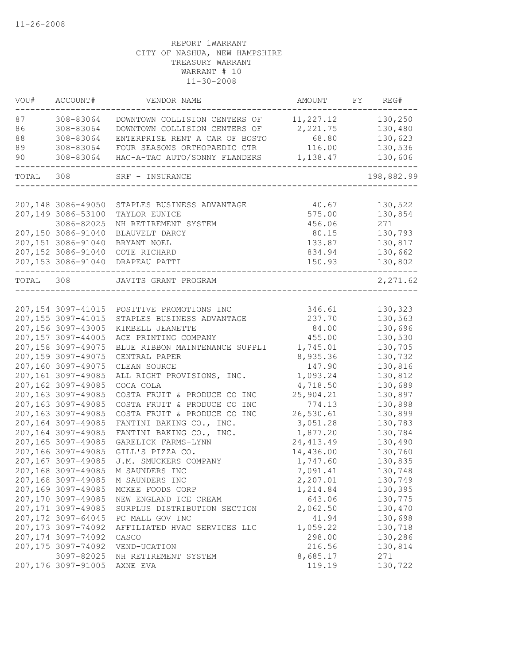| VOU#      | ACCOUNT#                                 | VENDOR NAME                       | AMOUNT           | FY | REG#               |
|-----------|------------------------------------------|-----------------------------------|------------------|----|--------------------|
| 87        | 308-83064                                | DOWNTOWN COLLISION CENTERS OF     | 11,227.12        |    | 130,250            |
| 86        | 308-83064                                | DOWNTOWN COLLISION CENTERS OF     | 2,221.75         |    | 130,480            |
| 88        | 308-83064                                | ENTERPRISE RENT A CAR OF BOSTO    | 68.80            |    | 130,623            |
| 89        | 308-83064                                | FOUR SEASONS ORTHOPAEDIC CTR      | 116.00           |    | 130,536            |
| 90        | 308-83064                                | HAC-A-TAC AUTO/SONNY FLANDERS     | 1,138.47         |    | 130,606            |
| TOTAL     | 308                                      | SRF - INSURANCE                   |                  |    | 198,882.99         |
|           |                                          |                                   |                  |    |                    |
|           | 207,148 3086-49050                       | STAPLES BUSINESS ADVANTAGE        | 40.67            |    | 130,522            |
|           | 207,149 3086-53100                       | TAYLOR EUNICE                     | 575.00           |    | 130,854            |
|           | 3086-82025                               | NH RETIREMENT SYSTEM              | 456.06           |    | 271                |
|           | 207,150 3086-91040                       | BLAUVELT DARCY                    | 80.15            |    | 130,793            |
|           | 207,151 3086-91040                       | BRYANT NOEL                       | 133.87           |    | 130,817            |
|           | 207,152 3086-91040<br>207,153 3086-91040 | COTE RICHARD<br>DRAPEAU PATTI     | 834.94<br>150.93 |    | 130,662<br>130,802 |
| TOTAL 308 |                                          | JAVITS GRANT PROGRAM              |                  |    |                    |
|           |                                          |                                   |                  |    | 2,271.62           |
|           | 207, 154 3097-41015                      | POSITIVE PROMOTIONS INC           | 346.61           |    | 130,323            |
|           | 207, 155 3097-41015                      | STAPLES BUSINESS ADVANTAGE        | 237.70           |    | 130,563            |
|           | 207,156 3097-43005                       | KIMBELL JEANETTE                  | 84.00            |    | 130,696            |
|           | 207,157 3097-44005                       | ACE PRINTING COMPANY              | 455.00           |    | 130,530            |
|           | 207,158 3097-49075                       | BLUE RIBBON MAINTENANCE SUPPLI    | 1,745.01         |    | 130,705            |
|           | 207, 159 3097-49075                      | CENTRAL PAPER                     | 8,935.36         |    | 130,732            |
|           | 207,160 3097-49075                       | CLEAN SOURCE                      | 147.90           |    | 130,816            |
|           | 207,161 3097-49085                       | ALL RIGHT PROVISIONS, INC.        | 1,093.24         |    | 130,812            |
|           | 207,162 3097-49085                       | COCA COLA                         | 4,718.50         |    | 130,689            |
|           | 207,163 3097-49085                       | COSTA FRUIT & PRODUCE CO INC      | 25,904.21        |    | 130,897            |
|           | 207,163 3097-49085                       | COSTA FRUIT & PRODUCE CO INC      | 774.13           |    | 130,898            |
|           | 207,163 3097-49085                       | COSTA FRUIT & PRODUCE CO INC      | 26,530.61        |    | 130,899            |
|           | 207,164 3097-49085                       | FANTINI BAKING CO., INC.          | 3,051.28         |    | 130,783            |
|           | 207,164 3097-49085                       | FANTINI BAKING CO., INC.          | 1,877.20         |    | 130,784            |
|           | 207,165 3097-49085                       | GARELICK FARMS-LYNN               | 24, 413.49       |    | 130,490            |
|           | 207,166 3097-49085                       | GILL'S PIZZA CO.                  | 14,436.00        |    | 130,760            |
|           | 207,167 3097-49085                       | J.M. SMUCKERS COMPANY             | 1,747.60         |    | 130,835            |
|           | 207,168 3097-49085                       | M SAUNDERS INC                    | 7,091.41         |    | 130,748            |
|           |                                          | 207,168 3097-49085 M SAUNDERS INC | 2,207.01         |    | 130,749            |
|           | 207,169 3097-49085                       | MCKEE FOODS CORP                  | 1,214.84         |    | 130,395            |
|           | 207,170 3097-49085                       | NEW ENGLAND ICE CREAM             | 643.06           |    | 130,775            |
|           | 207, 171 3097-49085                      | SURPLUS DISTRIBUTION SECTION      | 2,062.50         |    | 130,470            |
|           | 207, 172 3097-64045                      | PC MALL GOV INC                   | 41.94            |    | 130,698            |
|           | 207, 173 3097-74092                      | AFFILIATED HVAC SERVICES LLC      | 1,059.22         |    | 130,718            |
|           | 207, 174 3097-74092                      | CASCO                             | 298.00           |    | 130,286            |
|           | 207, 175 3097-74092                      | VEND-UCATION                      | 216.56           |    | 130,814            |
|           | 3097-82025                               | NH RETIREMENT SYSTEM              | 8,685.17         |    | 271                |
|           | 207,176 3097-91005                       | AXNE EVA                          | 119.19           |    | 130,722            |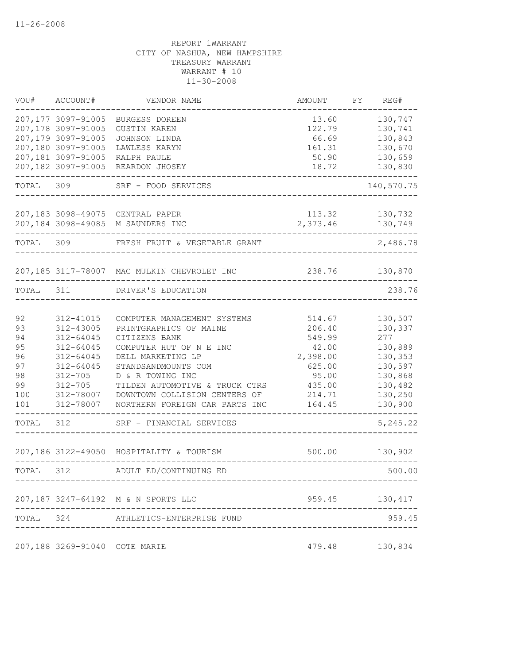| VOU#      | ACCOUNT#                      | VENDOR NAME                                 | AMOUNT   | FY | REG#           |
|-----------|-------------------------------|---------------------------------------------|----------|----|----------------|
|           | 207,177 3097-91005            | BURGESS DOREEN                              | 13.60    |    | 130,747        |
|           | 207,178 3097-91005            | <b>GUSTIN KAREN</b>                         | 122.79   |    | 130,741        |
|           | 207,179 3097-91005            | JOHNSON LINDA                               | 66.69    |    | 130,843        |
|           | 207,180 3097-91005            | LAWLESS KARYN                               | 161.31   |    | 130,670        |
|           | 207,181 3097-91005            | RALPH PAULE                                 | 50.90    |    | 130,659        |
|           | 207,182 3097-91005            | REARDON JHOSEY                              | 18.72    |    | 130,830        |
| TOTAL     | 309                           | SRF - FOOD SERVICES                         |          |    | 140,570.75     |
|           |                               | 207,183 3098-49075 CENTRAL PAPER            | 113.32   |    | 130,732        |
|           |                               | 207,184 3098-49085 M SAUNDERS INC           | 2,373.46 |    | 130,749        |
| TOTAL     | 309                           | FRESH FRUIT & VEGETABLE GRANT               |          |    | 2,486.78       |
|           |                               | 207,185 3117-78007 MAC MULKIN CHEVROLET INC | 238.76   |    | 130,870        |
| TOTAL 311 |                               | DRIVER'S EDUCATION                          |          |    | 238.76         |
|           |                               |                                             |          |    |                |
| 92        | 312-41015                     | COMPUTER MANAGEMENT SYSTEMS                 | 514.67   |    | 130,507        |
| 93        | 312-43005                     | PRINTGRAPHICS OF MAINE                      | 206.40   |    | 130,337        |
| 94        | 312-64045                     | CITIZENS BANK                               | 549.99   |    | 277            |
| 95        | 312-64045                     | COMPUTER HUT OF N E INC                     | 42.00    |    | 130,889        |
| 96        | 312-64045                     | DELL MARKETING LP                           | 2,398.00 |    | 130,353        |
| 97        | 312-64045                     | STANDSANDMOUNTS COM                         | 625.00   |    | 130,597        |
| 98        | $312 - 705$                   | D & R TOWING INC                            | 95.00    |    | 130,868        |
| 99        | $312 - 705$                   | TILDEN AUTOMOTIVE & TRUCK CTRS              | 435.00   |    | 130,482        |
| 100       | 312-78007                     | DOWNTOWN COLLISION CENTERS OF               | 214.71   |    | 130,250        |
| 101       | 312-78007                     | NORTHERN FOREIGN CAR PARTS INC              | 164.45   |    | 130,900        |
| TOTAL     | 312                           | SRF - FINANCIAL SERVICES                    |          |    | 5,245.22       |
|           |                               | 207,186 3122-49050 HOSPITALITY & TOURISM    | 500.00   |    | 130,902        |
| TOTAL 312 |                               | ADULT ED/CONTINUING ED                      |          |    | 500.00         |
|           |                               | 207,187 3247-64192 M & N SPORTS LLC         |          |    | 959.45 130,417 |
|           |                               |                                             |          |    |                |
| TOTAL 324 |                               | ATHLETICS-ENTERPRISE FUND                   |          |    | 959.45         |
|           | 207,188 3269-91040 COTE MARIE |                                             | 479.48   |    | 130,834        |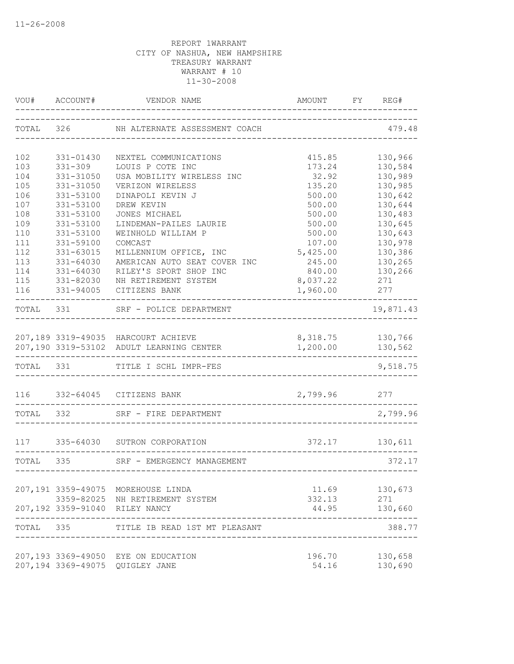| VOU#       | ACCOUNT#               | VENDOR NAME                                                                     | AMOUNT               | REG#<br>FY         |
|------------|------------------------|---------------------------------------------------------------------------------|----------------------|--------------------|
|            |                        | TOTAL 326 NH ALTERNATE ASSESSMENT COACH                                         |                      | 479.48             |
| 102        | 331-01430              | NEXTEL COMMUNICATIONS                                                           | 415.85               | 130,966            |
| 103        | $331 - 309$            | LOUIS P COTE INC                                                                | 173.24               | 130,584            |
| 104        | 331-31050              | USA MOBILITY WIRELESS INC                                                       | 32.92                | 130,989            |
| 105        | 331-31050              | VERIZON WIRELESS                                                                | 135.20               | 130,985            |
| 106        | 331-53100              | DINAPOLI KEVIN J                                                                | 500.00               | 130,642            |
| 107        | 331-53100              | DREW KEVIN                                                                      | 500.00               | 130,644            |
| 108        | 331-53100              | JONES MICHAEL                                                                   | 500.00               | 130,483            |
| 109        | 331-53100              | LINDEMAN-PAILES LAURIE                                                          | 500.00               | 130,645            |
| 110        | 331-53100              | WEINHOLD WILLIAM P                                                              | 500.00               | 130,643            |
| 111<br>112 | 331-59100              | COMCAST                                                                         | 107.00               | 130,978            |
| 113        | 331-63015<br>331-64030 | MILLENNIUM OFFICE, INC<br>AMERICAN AUTO SEAT COVER INC                          | 5,425.00<br>245.00   | 130,386<br>130,265 |
| 114        | 331-64030              | RILEY'S SPORT SHOP INC                                                          | 840.00               | 130,266            |
| 115        | 331-82030              | NH RETIREMENT SYSTEM                                                            | 8,037.22             | 271                |
| 116        | 331-94005              | CITIZENS BANK                                                                   | 1,960.00             | 277                |
| TOTAL 331  |                        | SRF - POLICE DEPARTMENT                                                         |                      | 19,871.43          |
|            |                        |                                                                                 |                      |                    |
|            |                        | 207,189 3319-49035 HARCOURT ACHIEVE<br>207,190 3319-53102 ADULT LEARNING CENTER | 8,318.75<br>1,200.00 | 130,766<br>130,562 |
| TOTAL 331  |                        | TITLE I SCHL IMPR-FES                                                           |                      | 9,518.75           |
|            |                        | 116 332-64045 CITIZENS BANK                                                     | 2,799.96 277         |                    |
| TOTAL 332  |                        | SRF - FIRE DEPARTMENT                                                           |                      | 2,799.96           |
| 117        |                        | 335-64030 SUTRON CORPORATION                                                    | 372.17               | 130,611            |
| TOTAL 335  |                        | SRF - EMERGENCY MANAGEMENT                                                      |                      | 372.17             |
|            |                        |                                                                                 |                      |                    |
|            |                        | 207,191 3359-49075 MOREHOUSE LINDA                                              | 11.69                | 130,673            |
|            |                        | 3359-82025 NH RETIREMENT SYSTEM                                                 | 332.13               | 271                |
|            |                        | 207,192 3359-91040 RILEY NANCY                                                  | 44.95                | 130,660            |
| TOTAL 335  |                        | TITLE IB READ 1ST MT PLEASANT                                                   |                      | 388.77             |
|            |                        | 207,193 3369-49050 EYE ON EDUCATION                                             | 196.70               | 130,658            |
|            |                        | 207,194 3369-49075 QUIGLEY JANE                                                 | 54.16                | 130,690            |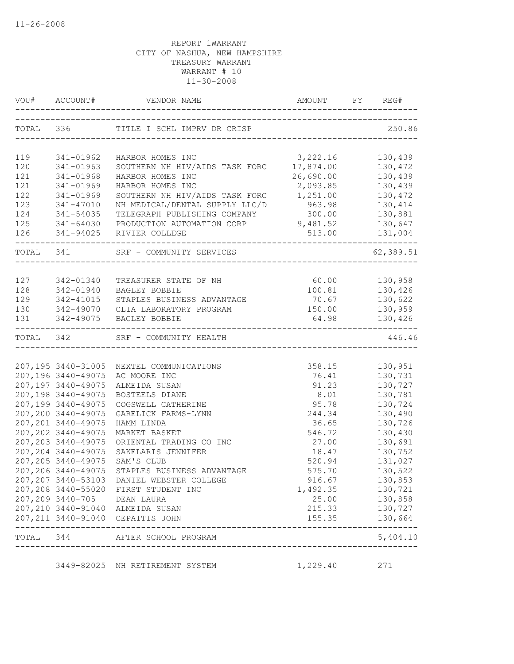| VOU#      | ACCOUNT#                                 | VENDOR NAME                                                                   | AMOUNT        | FY REG#              |
|-----------|------------------------------------------|-------------------------------------------------------------------------------|---------------|----------------------|
|           |                                          | TOTAL 336 TITLE I SCHL IMPRV DR CRISP<br>------------------------------------ |               | 250.86               |
| 119       | 341-01962                                | HARBOR HOMES INC                                                              | 3,222.16      | 130,439              |
| 120       | 341-01963                                | SOUTHERN NH HIV/AIDS TASK FORC                                                | 17,874.00     | 130,472              |
| 121       | 341-01968                                | HARBOR HOMES INC                                                              | 26,690.00     | 130,439              |
| 121       | 341-01969                                | HARBOR HOMES INC                                                              | 2,093.85      | 130,439              |
| 122       | 341-01969                                | SOUTHERN NH HIV/AIDS TASK FORC                                                | 1,251.00      | 130,472              |
| 123       | 341-47010                                | NH MEDICAL/DENTAL SUPPLY LLC/D                                                | 963.98        | 130,414              |
| 124       | 341-54035                                | TELEGRAPH PUBLISHING COMPANY                                                  | 300.00        | 130,881              |
| 125       | 341-64030                                | PRODUCTION AUTOMATION CORP                                                    | 9,481.52      | 130,647              |
| 126       | 341-94025                                | RIVIER COLLEGE                                                                | 513.00        | 131,004              |
| TOTAL 341 |                                          | SRF - COMMUNITY SERVICES                                                      |               | 62,389.51            |
|           |                                          |                                                                               |               |                      |
| 127       | 342-01340                                | TREASURER STATE OF NH                                                         | 60.00         | 130,958              |
| 128       | 342-01940                                | BAGLEY BOBBIE                                                                 | 100.81        | 130,426              |
| 129       | 342-41015                                | STAPLES BUSINESS ADVANTAGE                                                    | 70.67         | 130,622              |
| 130       |                                          | 342-49070 CLIA LABORATORY PROGRAM                                             | 150.00        | 130,959              |
| 131       | -----------------------                  | 342-49075 BAGLEY BOBBIE                                                       | 64.98         | 130,426              |
|           |                                          | TOTAL 342 SRF - COMMUNITY HEALTH                                              |               | 446.46               |
|           |                                          |                                                                               |               |                      |
|           |                                          | 207,195 3440-31005 NEXTEL COMMUNICATIONS                                      | 358.15        | 130,951              |
|           | 207,196 3440-49075                       | AC MOORE INC                                                                  | 76.41         | 130,731              |
|           | 207,197 3440-49075<br>207,198 3440-49075 | ALMEIDA SUSAN                                                                 | 91.23<br>8.01 | 130,727<br>130,781   |
|           | 207,199 3440-49075                       | BOSTEELS DIANE<br>COGSWELL CATHERINE                                          | 95.78         | 130,724              |
|           | 207,200 3440-49075                       | GARELICK FARMS-LYNN                                                           | 244.34        | 130,490              |
|           | 207, 201 3440-49075                      | HAMM LINDA                                                                    | 36.65         | 130,726              |
|           | 207, 202 3440-49075                      | MARKET BASKET                                                                 | 546.72        | 130,430              |
|           | 207, 203 3440-49075                      | ORIENTAL TRADING CO INC                                                       | 27.00         | 130,691              |
|           | 207, 204 3440-49075                      | SAKELARIS JENNIFER                                                            | 18.47         | 130,752              |
|           | 207, 205 3440-49075                      | SAM'S CLUB                                                                    | 520.94        | 131,027              |
|           |                                          | 207,206 3440-49075 STAPLES BUSINESS ADVANTAGE                                 | 575.70        | 130,522              |
|           |                                          | 207, 207 3440-53103 DANIEL WEBSTER COLLEGE                                    | 916.67        | 130,853              |
|           |                                          | 207,208 3440-55020 FIRST STUDENT INC                                          | 1,492.35      | 130,721              |
|           | 207,209 3440-705 DEAN LAURA              |                                                                               |               | 25.00 130,858        |
|           |                                          | 207,210 3440-91040 ALMEIDA SUSAN                                              |               | 215.33 130,727       |
|           |                                          | 207, 211 3440-91040 CEPAITIS JOHN                                             |               | 155.35 130,664       |
|           |                                          | TOTAL 344 AFTER SCHOOL PROGRAM<br>-----------------------                     |               | --------<br>5,404.10 |
|           |                                          | 3449-82025 NH RETIREMENT SYSTEM                                               | 1,229.40      | 271                  |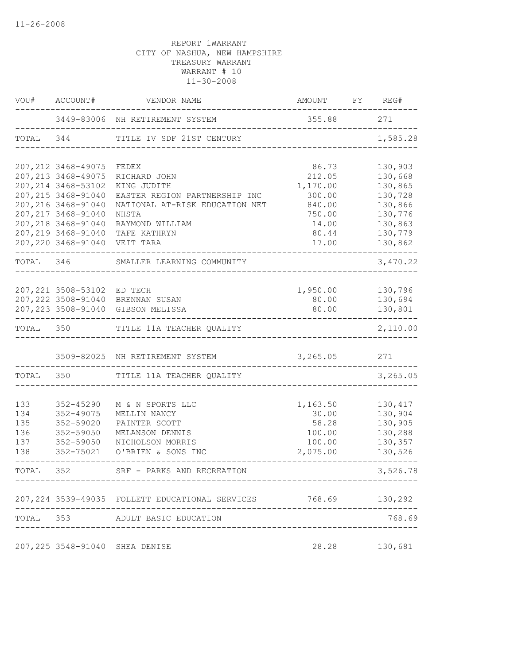|           | VOU# ACCOUNT#              | VENDOR NAME                                      | AMOUNT FY REG# |          |
|-----------|----------------------------|--------------------------------------------------|----------------|----------|
|           |                            | 3449-83006 NH RETIREMENT SYSTEM                  | 355.88 271     |          |
| TOTAL     | 344                        | TITLE IV SDF 21ST CENTURY                        |                | 1,585.28 |
|           | 207, 212 3468-49075        | FEDEX                                            | 86.73          | 130,903  |
|           | 207, 213 3468-49075        | RICHARD JOHN                                     | 212.05         | 130,668  |
|           | 207, 214 3468-53102        | KING JUDITH                                      | 1,170.00       | 130,865  |
|           | 207, 215 3468-91040        | EASTER REGION PARTNERSHIP INC                    | 300.00         | 130,728  |
|           | 207, 216 3468-91040        | NATIONAL AT-RISK EDUCATION NET                   | 840.00         | 130,866  |
|           | 207, 217 3468-91040        | NHSTA                                            | 750.00         | 130,776  |
|           | 207, 218 3468-91040        | RAYMOND WILLIAM                                  | 14.00          | 130,863  |
|           | 207,219 3468-91040         | TAFE KATHRYN                                     | 80.44          | 130,779  |
|           | 207, 220 3468-91040        | VEIT TARA                                        | 17.00          | 130,862  |
| TOTAL 346 |                            | SMALLER LEARNING COMMUNITY                       |                | 3,470.22 |
|           |                            |                                                  |                |          |
|           | 207,221 3508-53102 ED TECH |                                                  | 1,950.00       | 130,796  |
|           |                            | 207, 222 3508-91040 BRENNAN SUSAN                | 80.00          | 130,694  |
|           |                            | 207, 223 3508-91040 GIBSON MELISSA               | 80.00          | 130,801  |
|           |                            | TOTAL 350 TITLE 11A TEACHER QUALITY              |                | 2,110.00 |
|           |                            | 3509-82025 NH RETIREMENT SYSTEM                  | 3,265.05       | 271      |
| TOTAL 350 |                            | TITLE 11A TEACHER QUALITY                        |                | 3,265.05 |
|           |                            |                                                  |                |          |
| 133       | 352-45290                  | M & N SPORTS LLC                                 | 1,163.50       | 130,417  |
| 134       | 352-49075                  | MELLIN NANCY                                     | 30.00          | 130,904  |
| 135       | 352-59020                  | PAINTER SCOTT                                    | 58.28          | 130,905  |
| 136       | 352-59050                  | MELANSON DENNIS                                  | 100.00         | 130,288  |
| 137       | 352-59050                  | NICHOLSON MORRIS                                 | 100.00         | 130,357  |
| 138       | 352-75021                  | O'BRIEN & SONS INC                               | 2,075.00       | 130,526  |
| TOTAL     | 352                        | SRF - PARKS AND RECREATION                       |                | 3,526.78 |
|           |                            |                                                  |                |          |
|           |                            | 207, 224 3539-49035 FOLLETT EDUCATIONAL SERVICES | 768.69 130,292 |          |
| TOTAL 353 |                            | ADULT BASIC EDUCATION                            |                | 768.69   |
|           |                            | 207,225 3548-91040 SHEA DENISE                   | 28.28          | 130,681  |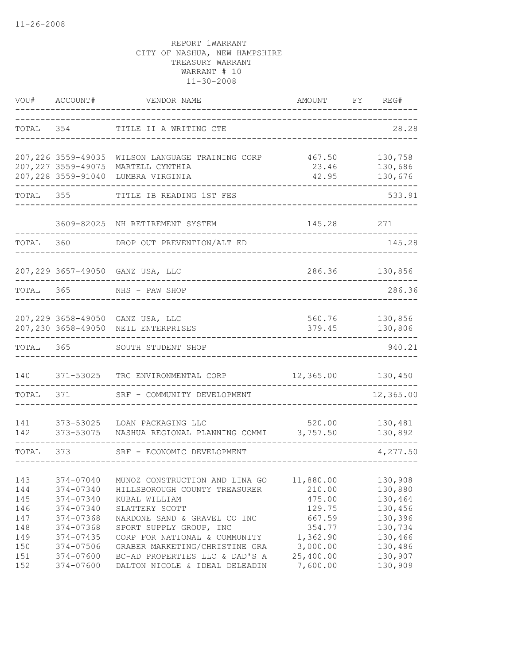| VOU#              | ACCOUNT#                                   | VENDOR NAME                                                                                       | AMOUNT                            | FY | REG#                          |
|-------------------|--------------------------------------------|---------------------------------------------------------------------------------------------------|-----------------------------------|----|-------------------------------|
| TOTAL             | 354                                        | TITLE II A WRITING CTE                                                                            |                                   |    | 28.28                         |
|                   | 207, 226 3559-49035                        | WILSON LANGUAGE TRAINING CORP                                                                     | 467.50                            |    | 130,758                       |
|                   | 207, 227 3559-49075<br>207, 228 3559-91040 | MARTELL CYNTHIA<br>LUMBRA VIRGINIA                                                                | 23.46<br>42.95                    |    | 130,686<br>130,676            |
| TOTAL             | 355                                        | TITLE IB READING 1ST FES                                                                          |                                   |    | 533.91                        |
|                   | 3609-82025                                 | NH RETIREMENT SYSTEM                                                                              | 145.28                            |    | 271                           |
| TOTAL             | 360                                        | DROP OUT PREVENTION/ALT ED                                                                        |                                   |    | 145.28                        |
|                   |                                            | 207,229 3657-49050 GANZ USA, LLC                                                                  | 286.36                            |    | 130,856                       |
| TOTAL             | 365                                        | NHS - PAW SHOP                                                                                    |                                   |    | 286.36                        |
|                   |                                            | 207,229 3658-49050 GANZ USA, LLC<br>207,230 3658-49050 NEIL ENTERPRISES                           | 560.76<br>379.45                  |    | 130,856<br>130,806            |
| TOTAL             | 365                                        | SOUTH STUDENT SHOP                                                                                |                                   |    | 940.21                        |
| 140               | 371-53025                                  | TRC ENVIRONMENTAL CORP                                                                            | 12,365.00                         |    | 130,450                       |
| TOTAL             | 371                                        | SRF - COMMUNITY DEVELOPMENT                                                                       |                                   |    | 12,365.00                     |
| 141<br>142        | 373-53025<br>373-53075                     | LOAN PACKAGING LLC<br>NASHUA REGIONAL PLANNING COMMI                                              | 520.00<br>3,757.50                |    | 130,481<br>130,892            |
| TOTAL             | 373                                        | SRF - ECONOMIC DEVELOPMENT                                                                        |                                   |    | 4,277.50                      |
| 143<br>144<br>145 | 374-07040<br>374-07340<br>374-07340        | MUNOZ CONSTRUCTION AND LINA GO<br>HILLSBOROUGH COUNTY TREASURER<br>KUBAL WILLIAM                  | 11,880.00<br>210.00<br>475.00     |    | 130,908<br>130,880<br>130,464 |
| 146<br>147<br>148 | 374-07340<br>374-07368<br>374-07368        | SLATTERY SCOTT<br>NARDONE SAND & GRAVEL CO INC<br>SPORT SUPPLY GROUP, INC                         | 129.75<br>667.59<br>354.77        |    | 130,456<br>130,396<br>130,734 |
| 149<br>150<br>151 | 374-07435<br>374-07506<br>374-07600        | CORP FOR NATIONAL & COMMUNITY<br>GRABER MARKETING/CHRISTINE GRA<br>BC-AD PROPERTIES LLC & DAD'S A | 1,362.90<br>3,000.00<br>25,400.00 |    | 130,466<br>130,486<br>130,907 |
| 152               | 374-07600                                  | DALTON NICOLE & IDEAL DELEADIN                                                                    | 7,600.00                          |    | 130,909                       |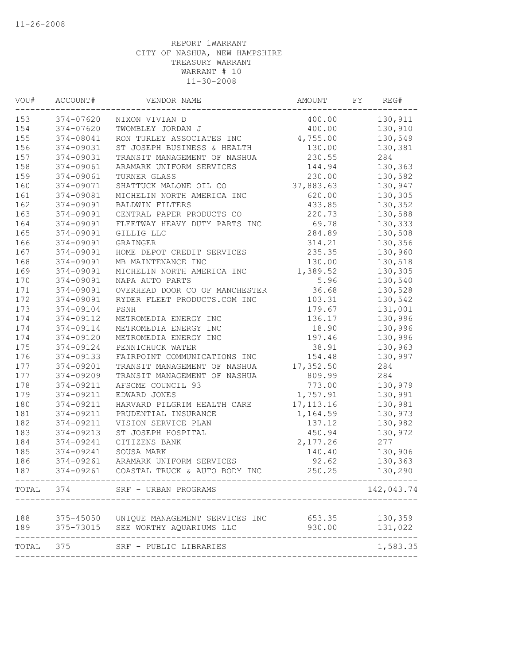| VOU# | ACCOUNT#        | VENDOR NAME                              | AMOUNT     | FY | REG#               |
|------|-----------------|------------------------------------------|------------|----|--------------------|
| 153  | 374-07620       | NIXON VIVIAN D                           | 400.00     |    | 130,911            |
| 154  | 374-07620       | TWOMBLEY JORDAN J                        | 400.00     |    | 130,910            |
| 155  | 374-08041       | RON TURLEY ASSOCIATES INC                | 4,755.00   |    | 130,549            |
| 156  | 374-09031       | ST JOSEPH BUSINESS & HEALTH              | 130.00     |    | 130,381            |
| 157  | 374-09031       | TRANSIT MANAGEMENT OF NASHUA             | 230.55     |    | 284                |
| 158  | 374-09061       | ARAMARK UNIFORM SERVICES                 | 144.94     |    | 130,363            |
| 159  | 374-09061       | TURNER GLASS                             | 230.00     |    | 130,582            |
| 160  | 374-09071       | SHATTUCK MALONE OIL CO                   | 37,883.63  |    | 130,947            |
| 161  | 374-09081       | MICHELIN NORTH AMERICA INC               | 620.00     |    | 130,305            |
| 162  | 374-09091       | <b>BALDWIN FILTERS</b>                   | 433.85     |    | 130,352            |
| 163  | 374-09091       | CENTRAL PAPER PRODUCTS CO                | 220.73     |    | 130,588            |
| 164  | 374-09091       | FLEETWAY HEAVY DUTY PARTS INC            | 69.78      |    | 130,333            |
| 165  | 374-09091       | GILLIG LLC                               | 284.89     |    | 130,508            |
| 166  | 374-09091       | GRAINGER                                 | 314.21     |    | 130,356            |
| 167  | 374-09091       | HOME DEPOT CREDIT SERVICES               | 235.35     |    | 130,960            |
| 168  | 374-09091       | MB MAINTENANCE INC                       | 130.00     |    | 130,518            |
| 169  | 374-09091       | MICHELIN NORTH AMERICA INC               | 1,389.52   |    | 130,305            |
| 170  | 374-09091       | NAPA AUTO PARTS                          | 5.96       |    | 130,540            |
| 171  | 374-09091       | OVERHEAD DOOR CO OF MANCHESTER           | 36.68      |    | 130,528            |
| 172  | 374-09091       | RYDER FLEET PRODUCTS.COM INC             | 103.31     |    | 130,542            |
| 173  | 374-09104       | PSNH                                     | 179.67     |    | 131,001            |
| 174  | 374-09112       | METROMEDIA ENERGY INC                    | 136.17     |    | 130,996            |
| 174  | 374-09114       | METROMEDIA ENERGY INC                    | 18.90      |    | 130,996            |
| 174  | 374-09120       | METROMEDIA ENERGY INC                    | 197.46     |    | 130,996            |
| 175  | 374-09124       | PENNICHUCK WATER                         | 38.91      |    | 130,963            |
| 176  | 374-09133       | FAIRPOINT COMMUNICATIONS INC             | 154.48     |    | 130,997            |
| 177  | 374-09201       | TRANSIT MANAGEMENT OF NASHUA             | 17,352.50  |    | 284                |
| 177  | 374-09209       | TRANSIT MANAGEMENT OF NASHUA             | 809.99     |    | 284                |
| 178  | 374-09211       | AFSCME COUNCIL 93                        | 773.00     |    | 130,979            |
| 179  | 374-09211       | EDWARD JONES                             | 1,757.91   |    | 130,991            |
| 180  | 374-09211       | HARVARD PILGRIM HEALTH CARE              | 17, 113.16 |    | 130,981            |
| 181  | 374-09211       | PRUDENTIAL INSURANCE                     | 1,164.59   |    | 130,973            |
| 182  | 374-09211       | VISION SERVICE PLAN                      | 137.12     |    | 130,982            |
| 183  | 374-09213       | ST JOSEPH HOSPITAL                       | 450.94     |    | 130,972            |
| 184  | 374-09241       | CITIZENS BANK                            | 2,177.26   |    | 277                |
| 185  | 374-09241       | SOUSA MARK                               | 140.40     |    | 130,906            |
| 186  | 374-09261       | ARAMARK UNIFORM SERVICES                 | 92.62      |    | 130,363            |
| 187  | 374-09261       | COASTAL TRUCK & AUTO BODY INC            | 250.25     |    | 130,290            |
|      |                 | TOTAL 374 SRF - URBAN PROGRAMS           |            |    | 142,043.74         |
|      |                 |                                          |            |    |                    |
| 188  |                 | 375-45050 UNIQUE MANAGEMENT SERVICES INC | 653.35     |    | 130,359            |
| 189  | --------------- | 375-73015 SEE WORTHY AQUARIUMS LLC       | 930.00     |    | 131,022<br>------- |
|      |                 | TOTAL 375 SRF - PUBLIC LIBRARIES         |            |    | 1,583.35           |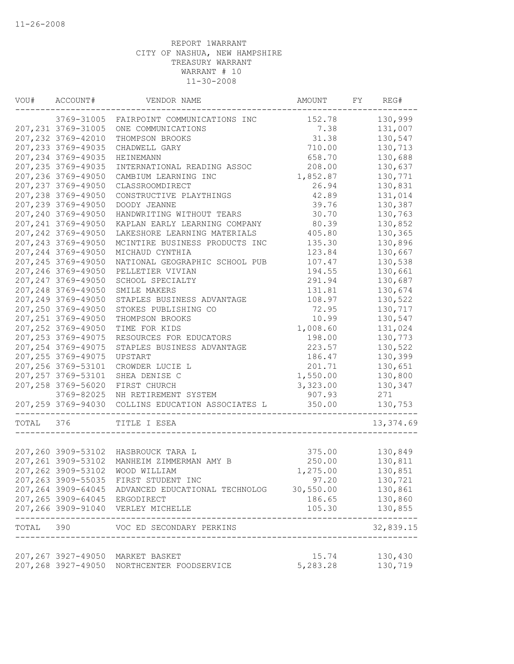| VOU#  | ACCOUNT#            | VENDOR NAME                                                 | AMOUNT   | FY | REG#                |
|-------|---------------------|-------------------------------------------------------------|----------|----|---------------------|
|       | 3769-31005          | FAIRPOINT COMMUNICATIONS INC                                | 152.78   |    | 130,999             |
|       | 207, 231 3769-31005 | ONE COMMUNICATIONS                                          | 7.38     |    | 131,007             |
|       | 207, 232 3769-42010 | THOMPSON BROOKS                                             | 31.38    |    | 130,547             |
|       | 207, 233 3769-49035 | CHADWELL GARY                                               | 710.00   |    | 130,713             |
|       | 207, 234 3769-49035 | <b>HEINEMANN</b>                                            | 658.70   |    | 130,688             |
|       | 207, 235 3769-49035 | INTERNATIONAL READING ASSOC                                 | 208.00   |    | 130,637             |
|       | 207,236 3769-49050  | CAMBIUM LEARNING INC                                        | 1,852.87 |    | 130,771             |
|       | 207, 237 3769-49050 | CLASSROOMDIRECT                                             | 26.94    |    | 130,831             |
|       | 207,238 3769-49050  | CONSTRUCTIVE PLAYTHINGS                                     | 42.89    |    | 131,014             |
|       | 207,239 3769-49050  | DOODY JEANNE                                                | 39.76    |    | 130,387             |
|       | 207,240 3769-49050  | HANDWRITING WITHOUT TEARS                                   | 30.70    |    | 130,763             |
|       | 207, 241 3769-49050 | KAPLAN EARLY LEARNING COMPANY                               | 80.39    |    | 130,852             |
|       | 207, 242 3769-49050 | LAKESHORE LEARNING MATERIALS                                | 405.80   |    | 130,365             |
|       | 207, 243 3769-49050 | MCINTIRE BUSINESS PRODUCTS INC                              | 135.30   |    | 130,896             |
|       | 207, 244 3769-49050 | MICHAUD CYNTHIA                                             | 123.84   |    | 130,667             |
|       | 207, 245 3769-49050 | NATIONAL GEOGRAPHIC SCHOOL PUB                              | 107.47   |    | 130,538             |
|       | 207,246 3769-49050  | PELLETIER VIVIAN                                            | 194.55   |    | 130,661             |
|       | 207, 247 3769-49050 | SCHOOL SPECIALTY                                            | 291.94   |    | 130,687             |
|       | 207,248 3769-49050  | SMILE MAKERS                                                | 131.81   |    | 130,674             |
|       | 207,249 3769-49050  | STAPLES BUSINESS ADVANTAGE                                  | 108.97   |    | 130,522             |
|       | 207,250 3769-49050  | STOKES PUBLISHING CO                                        | 72.95    |    | 130,717             |
|       | 207, 251 3769-49050 | THOMPSON BROOKS                                             | 10.99    |    | 130,547             |
|       | 207, 252 3769-49050 | TIME FOR KIDS                                               | 1,008.60 |    | 131,024             |
|       | 207, 253 3769-49075 | RESOURCES FOR EDUCATORS                                     | 198.00   |    | 130,773             |
|       | 207, 254 3769-49075 | STAPLES BUSINESS ADVANTAGE                                  | 223.57   |    | 130,522             |
|       | 207, 255 3769-49075 | UPSTART                                                     | 186.47   |    | 130,399             |
|       | 207, 256 3769-53101 | CROWDER LUCIE L                                             | 201.71   |    | 130,651             |
|       | 207, 257 3769-53101 | SHEA DENISE C                                               | 1,550.00 |    | 130,800             |
|       | 207,258 3769-56020  | FIRST CHURCH                                                | 3,323.00 |    | 130,347             |
|       | 3769-82025          | NH RETIREMENT SYSTEM                                        | 907.93   |    | 271                 |
|       | 207,259 3769-94030  | COLLINS EDUCATION ASSOCIATES L                              | 350.00   |    | 130,753             |
|       |                     |                                                             |          |    |                     |
| TOTAL | 376                 | TITLE I ESEA                                                |          |    | 13,374.69           |
|       |                     |                                                             |          |    |                     |
|       |                     | 207,260 3909-53102 HASBROUCK TARA L                         | 375.00   |    | 130,849             |
|       | 207, 261 3909-53102 | MANHEIM ZIMMERMAN AMY B                                     | 250.00   |    | 130,811             |
|       |                     | 207,262 3909-53102 WOOD WILLIAM                             | 1,275.00 |    | 130,851             |
|       |                     | 207,263 3909-55035 FIRST STUDENT INC                        | 97.20    |    | 130,721             |
|       |                     | 207,264 3909-64045 ADVANCED EDUCATIONAL TECHNOLOG 30,550.00 |          |    | 130,861             |
|       |                     | 207,265 3909-64045 ERGODIRECT                               | 186.65   |    | 130,860             |
|       |                     | 207,266 3909-91040 VERLEY MICHELLE                          | 105.30   |    | 130,855<br>-------- |
|       |                     | TOTAL 390 VOC ED SECONDARY PERKINS                          |          |    | 32,839.15           |
|       |                     |                                                             |          |    |                     |
|       |                     | 207,267 3927-49050 MARKET BASKET                            | 15.74    |    | 130,430             |
|       |                     | 207,268 3927-49050 NORTHCENTER FOODSERVICE                  | 5,283.28 |    | 130,719             |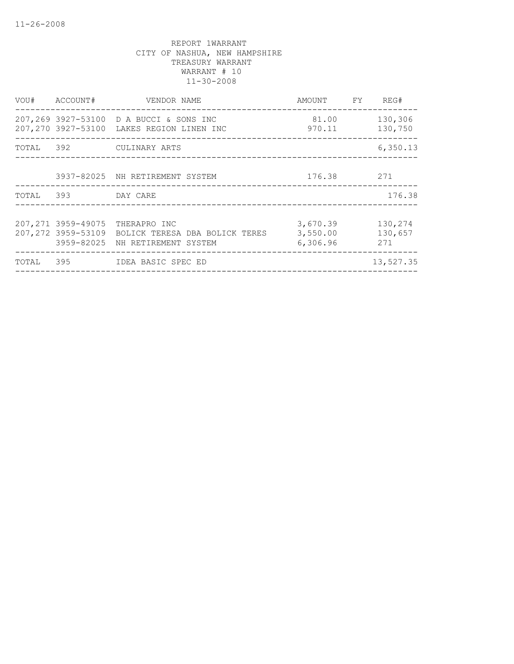|                    | VOU# ACCOUNT# VENDOR NAME                                                                                               | AMOUNT FY REG#                   |                           |
|--------------------|-------------------------------------------------------------------------------------------------------------------------|----------------------------------|---------------------------|
|                    | 207,269 3927-53100 D A BUCCI & SONS INC<br>207,270 3927-53100 LAKES REGION LINEN INC                                    | 81.00<br>970.11                  | 130,306<br>130,750        |
|                    | TOTAL 392 CULINARY ARTS                                                                                                 |                                  | 6,350.13                  |
|                    | 3937-82025 NH RETIREMENT SYSTEM                                                                                         | 176.38 271                       |                           |
| TOTAL 393 DAY CARE |                                                                                                                         |                                  | 176.38                    |
|                    | 207,271 3959-49075 THERAPRO INC<br>207,272 3959-53109 BOLICK TERESA DBA BOLICK TERES<br>3959-82025 NH RETIREMENT SYSTEM | 3,670.39<br>3,550.00<br>6,306.96 | 130,274<br>130,657<br>271 |
|                    | TOTAL 395 IDEA BASIC SPEC ED                                                                                            |                                  | 13,527.35                 |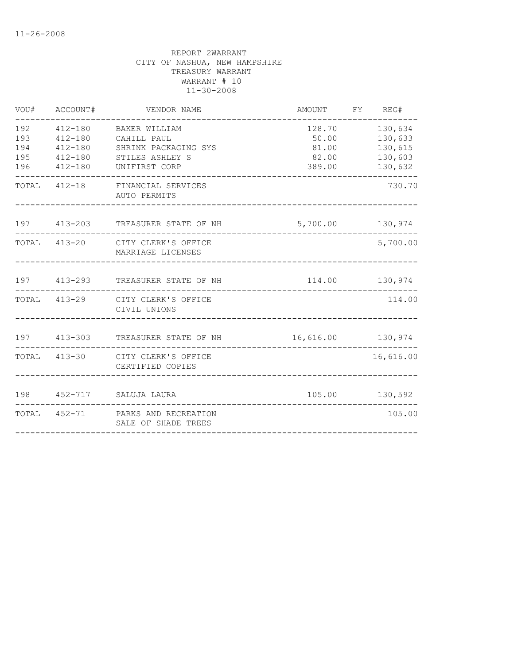| VOU#                     | ACCOUNT#    | VENDOR NAME                                                                                                                    | AMOUNT FY REG#                              |                                                     |
|--------------------------|-------------|--------------------------------------------------------------------------------------------------------------------------------|---------------------------------------------|-----------------------------------------------------|
| 192<br>193<br>194<br>195 | $412 - 180$ | 412-180 BAKER WILLIAM<br>412-180 CAHILL PAUL<br>SHRINK PACKAGING SYS<br>412-180 STILES ASHLEY S<br>196  412-180  UNIFIRST CORP | 128.70<br>50.00<br>81.00<br>82.00<br>389.00 | 130,634<br>130,633<br>130,615<br>130,603<br>130,632 |
|                          |             | TOTAL 412-18 FINANCIAL SERVICES<br>AUTO PERMITS                                                                                |                                             | 730.70                                              |
|                          |             | 197 413-203 TREASURER STATE OF NH                                                                                              | 5,700.00 130,974                            |                                                     |
|                          |             | TOTAL 413-20 CITY CLERK'S OFFICE<br>MARRIAGE LICENSES                                                                          |                                             | 5,700.00                                            |
|                          |             | 197 413-293 TREASURER STATE OF NH                                                                                              |                                             | 114.00 130,974                                      |
|                          |             | TOTAL 413-29 CITY CLERK'S OFFICE<br>CIVIL UNIONS                                                                               |                                             | 114.00                                              |
|                          |             | 197  413-303  TREASURER STATE OF NH   16,616.00  130,974                                                                       |                                             |                                                     |
|                          |             | TOTAL 413-30 CITY CLERK'S OFFICE<br>CERTIFIED COPIES                                                                           |                                             | 16,616.00                                           |
|                          |             | 198 452-717 SALUJA LAURA                                                                                                       |                                             | 105.00 130,592                                      |
|                          |             | TOTAL 452-71 PARKS AND RECREATION<br>SALE OF SHADE TREES                                                                       |                                             | 105.00                                              |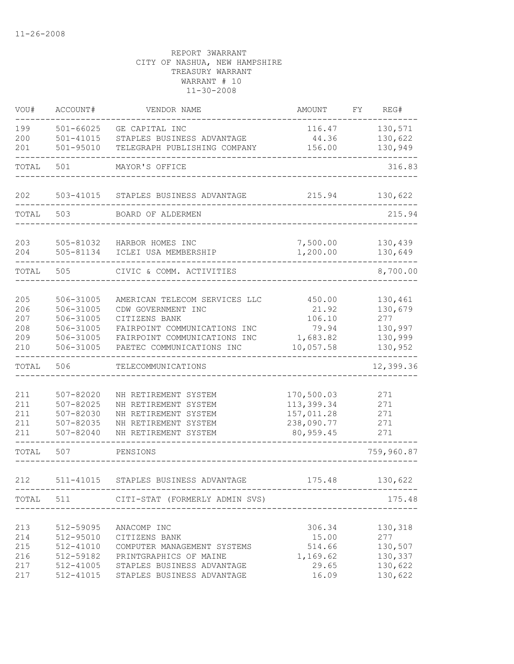| VOU#       | ACCOUNT#                   | VENDOR NAME                                                | AMOUNT                   | FY | REG#               |
|------------|----------------------------|------------------------------------------------------------|--------------------------|----|--------------------|
| 199        | $501 - 66025$              | GE CAPITAL INC                                             | 116.47                   |    | 130,571            |
| 200<br>201 | 501-41015<br>$501 - 95010$ | STAPLES BUSINESS ADVANTAGE<br>TELEGRAPH PUBLISHING COMPANY | 44.36<br>156.00          |    | 130,622<br>130,949 |
|            |                            |                                                            |                          |    |                    |
| TOTAL      | 501                        | MAYOR'S OFFICE                                             |                          |    | 316.83             |
| 202        | 503-41015                  | STAPLES BUSINESS ADVANTAGE                                 | 215.94                   |    | 130,622            |
| TOTAL      | 503                        | BOARD OF ALDERMEN                                          |                          |    | 215.94             |
|            |                            |                                                            |                          |    |                    |
| 203        | 505-81032                  | HARBOR HOMES INC                                           | 7,500.00                 |    | 130,439            |
| 204        | 505-81134                  | ICLEI USA MEMBERSHIP                                       | 1,200.00                 |    | 130,649            |
| TOTAL      | 505                        | CIVIC & COMM. ACTIVITIES                                   |                          |    | 8,700.00           |
|            |                            |                                                            |                          |    |                    |
| 205<br>206 | 506-31005<br>506-31005     | AMERICAN TELECOM SERVICES LLC<br>CDW GOVERNMENT INC        | 450.00<br>21.92          |    | 130,461<br>130,679 |
| 207        | 506-31005                  | CITIZENS BANK                                              | 106.10                   |    | 277                |
| 208        | 506-31005                  | FAIRPOINT COMMUNICATIONS INC                               | 79.94                    |    | 130,997            |
| 209        | 506-31005                  | FAIRPOINT COMMUNICATIONS INC                               | 1,683.82                 |    | 130,999            |
| 210        | 506-31005                  | PAETEC COMMUNICATIONS INC                                  | 10,057.58                |    | 130,952            |
| TOTAL      | 506                        | TELECOMMUNICATIONS                                         |                          |    | 12,399.36          |
|            |                            |                                                            |                          |    |                    |
| 211        | 507-82020                  | NH RETIREMENT SYSTEM                                       | 170,500.03               |    | 271                |
| 211<br>211 | 507-82025<br>507-82030     | NH RETIREMENT SYSTEM<br>NH RETIREMENT SYSTEM               | 113,399.34<br>157,011.28 |    | 271<br>271         |
| 211        | 507-82035                  | NH RETIREMENT SYSTEM                                       | 238,090.77               |    | 271                |
| 211        | $507 - 82040$              | NH RETIREMENT SYSTEM                                       | 80, 959.45               |    | 271                |
| TOTAL      | 507                        | PENSIONS                                                   |                          |    | 759,960.87         |
| 212        | 511-41015                  | STAPLES BUSINESS ADVANTAGE                                 | 175.48                   |    | 130,622            |
|            |                            |                                                            |                          |    |                    |
|            |                            | TOTAL 511 CITI-STAT (FORMERLY ADMIN SVS)                   |                          |    | 175.48             |
| 213        | 512-59095                  | ANACOMP INC                                                | 306.34                   |    | 130,318            |
| 214        | 512-95010                  | CITIZENS BANK                                              | 15.00                    |    | 277                |
| 215        | 512-41010                  | COMPUTER MANAGEMENT SYSTEMS                                | 514.66                   |    | 130,507            |
| 216        | 512-59182                  | PRINTGRAPHICS OF MAINE                                     | 1,169.62                 |    | 130,337            |
| 217        | 512-41005                  | STAPLES BUSINESS ADVANTAGE                                 | 29.65                    |    | 130,622            |
| 217        | 512-41015                  | STAPLES BUSINESS ADVANTAGE                                 | 16.09                    |    | 130,622            |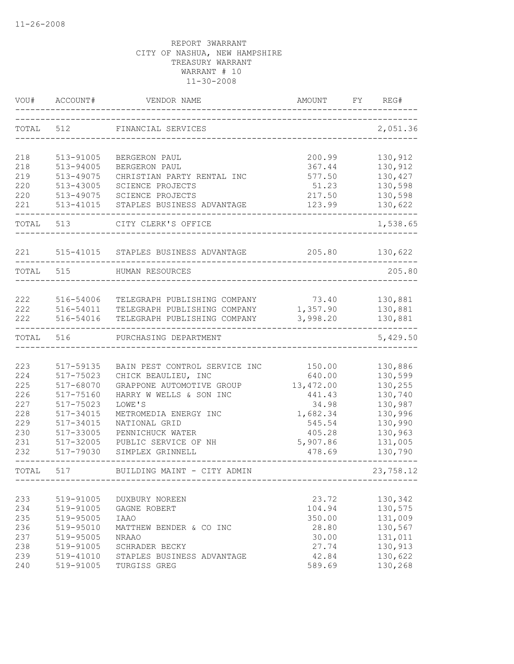| VOU#  | ACCOUNT#  | VENDOR NAME                   | <b>AMOUNT</b> | REG#<br>FY |
|-------|-----------|-------------------------------|---------------|------------|
| TOTAL | 512       | FINANCIAL SERVICES            |               | 2,051.36   |
| 218   | 513-91005 | BERGERON PAUL                 | 200.99        | 130,912    |
| 218   | 513-94005 | BERGERON PAUL                 | 367.44        | 130,912    |
| 219   | 513-49075 | CHRISTIAN PARTY RENTAL INC    | 577.50        | 130,427    |
| 220   | 513-43005 | SCIENCE PROJECTS              | 51.23         | 130,598    |
| 220   | 513-49075 | SCIENCE PROJECTS              | 217.50        | 130,598    |
| 221   | 513-41015 | STAPLES BUSINESS ADVANTAGE    | 123.99        | 130,622    |
| TOTAL | 513       | CITY CLERK'S OFFICE           |               | 1,538.65   |
| 221   | 515-41015 | STAPLES BUSINESS ADVANTAGE    | 205.80        | 130,622    |
| TOTAL | 515       | HUMAN RESOURCES               |               | 205.80     |
|       |           |                               |               |            |
| 222   | 516-54006 | TELEGRAPH PUBLISHING COMPANY  | 73.40         | 130,881    |
| 222   | 516-54011 | TELEGRAPH PUBLISHING COMPANY  | 1,357.90      | 130,881    |
| 222   | 516-54016 | TELEGRAPH PUBLISHING COMPANY  | 3,998.20      | 130,881    |
| TOTAL | 516       | PURCHASING DEPARTMENT         |               | 5,429.50   |
| 223   | 517-59135 | BAIN PEST CONTROL SERVICE INC | 150.00        | 130,886    |
| 224   | 517-75023 | CHICK BEAULIEU, INC           | 640.00        | 130,599    |
| 225   | 517-68070 | GRAPPONE AUTOMOTIVE GROUP     | 13, 472.00    | 130,255    |
| 226   | 517-75160 | HARRY W WELLS & SON INC       | 441.43        | 130,740    |
| 227   | 517-75023 | LOWE'S                        | 34.98         | 130,987    |
| 228   | 517-34015 | METROMEDIA ENERGY INC         | 1,682.34      | 130,996    |
| 229   | 517-34015 | NATIONAL GRID                 | 545.54        | 130,990    |
| 230   | 517-33005 | PENNICHUCK WATER              | 405.28        | 130,963    |
| 231   | 517-32005 | PUBLIC SERVICE OF NH          | 5,907.86      | 131,005    |
| 232   | 517-79030 | SIMPLEX GRINNELL              | 478.69        | 130,790    |
| TOTAL | 517       | BUILDING MAINT - CITY ADMIN   |               | 23,758.12  |
|       |           |                               |               |            |
| 233   | 519-91005 | DUXBURY NOREEN                | 23.72         | 130,342    |
| 234   | 519-91005 | GAGNE ROBERT                  | 104.94        | 130,575    |
| 235   | 519-95005 | <b>IAAO</b>                   | 350.00        | 131,009    |
| 236   | 519-95010 | MATTHEW BENDER & CO INC       | 28.80         | 130,567    |
| 237   | 519-95005 | <b>NRAAO</b>                  | 30.00         | 131,011    |
| 238   | 519-91005 | SCHRADER BECKY                | 27.74         | 130,913    |
| 239   | 519-41010 | STAPLES BUSINESS ADVANTAGE    | 42.84         | 130,622    |
| 240   | 519-91005 | TURGISS GREG                  | 589.69        | 130,268    |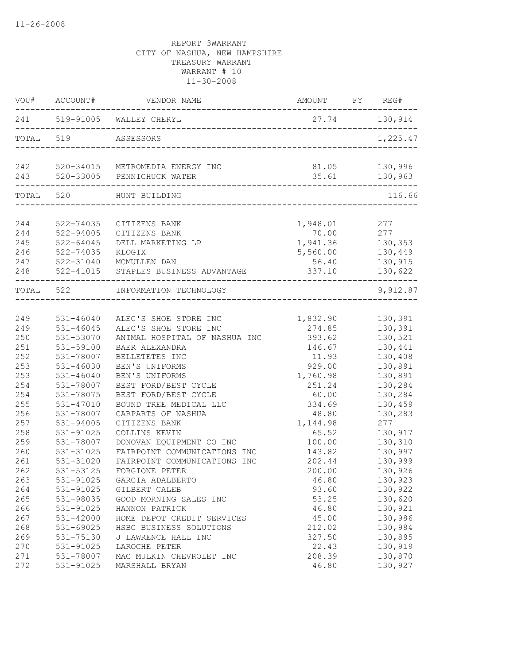|            | VOU# ACCOUNT#          | VENDOR NAME                                                       | AMOUNT FY REG#   |                    |
|------------|------------------------|-------------------------------------------------------------------|------------------|--------------------|
|            |                        | 241 519-91005 WALLEY CHERYL                                       | 27.74 130,914    |                    |
| TOTAL 519  |                        | ASSESSORS                                                         |                  | 1,225.47           |
| 243        |                        | 242 520-34015 METROMEDIA ENERGY INC<br>520-33005 PENNICHUCK WATER | 81.05<br>35.61   | 130,996<br>130,963 |
|            |                        | . _ _ _ _ _ _ _ _ _ _ _                                           |                  |                    |
| TOTAL 520  |                        | HUNT BUILDING                                                     |                  | 116.66             |
| 244        | 522-74035              | CITIZENS BANK                                                     | 1,948.01         | 277                |
| 244        | 522-94005              | CITIZENS BANK                                                     | 70.00 277        |                    |
| 245        | $522 - 64045$          | DELL MARKETING LP                                                 | 1,941.36 130,353 |                    |
| 246        | 522-74035              | KLOGIX                                                            | 5,560.00         | 130,449            |
| 247        | 522-31040              | MCMULLEN DAN                                                      | 56.40            | 130,915            |
| 248        | 522-41015              | STAPLES BUSINESS ADVANTAGE                                        | 337.10           | 130,622            |
| TOTAL 522  |                        | INFORMATION TECHNOLOGY                                            |                  | 9,912.87           |
|            |                        |                                                                   |                  |                    |
| 249        | $531 - 46040$          | ALEC'S SHOE STORE INC                                             | 1,832.90         | 130,391            |
| 249        | 531-46045              | ALEC'S SHOE STORE INC                                             | 274.85           | 130,391            |
| 250        | 531-53070              | ANIMAL HOSPITAL OF NASHUA INC                                     | 393.62           | 130,521            |
| 251        | 531-59100              | BAER ALEXANDRA                                                    | 146.67           | 130,441            |
| 252        | 531-78007              | BELLETETES INC                                                    | 11.93            | 130,408            |
| 253        | $531 - 46030$          | BEN'S UNIFORMS                                                    | 929.00           | 130,891            |
| 253        | $531 - 46040$          | BEN'S UNIFORMS                                                    | 1,760.98         | 130,891            |
| 254        | 531-78007              | BEST FORD/BEST CYCLE                                              | 251.24           | 130,284            |
| 254        | 531-78075              | BEST FORD/BEST CYCLE                                              | 60.00            | 130,284            |
| 255        | 531-47010              | BOUND TREE MEDICAL LLC                                            | 334.69           | 130,459            |
| 256        | 531-78007              | CARPARTS OF NASHUA                                                | 48.80            | 130,283            |
| 257        | 531-94005              | CITIZENS BANK                                                     | 1,144.98         | 277                |
| 258        | 531-91025              | COLLINS KEVIN                                                     | 65.52            | 130,917            |
| 259        | 531-78007              | DONOVAN EQUIPMENT CO INC                                          | 100.00           | 130,310            |
| 260        | 531-31025              | FAIRPOINT COMMUNICATIONS INC<br>FAIRPOINT COMMUNICATIONS INC      | 143.82<br>202.44 | 130,997            |
| 261<br>262 | 531-31020              |                                                                   |                  | 130,999            |
|            | 531-53125              | FORGIONE PETER                                                    | 200.00           | 130,926            |
| 263<br>264 | 531-91025<br>531-91025 | GARCIA ADALBERTO                                                  | 46.80<br>93.60   | 130,923            |
| 265        |                        | GILBERT CALEB<br>GOOD MORNING SALES INC                           |                  | 130,922            |
| 266        | 531-98035<br>531-91025 | HANNON PATRICK                                                    | 53.25<br>46.80   | 130,620<br>130,921 |
| 267        | 531-42000              | HOME DEPOT CREDIT SERVICES                                        | 45.00            | 130,986            |
| 268        | 531-69025              | HSBC BUSINESS SOLUTIONS                                           | 212.02           | 130,984            |
| 269        | 531-75130              | J LAWRENCE HALL INC                                               | 327.50           | 130,895            |
| 270        | 531-91025              | LAROCHE PETER                                                     | 22.43            | 130,919            |
| 271        | 531-78007              | MAC MULKIN CHEVROLET INC                                          | 208.39           | 130,870            |
| 272        | 531-91025              | MARSHALL BRYAN                                                    | 46.80            | 130,927            |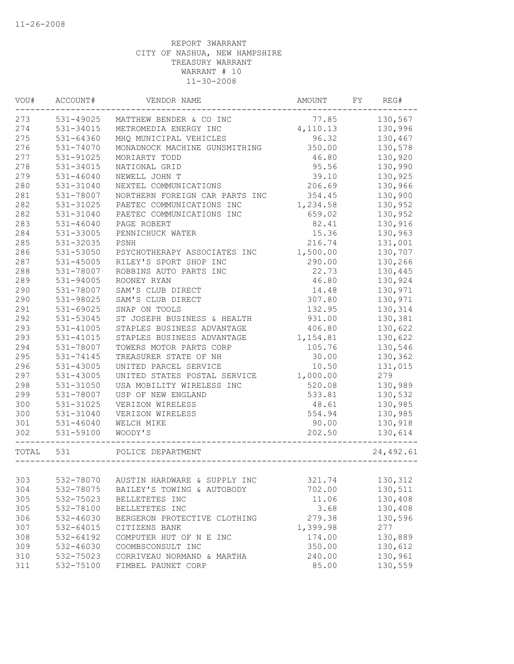| WOU#      | ACCOUNT#      | VENDOR NAME                    | AMOUNT   | FY | REG#      |
|-----------|---------------|--------------------------------|----------|----|-----------|
| 273       | 531-49025     | MATTHEW BENDER & CO INC        | 77.85    |    | 130,567   |
| 274       | 531-34015     | METROMEDIA ENERGY INC          | 4,110.13 |    | 130,996   |
| 275       | $531 - 64360$ | MHQ MUNICIPAL VEHICLES         | 96.32    |    | 130,467   |
| 276       | 531-74070     | MONADNOCK MACHINE GUNSMITHING  | 350.00   |    | 130,578   |
| 277       | 531-91025     | MORIARTY TODD                  | 46.80    |    | 130,920   |
| 278       | 531-34015     | NATIONAL GRID                  | 95.56    |    | 130,990   |
| 279       | $531 - 46040$ | NEWELL JOHN T                  | 39.10    |    | 130,925   |
| 280       | 531-31040     | NEXTEL COMMUNICATIONS          | 206.69   |    | 130,966   |
| 281       | 531-78007     | NORTHERN FOREIGN CAR PARTS INC | 354.45   |    | 130,900   |
| 282       | 531-31025     | PAETEC COMMUNICATIONS INC      | 1,234.58 |    | 130,952   |
| 282       | 531-31040     | PAETEC COMMUNICATIONS INC      | 659.02   |    | 130,952   |
| 283       | $531 - 46040$ | PAGE ROBERT                    | 82.41    |    | 130,916   |
| 284       | 531-33005     | PENNICHUCK WATER               | 15.36    |    | 130,963   |
| 285       | 531-32035     | PSNH                           | 216.74   |    | 131,001   |
| 286       | 531-53050     | PSYCHOTHERAPY ASSOCIATES INC   | 1,500.00 |    | 130,707   |
| 287       | 531-45005     | RILEY'S SPORT SHOP INC         | 290.00   |    | 130,266   |
| 288       | 531-78007     | ROBBINS AUTO PARTS INC         | 22.73    |    | 130,445   |
| 289       | 531-94005     | ROONEY RYAN                    | 46.80    |    | 130,924   |
| 290       | 531-78007     | SAM'S CLUB DIRECT              | 14.48    |    | 130,971   |
| 290       | 531-98025     | SAM'S CLUB DIRECT              | 307.80   |    | 130,971   |
| 291       | 531-69025     | SNAP ON TOOLS                  | 132.95   |    | 130,314   |
| 292       | 531-53045     | ST JOSEPH BUSINESS & HEALTH    | 931.00   |    | 130,381   |
| 293       | $531 - 41005$ | STAPLES BUSINESS ADVANTAGE     | 406.80   |    | 130,622   |
| 293       | 531-41015     | STAPLES BUSINESS ADVANTAGE     | 1,154.81 |    | 130,622   |
| 294       | 531-78007     | TOWERS MOTOR PARTS CORP        | 105.76   |    | 130,546   |
| 295       | 531-74145     | TREASURER STATE OF NH          | 30.00    |    | 130,362   |
| 296       | 531-43005     | UNITED PARCEL SERVICE          | 10.50    |    | 131,015   |
| 297       | 531-43005     | UNITED STATES POSTAL SERVICE   | 1,000.00 |    | 279       |
| 298       | 531-31050     | USA MOBILITY WIRELESS INC      | 520.08   |    | 130,989   |
| 299       | 531-78007     | USP OF NEW ENGLAND             | 533.81   |    | 130,532   |
| 300       | 531-31025     | VERIZON WIRELESS               | 48.61    |    | 130,985   |
| 300       | 531-31040     | VERIZON WIRELESS               | 554.94   |    | 130,985   |
| 301       | 531-46040     | WELCH MIKE                     | 90.00    |    | 130,918   |
| 302       | 531-59100     | WOODY'S                        | 202.50   |    | 130,614   |
| TOTAL 531 |               | POLICE DEPARTMENT              |          |    | 24,492.61 |
|           |               |                                |          |    |           |
| 303       | 532-78070     | AUSTIN HARDWARE & SUPPLY INC   | 321.74   |    | 130,312   |
| 304       | 532-78075     | BAILEY'S TOWING & AUTOBODY     | 702.00   |    | 130,511   |
| 305       | 532-75023     | BELLETETES INC                 | 11.06    |    | 130,408   |
| 305       | 532-78100     | BELLETETES INC                 | 3.68     |    | 130,408   |
| 306       | 532-46030     | BERGERON PROTECTIVE CLOTHING   | 279.38   |    | 130,596   |
| 307       | 532-64015     | CITIZENS BANK                  | 1,399.98 |    | 277       |
| 308       | 532-64192     | COMPUTER HUT OF N E INC        | 174.00   |    | 130,889   |
| 309       | 532-46030     | COOMBSCONSULT INC              | 350.00   |    | 130,612   |
| 310       | 532-75023     | CORRIVEAU NORMAND & MARTHA     | 240.00   |    | 130,961   |
| 311       | 532-75100     | FIMBEL PAUNET CORP             | 85.00    |    | 130,559   |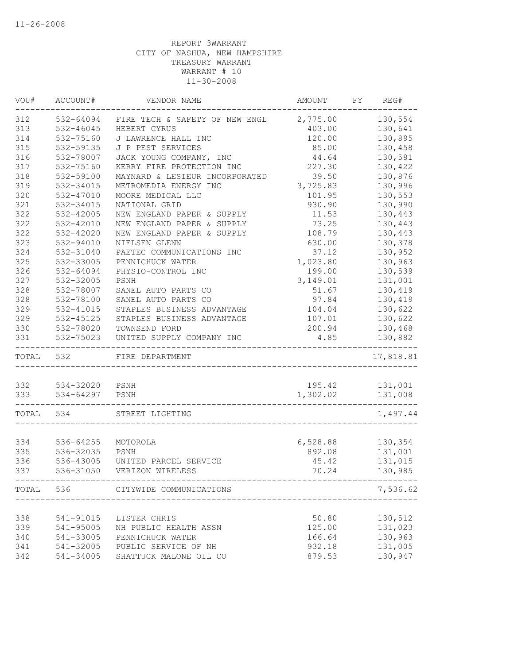| VOU#       | ACCOUNT#               | VENDOR NAME                             | AMOUNT                      | FY | REG#                 |
|------------|------------------------|-----------------------------------------|-----------------------------|----|----------------------|
| 312        | 532-64094              | FIRE TECH & SAFETY OF NEW ENGL 2,775.00 |                             |    | 130,554              |
| 313        | 532-46045              | HEBERT CYRUS                            | 403.00                      |    | 130,641              |
| 314        | 532-75160              | J LAWRENCE HALL INC                     | 120.00                      |    | 130,895              |
| 315        | 532-59135              | J P PEST SERVICES                       | 85.00                       |    | 130,458              |
| 316        | 532-78007              | JACK YOUNG COMPANY, INC                 | 44.64                       |    | 130,581              |
| 317        | 532-75160              | KERRY FIRE PROTECTION INC               | 227.30                      |    | 130,422              |
| 318        | 532-59100              | MAYNARD & LESIEUR INCORPORATED          | 39.50                       |    | 130,876              |
| 319        | 532-34015              | METROMEDIA ENERGY INC                   | 3,725.83                    |    | 130,996              |
| 320        | 532-47010              | MOORE MEDICAL LLC                       | 101.95                      |    | 130,553              |
| 321        | 532-34015              | NATIONAL GRID                           | 930.90                      |    | 130,990              |
| 322        | 532-42005              | NEW ENGLAND PAPER & SUPPLY              | 11.53                       |    | 130,443              |
| 322        | 532-42010              | NEW ENGLAND PAPER & SUPPLY              | 73.25                       |    | 130,443              |
| 322        | 532-42020              | NEW ENGLAND PAPER & SUPPLY              | 108.79                      |    | 130,443              |
| 323        | 532-94010              | NIELSEN GLENN                           | 630.00                      |    | 130,378              |
| 324        | 532-31040              | PAETEC COMMUNICATIONS INC               | 37.12                       |    | 130,952              |
| 325        | 532-33005              | PENNICHUCK WATER                        | 1,023.80                    |    | 130,963              |
| 326        | 532-64094              | PHYSIO-CONTROL INC                      | 199.00                      |    | 130,539              |
| 327        | 532-32005              | PSNH                                    | 3,149.01                    |    | 131,001              |
| 328        | 532-78007              | SANEL AUTO PARTS CO                     | 51.67                       |    | 130,419              |
| 328        | 532-78100              | SANEL AUTO PARTS CO                     | 97.84                       |    | 130,419              |
| 329        | 532-41015              | STAPLES BUSINESS ADVANTAGE              | 104.04                      |    | 130,622              |
| 329        | 532-45125              | STAPLES BUSINESS ADVANTAGE              | 107.01                      |    | 130,622              |
| 330        | 532-78020              | TOWNSEND FORD                           | 200.94                      |    | 130,468              |
| 331        | 532-75023              | UNITED SUPPLY COMPANY INC               | 4.85                        |    | 130,882              |
| TOTAL      | 532                    | FIRE DEPARTMENT                         |                             |    | -------<br>17,818.81 |
|            |                        |                                         |                             |    |                      |
| 332        | 534-32020 PSNH         |                                         | 195.42                      |    | 131,001              |
| 333        | 534-64297 PSNH         |                                         | 1,302.02                    |    | 131,008              |
| TOTAL 534  |                        | STREET LIGHTING                         |                             |    | 1,497.44             |
|            |                        |                                         |                             |    |                      |
| 334<br>335 | 536-64255<br>536-32035 | MOTOROLA<br>PSNH                        | 6,528.88<br>892.08          |    | 130,354<br>131,001   |
| 336        | 536-43005              | UNITED PARCEL SERVICE                   | 45.42                       |    | 131,015              |
| 337        |                        | 536-31050 VERIZON WIRELESS              | 70.24                       |    | 130,985              |
|            |                        |                                         | --------------------------- |    |                      |
|            |                        | TOTAL 536 CITYWIDE COMMUNICATIONS       |                             |    | 7,536.62             |
|            |                        |                                         |                             |    |                      |
| 338        | 541-91015              | LISTER CHRIS                            | 50.80                       |    | 130,512              |
| 339        | 541-95005              | NH PUBLIC HEALTH ASSN                   | 125.00                      |    | 131,023              |
| 340        | 541-33005              | PENNICHUCK WATER                        | 166.64                      |    | 130,963              |
| 341        | 541-32005              | PUBLIC SERVICE OF NH                    | 932.18                      |    | 131,005              |
| 342        | 541-34005              | SHATTUCK MALONE OIL CO                  | 879.53                      |    | 130,947              |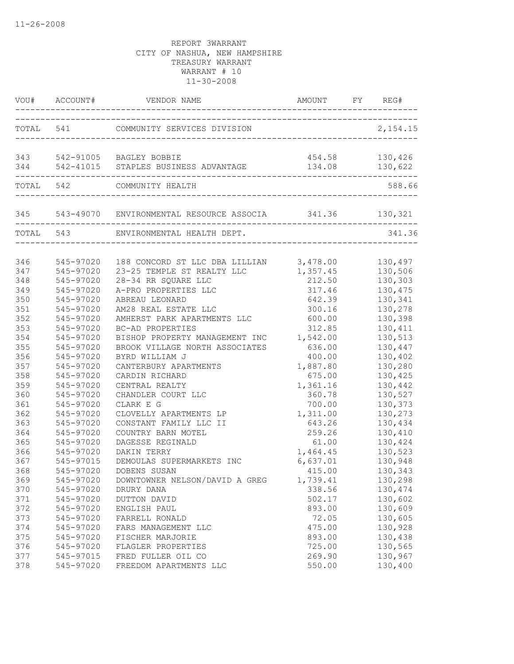|                   |                                     | VOU# ACCOUNT# VENDOR NAME                                                      | AMOUNT FY REG#                   |                               |
|-------------------|-------------------------------------|--------------------------------------------------------------------------------|----------------------------------|-------------------------------|
|                   |                                     | TOTAL 541 COMMUNITY SERVICES DIVISION                                          |                                  | 2,154.15                      |
|                   |                                     | 343 542-91005 BAGLEY BOBBIE<br>344 542-41015 STAPLES BUSINESS ADVANTAGE        | 454.58 130,426<br>134.08 130,622 |                               |
|                   | TOTAL 542                           | COMMUNITY HEALTH                                                               |                                  | 588.66                        |
|                   |                                     |                                                                                |                                  |                               |
|                   | TOTAL 543                           | ENVIRONMENTAL HEALTH DEPT.                                                     |                                  | 341.36                        |
| 346<br>347        | 545-97020<br>545-97020              | 188 CONCORD ST LLC DBA LILLIAN 3,478.00<br>23-25 TEMPLE ST REALTY LLC 1,357.45 |                                  | 130,497<br>130,506            |
| 348               | 545-97020                           | 28-34 RR SQUARE LLC                                                            | 212.50                           | 130,303                       |
| 349               | 545-97020                           | A-PRO PROPERTIES LLC                                                           | 317.46                           | 130,475                       |
| 350               | 545-97020                           | ABREAU LEONARD                                                                 | 642.39                           | 130,341                       |
| 351               | 545-97020                           | AM28 REAL ESTATE LLC                                                           | 300.16                           | 130,278                       |
| 352               | 545-97020                           | AMHERST PARK APARTMENTS LLC                                                    | 600.00                           | 130,398                       |
| 353               | 545-97020                           | BC-AD PROPERTIES                                                               | 312.85                           | 130,411                       |
| 354               | 545-97020                           | BISHOP PROPERTY MANAGEMENT INC                                                 | 1,542.00                         | 130,513                       |
| 355               | 545-97020                           | BROOK VILLAGE NORTH ASSOCIATES                                                 | 636.00                           | 130,447                       |
| 356               | 545-97020                           | BYRD WILLIAM J                                                                 | 400.00                           | 130,402                       |
| 357               | 545-97020                           | CANTERBURY APARTMENTS                                                          | 1,887.80                         | 130,280                       |
| 358               | 545-97020                           | CARDIN RICHARD                                                                 | 675.00                           | 130,425                       |
| 359               | 545-97020                           | CENTRAL REALTY                                                                 | 1,361.16                         | 130,442                       |
| 360               | 545-97020                           | CHANDLER COURT LLC                                                             | 360.78                           | 130,527                       |
| 361               | 545-97020                           | CLARK E G                                                                      | 700.00                           | 130,373                       |
| 362               | 545-97020                           | CLOVELLY APARTMENTS LP                                                         | 1,311.00                         | 130,273                       |
| 363               | 545-97020                           | CONSTANT FAMILY LLC II                                                         | 643.26                           | 130,434                       |
| 364               | 545-97020                           | COUNTRY BARN MOTEL                                                             | 259.26                           | 130,410                       |
| 365               | 545-97020                           | DAGESSE REGINALD                                                               | 61.00                            | 130,424                       |
| 366               | 545-97020                           | DAKIN TERRY                                                                    | 1,464.45                         | 130,523                       |
| 367<br>368<br>369 | 545-97015<br>545-97020              | DEMOULAS SUPERMARKETS INC<br>DOBENS SUSAN                                      | 6,637.01<br>415.00<br>1,739.41   | 130,948<br>130,343            |
| 370<br>371        | 545-97020<br>545-97020<br>545-97020 | DOWNTOWNER NELSON/DAVID A GREG<br>DRURY DANA<br>DUTTON DAVID                   | 338.56<br>502.17                 | 130,298<br>130,474<br>130,602 |
| 372               | 545-97020                           | ENGLISH PAUL                                                                   | 893.00                           | 130,609                       |
| 373               | 545-97020                           | FARRELL RONALD                                                                 | 72.05                            | 130,605                       |
| 374               | 545-97020                           | FARS MANAGEMENT LLC                                                            | 475.00                           | 130,928                       |
| 375               | 545-97020                           | FISCHER MARJORIE                                                               | 893.00                           | 130,438                       |
| 376               | 545-97020                           | FLAGLER PROPERTIES                                                             | 725.00                           | 130,565                       |
| 377               | 545-97015                           | FRED FULLER OIL CO                                                             | 269.90                           | 130,967                       |
| 378               | 545-97020                           | FREEDOM APARTMENTS LLC                                                         | 550.00                           | 130,400                       |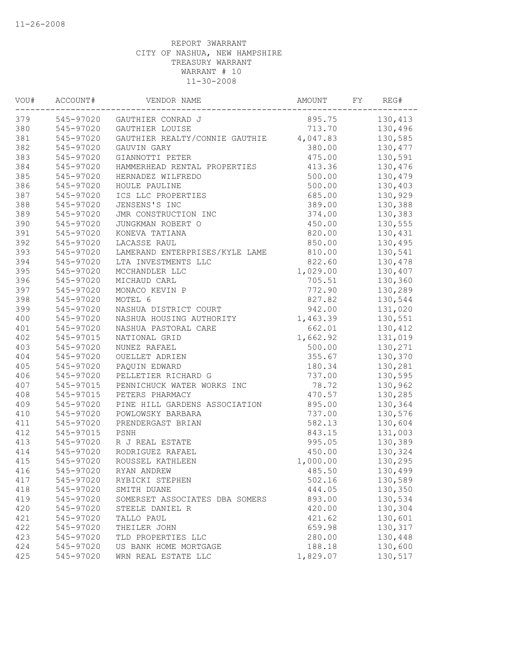| VOU# | ACCOUNT#  | VENDOR NAME                    | AMOUNT   | FY | REG#    |
|------|-----------|--------------------------------|----------|----|---------|
| 379  |           | 545-97020 GAUTHIER CONRAD J    | 895.75   |    | 130,413 |
| 380  | 545-97020 | GAUTHIER LOUISE                | 713.70   |    | 130,496 |
| 381  | 545-97020 | GAUTHIER REALTY/CONNIE GAUTHIE | 4,047.83 |    | 130,585 |
| 382  | 545-97020 | GAUVIN GARY                    | 380.00   |    | 130,477 |
| 383  | 545-97020 | GIANNOTTI PETER                | 475.00   |    | 130,591 |
| 384  | 545-97020 | HAMMERHEAD RENTAL PROPERTIES   | 413.36   |    | 130,476 |
| 385  | 545-97020 | HERNADEZ WILFREDO              | 500.00   |    | 130,479 |
| 386  | 545-97020 | HOULE PAULINE                  | 500.00   |    | 130,403 |
| 387  | 545-97020 | ICS LLC PROPERTIES             | 685.00   |    | 130,929 |
| 388  | 545-97020 | JENSENS'S INC                  | 389.00   |    | 130,388 |
| 389  | 545-97020 | JMR CONSTRUCTION INC           | 374.00   |    | 130,383 |
| 390  | 545-97020 | JUNGKMAN ROBERT O              | 450.00   |    | 130,555 |
| 391  | 545-97020 | KONEVA TATIANA                 | 820.00   |    | 130,431 |
| 392  | 545-97020 | LACASSE RAUL                   | 850.00   |    | 130,495 |
| 393  | 545-97020 | LAMERAND ENTERPRISES/KYLE LAME | 810.00   |    | 130,541 |
| 394  | 545-97020 | LTA INVESTMENTS LLC            | 822.60   |    | 130,478 |
| 395  | 545-97020 | MCCHANDLER LLC                 | 1,029.00 |    | 130,407 |
| 396  | 545-97020 | MICHAUD CARL                   | 705.51   |    | 130,360 |
| 397  | 545-97020 | MONACO KEVIN P                 | 772.90   |    | 130,289 |
| 398  | 545-97020 | MOTEL 6                        | 827.82   |    | 130,544 |
| 399  | 545-97020 | NASHUA DISTRICT COURT          | 942.00   |    | 131,020 |
| 400  | 545-97020 | NASHUA HOUSING AUTHORITY       | 1,463.39 |    | 130,551 |
| 401  | 545-97020 | NASHUA PASTORAL CARE           | 662.01   |    | 130,412 |
| 402  | 545-97015 | NATIONAL GRID                  | 1,662.92 |    | 131,019 |
| 403  | 545-97020 | NUNEZ RAFAEL                   | 500.00   |    | 130,271 |
| 404  | 545-97020 | OUELLET ADRIEN                 | 355.67   |    | 130,370 |
| 405  | 545-97020 | PAQUIN EDWARD                  | 180.34   |    | 130,281 |
| 406  | 545-97020 | PELLETIER RICHARD G            | 737.00   |    | 130,595 |
| 407  | 545-97015 | PENNICHUCK WATER WORKS INC     | 78.72    |    | 130,962 |
| 408  | 545-97015 | PETERS PHARMACY                | 470.57   |    | 130,285 |
| 409  | 545-97020 | PINE HILL GARDENS ASSOCIATION  | 895.00   |    | 130,364 |
| 410  | 545-97020 | POWLOWSKY BARBARA              | 737.00   |    | 130,576 |
| 411  | 545-97020 | PRENDERGAST BRIAN              | 582.13   |    | 130,604 |
| 412  | 545-97015 | PSNH                           | 843.15   |    | 131,003 |
| 413  | 545-97020 | R J REAL ESTATE                | 995.05   |    | 130,389 |
| 414  | 545-97020 | RODRIGUEZ RAFAEL               | 450.00   |    | 130,324 |
| 415  | 545-97020 | ROUSSEL KATHLEEN               | 1,000.00 |    | 130,295 |
| 416  | 545-97020 | RYAN ANDREW                    | 485.50   |    | 130,499 |
| 417  | 545-97020 | RYBICKI STEPHEN                | 502.16   |    | 130,589 |
| 418  | 545-97020 | SMITH DUANE                    | 444.05   |    | 130,350 |
| 419  | 545-97020 | SOMERSET ASSOCIATES DBA SOMERS | 893.00   |    | 130,534 |
| 420  | 545-97020 | STEELE DANIEL R                | 420.00   |    | 130,304 |
| 421  | 545-97020 | TALLO PAUL                     | 421.62   |    | 130,601 |
| 422  | 545-97020 | THEILER JOHN                   | 659.98   |    | 130,317 |
| 423  | 545-97020 | TLD PROPERTIES LLC             | 280.00   |    | 130,448 |
| 424  | 545-97020 | US BANK HOME MORTGAGE          | 188.18   |    | 130,600 |
| 425  | 545-97020 | WRN REAL ESTATE LLC            | 1,829.07 |    | 130,517 |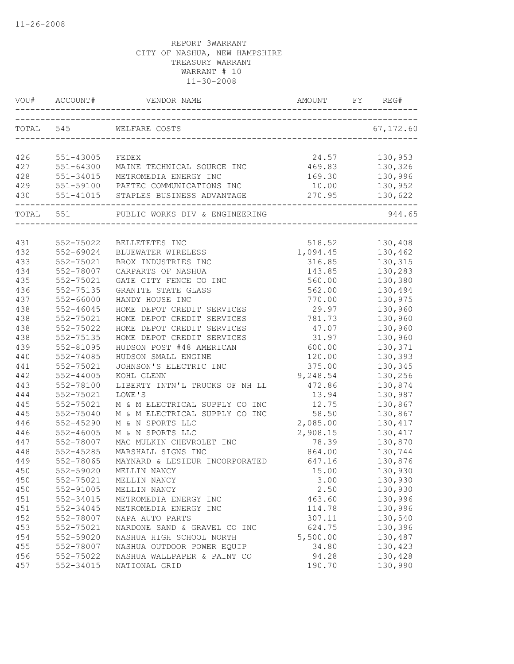|           | VOU# ACCOUNT# | VENDOR NAME                          | AMOUNT                             | REG#       |
|-----------|---------------|--------------------------------------|------------------------------------|------------|
| TOTAL 545 |               |                                      |                                    | 67, 172.60 |
|           |               | WELFARE COSTS                        |                                    |            |
| 426       | 551-43005     | FEDEX                                | 24.57                              | 130,953    |
| 427       |               | 551-64300 MAINE TECHNICAL SOURCE INC | 469.83                             | 130,326    |
| 428       |               | 551-34015 METROMEDIA ENERGY INC      | 169.30                             | 130,996    |
| 429       |               | 551-59100 PAETEC COMMUNICATIONS INC  | 10.00                              | 130,952    |
| 430       |               | 551-41015 STAPLES BUSINESS ADVANTAGE | 270.95<br>________________________ | 130,622    |
|           | TOTAL 551     | PUBLIC WORKS DIV & ENGINEERING       |                                    | 944.65     |
|           |               |                                      |                                    |            |
| 431       | 552-75022     | BELLETETES INC                       | 518.52                             | 130,408    |
| 432       | 552-69024     | BLUEWATER WIRELESS                   | 1,094.45                           | 130,462    |
| 433       | 552-75021     | BROX INDUSTRIES INC                  | 316.85                             | 130,315    |
| 434       | 552-78007     | CARPARTS OF NASHUA                   | 143.85                             | 130,283    |
| 435       | 552-75021     | GATE CITY FENCE CO INC               | 560.00                             | 130,380    |
| 436       | 552-75135     | GRANITE STATE GLASS                  | 562.00                             | 130,494    |
| 437       | 552-66000     | HANDY HOUSE INC                      | 770.00                             | 130,975    |
| 438       | 552-46045     | HOME DEPOT CREDIT SERVICES           | 29.97                              | 130,960    |
| 438       | 552-75021     | HOME DEPOT CREDIT SERVICES           | 781.73                             | 130,960    |
| 438       | 552-75022     | HOME DEPOT CREDIT SERVICES           | 47.07                              | 130,960    |
| 438       | 552-75135     | HOME DEPOT CREDIT SERVICES           | 31.97                              | 130,960    |
| 439       | 552-81095     | HUDSON POST #48 AMERICAN             | 600.00                             | 130,371    |
| 440       | 552-74085     | HUDSON SMALL ENGINE                  | 120.00                             | 130,393    |
| 441       | 552-75021     | JOHNSON'S ELECTRIC INC               | 375.00                             | 130,345    |
| 442       | $552 - 44005$ | KOHL GLENN                           | 9,248.54                           | 130,256    |
| 443       | 552-78100     | LIBERTY INTN'L TRUCKS OF NH LL       | 472.86                             | 130,874    |
| 444       | 552-75021     | LOWE'S                               | 13.94                              | 130,987    |
| 445       | 552-75021     | M & M ELECTRICAL SUPPLY CO INC       | 12.75                              | 130,867    |
| 445       | 552-75040     | M & M ELECTRICAL SUPPLY CO INC       | 58.50                              | 130,867    |
| 446       | 552-45290     | M & N SPORTS LLC                     | 2,085.00                           | 130,417    |
| 446       | $552 - 46005$ | M & N SPORTS LLC                     | 2,908.15                           | 130,417    |
| 447       | 552-78007     | MAC MULKIN CHEVROLET INC             | 78.39                              | 130,870    |
| 448       | 552-45285     | MARSHALL SIGNS INC                   | 864.00                             | 130,744    |
| 449       | 552-78065     | MAYNARD & LESIEUR INCORPORATED       | 647.16                             | 130,876    |
| 450       | 552-59020     | MELLIN NANCY                         | 15.00                              | 130,930    |
| 450       | 552-75021     | MELLIN NANCY                         | 3.00                               | 130,930    |
| 450       | 552-91005     | MELLIN NANCY                         | 2.50                               | 130,930    |
| 451       | 552-34015     | METROMEDIA ENERGY INC                | 463.60                             | 130,996    |
| 451       | 552-34045     | METROMEDIA ENERGY INC                | 114.78                             | 130,996    |
| 452       | 552-78007     | NAPA AUTO PARTS                      | 307.11                             | 130,540    |
| 453       | 552-75021     | NARDONE SAND & GRAVEL CO INC         | 624.75                             | 130,396    |
| 454       | 552-59020     | NASHUA HIGH SCHOOL NORTH             | 5,500.00                           | 130,487    |
| 455       | 552-78007     | NASHUA OUTDOOR POWER EQUIP           | 34.80                              | 130,423    |
| 456       | 552-75022     | NASHUA WALLPAPER & PAINT CO          | 94.28                              | 130,428    |
| 457       | 552-34015     | NATIONAL GRID                        | 190.70                             | 130,990    |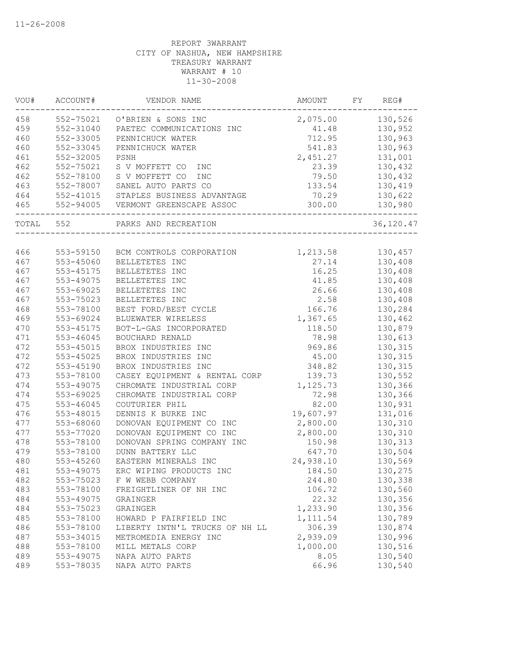| VOU#       | ACCOUNT#               | VENDOR NAME                    | AMOUNT         | FY | REG#               |
|------------|------------------------|--------------------------------|----------------|----|--------------------|
| 458        | 552-75021              | O'BRIEN & SONS INC             | 2,075.00       |    | 130,526            |
| 459        | 552-31040              | PAETEC COMMUNICATIONS INC      | 41.48          |    | 130,952            |
| 460        | 552-33005              | PENNICHUCK WATER               | 712.95         |    | 130,963            |
| 460        | 552-33045              | PENNICHUCK WATER               | 541.83         |    | 130,963            |
| 461        | 552-32005              | PSNH                           | 2,451.27       |    | 131,001            |
| 462        | 552-75021              | S V MOFFETT CO<br>INC          | 23.39          |    | 130,432            |
| 462        | 552-78100              | S V MOFFETT CO<br><b>INC</b>   | 79.50          |    | 130,432            |
| 463        | 552-78007              | SANEL AUTO PARTS CO            | 133.54         |    | 130,419            |
| 464        | 552-41015              | STAPLES BUSINESS ADVANTAGE     | 70.29          |    | 130,622            |
| 465        | 552-94005              | VERMONT GREENSCAPE ASSOC       | 300.00         |    | 130,980            |
| TOTAL      | 552                    | PARKS AND RECREATION           |                |    | 36,120.47          |
| 466        | 553-59150              | BCM CONTROLS CORPORATION       | 1,213.58       |    | 130,457            |
| 467        | 553-45060              | BELLETETES INC                 | 27.14          |    | 130,408            |
| 467        | 553-45175              | BELLETETES INC                 | 16.25          |    | 130,408            |
| 467        | 553-49075              | BELLETETES INC                 | 41.85          |    | 130,408            |
| 467        | 553-69025              | BELLETETES INC                 | 26.66          |    | 130,408            |
| 467        | 553-75023              | BELLETETES INC                 | 2.58           |    | 130,408            |
| 468        | 553-78100              | BEST FORD/BEST CYCLE           | 166.76         |    | 130,284            |
| 469        | 553-69024              | BLUEWATER WIRELESS             | 1,367.65       |    | 130,462            |
| 470        | 553-45175              | BOT-L-GAS INCORPORATED         | 118.50         |    | 130,879            |
| 471        | 553-46045              | BOUCHARD RENALD                | 78.98          |    | 130,613            |
| 472        | 553-45015              | BROX INDUSTRIES INC            | 969.86         |    | 130,315            |
| 472        | 553-45025              | BROX INDUSTRIES INC            | 45.00          |    | 130,315            |
| 472        | 553-45190              | BROX INDUSTRIES INC            | 348.82         |    | 130,315            |
| 473        | 553-78100              | CASEY EQUIPMENT & RENTAL CORP  | 139.73         |    | 130,552            |
| 474        | 553-49075              | CHROMATE INDUSTRIAL CORP       | 1,125.73       |    | 130,366            |
| 474        | 553-69025              | CHROMATE INDUSTRIAL CORP       |                |    |                    |
| 475        | 553-46045              | COUTURIER PHIL                 | 72.98<br>82.00 |    | 130,366<br>130,931 |
| 476        | 553-48015              | DENNIS K BURKE INC             | 19,607.97      |    | 131,016            |
| 477        |                        | DONOVAN EQUIPMENT CO INC       | 2,800.00       |    | 130,310            |
| 477        | 553-68060              |                                |                |    |                    |
|            | 553-77020<br>553-78100 | DONOVAN EQUIPMENT CO INC       | 2,800.00       |    | 130,310            |
| 478<br>479 |                        | DONOVAN SPRING COMPANY INC     | 150.98         |    | 130,313            |
|            | 553-78100<br>553-45260 | DUNN BATTERY LLC               | 647.70         |    | 130,504            |
| 480        |                        | EASTERN MINERALS INC           | 24,938.10      |    | 130,569            |
| 481        | 553-49075              | ERC WIPING PRODUCTS INC        | 184.50         |    | 130,275            |
| 482        | 553-75023              | F W WEBB COMPANY               | 244.80         |    | 130,338            |
| 483        | 553-78100              | FREIGHTLINER OF NH INC         | 106.72         |    | 130,560            |
| 484        | 553-49075              | GRAINGER                       | 22.32          |    | 130,356            |
| 484        | 553-75023              | GRAINGER                       | 1,233.90       |    | 130,356            |
| 485        | 553-78100              | HOWARD P FAIRFIELD INC         | 1, 111.54      |    | 130,789            |
| 486        | 553-78100              | LIBERTY INTN'L TRUCKS OF NH LL | 306.39         |    | 130,874            |
| 487        | 553-34015              | METROMEDIA ENERGY INC          | 2,939.09       |    | 130,996            |
| 488        | 553-78100              | MILL METALS CORP               | 1,000.00       |    | 130,516            |
| 489        | 553-49075              | NAPA AUTO PARTS                | 8.05           |    | 130,540            |
| 489        | 553-78035              | NAPA AUTO PARTS                | 66.96          |    | 130,540            |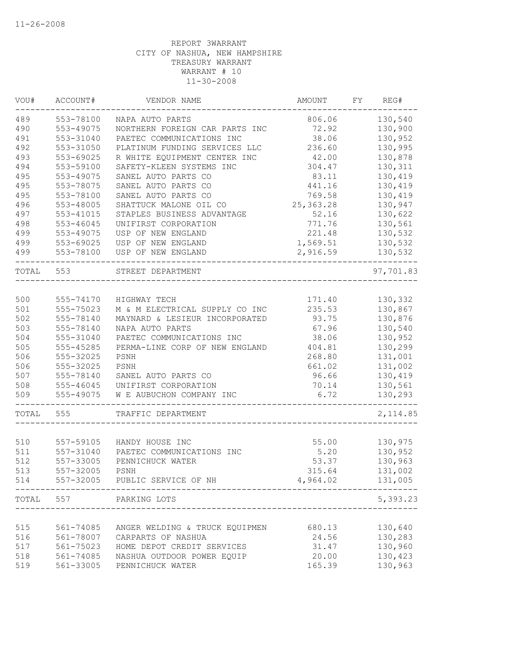| VOU#  | ACCOUNT#  | VENDOR NAME                    | AMOUNT      | FY | REG#      |
|-------|-----------|--------------------------------|-------------|----|-----------|
| 489   | 553-78100 | NAPA AUTO PARTS                | 806.06      |    | 130,540   |
| 490   | 553-49075 | NORTHERN FOREIGN CAR PARTS INC | 72.92       |    | 130,900   |
| 491   | 553-31040 | PAETEC COMMUNICATIONS INC      | 38.06       |    | 130,952   |
| 492   | 553-31050 | PLATINUM FUNDING SERVICES LLC  | 236.60      |    | 130,995   |
| 493   | 553-69025 | R WHITE EQUIPMENT CENTER INC   | 42.00       |    | 130,878   |
| 494   | 553-59100 | SAFETY-KLEEN SYSTEMS INC       | 304.47      |    | 130,311   |
| 495   | 553-49075 | SANEL AUTO PARTS CO            | 83.11       |    | 130,419   |
| 495   | 553-78075 | SANEL AUTO PARTS CO            | 441.16      |    | 130,419   |
| 495   | 553-78100 | SANEL AUTO PARTS CO            | 769.58      |    | 130,419   |
| 496   | 553-48005 | SHATTUCK MALONE OIL CO         | 25, 363. 28 |    | 130,947   |
| 497   | 553-41015 | STAPLES BUSINESS ADVANTAGE     | 52.16       |    | 130,622   |
| 498   | 553-46045 | UNIFIRST CORPORATION           | 771.76      |    | 130,561   |
| 499   | 553-49075 | USP OF NEW ENGLAND             | 221.48      |    | 130,532   |
| 499   | 553-69025 | USP OF NEW ENGLAND             | 1,569.51    |    | 130,532   |
| 499   | 553-78100 | USP OF NEW ENGLAND             | 2,916.59    |    | 130,532   |
| TOTAL | 553       | STREET DEPARTMENT              |             |    | 97,701.83 |
|       |           |                                |             |    |           |
| 500   | 555-74170 | HIGHWAY TECH                   | 171.40      |    | 130,332   |
| 501   | 555-75023 | M & M ELECTRICAL SUPPLY CO INC | 235.53      |    | 130,867   |
| 502   | 555-78140 | MAYNARD & LESIEUR INCORPORATED | 93.75       |    | 130,876   |
| 503   | 555-78140 | NAPA AUTO PARTS                | 67.96       |    | 130,540   |
| 504   | 555-31040 | PAETEC COMMUNICATIONS INC      | 38.06       |    | 130,952   |
| 505   | 555-45285 | PERMA-LINE CORP OF NEW ENGLAND | 404.81      |    | 130,299   |
| 506   | 555-32025 | PSNH                           | 268.80      |    | 131,001   |
| 506   | 555-32025 | PSNH                           | 661.02      |    | 131,002   |
| 507   | 555-78140 | SANEL AUTO PARTS CO            | 96.66       |    | 130,419   |
| 508   | 555-46045 | UNIFIRST CORPORATION           | 70.14       |    | 130,561   |
| 509   | 555-49075 | W E AUBUCHON COMPANY INC       | 6.72        |    | 130,293   |
| TOTAL | 555       | TRAFFIC DEPARTMENT             |             |    | 2, 114.85 |
|       |           |                                |             |    |           |
| 510   | 557-59105 | HANDY HOUSE INC                | 55.00       |    | 130,975   |
| 511   | 557-31040 | PAETEC COMMUNICATIONS INC      | 5.20        |    | 130,952   |
| 512   | 557-33005 | PENNICHUCK WATER               | 53.37       |    | 130,963   |
| 513   | 557-32005 | PSNH                           | 315.64      |    | 131,002   |
| 514   |           | 557-32005 PUBLIC SERVICE OF NH | 4,964.02    |    | 131,005   |
| TOTAL | 557       | PARKING LOTS                   |             |    | 5,393.23  |
|       |           |                                |             |    |           |
| 515   | 561-74085 | ANGER WELDING & TRUCK EQUIPMEN | 680.13      |    | 130,640   |
| 516   | 561-78007 | CARPARTS OF NASHUA             | 24.56       |    | 130,283   |
| 517   | 561-75023 | HOME DEPOT CREDIT SERVICES     | 31.47       |    | 130,960   |
| 518   | 561-74085 | NASHUA OUTDOOR POWER EQUIP     | 20.00       |    | 130,423   |
| 519   | 561-33005 | PENNICHUCK WATER               | 165.39      |    | 130,963   |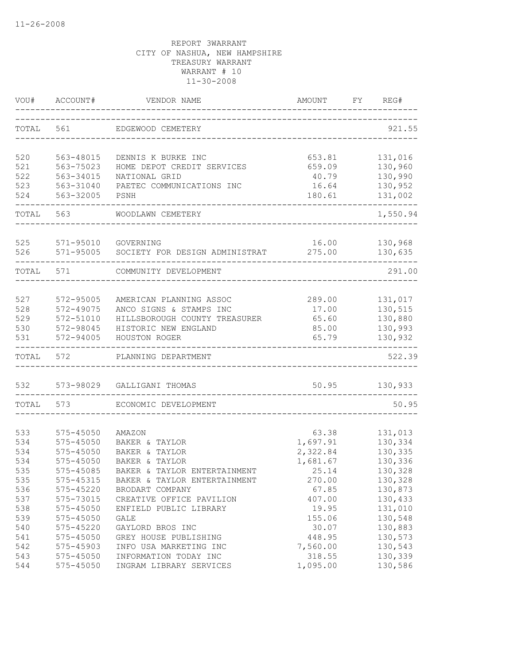| VOU#       | ACCOUNT#               | VENDOR NAME                           | AMOUNT         | FΥ | REG#               |
|------------|------------------------|---------------------------------------|----------------|----|--------------------|
| TOTAL      | 561                    | EDGEWOOD CEMETERY                     |                |    | 921.55             |
| 520        | 563-48015              | DENNIS K BURKE INC                    | 653.81         |    | 131,016            |
| 521        | 563-75023              | HOME DEPOT CREDIT SERVICES            | 659.09         |    | 130,960            |
| 522        | 563-34015              | NATIONAL GRID                         | 40.79          |    | 130,990            |
| 523        | 563-31040              | PAETEC COMMUNICATIONS INC             | 16.64          |    | 130,952            |
| 524        | 563-32005              | PSNH                                  | 180.61         |    | 131,002            |
| TOTAL      | 563                    | WOODLAWN CEMETERY                     |                |    | 1,550.94           |
| 525        | 571-95010              | GOVERNING                             | 16.00          |    | 130,968            |
| 526        | $571 - 95005$          | SOCIETY FOR DESIGN ADMINISTRAT        | 275.00         |    | 130,635            |
| TOTAL      | 571                    | COMMUNITY DEVELOPMENT                 |                |    | 291.00             |
|            |                        |                                       |                |    |                    |
| 527        | 572-95005              | AMERICAN PLANNING ASSOC               | 289.00         |    | 131,017            |
| 528        | 572-49075              | ANCO SIGNS & STAMPS INC               | 17.00          |    | 130,515            |
| 529        | 572-51010              | HILLSBOROUGH COUNTY TREASURER         | 65.60          |    | 130,880            |
| 530<br>531 | 572-98045<br>572-94005 | HISTORIC NEW ENGLAND<br>HOUSTON ROGER | 85.00<br>65.79 |    | 130,993<br>130,932 |
| TOTAL      | 572                    | PLANNING DEPARTMENT                   |                |    | 522.39             |
| 532        | 573-98029              | GALLIGANI THOMAS                      | 50.95          |    | 130,933            |
|            |                        |                                       |                |    |                    |
| TOTAL      | 573                    | ECONOMIC DEVELOPMENT                  |                |    | 50.95              |
| 533        | 575-45050              | AMAZON                                | 63.38          |    | 131,013            |
| 534        | 575-45050              | BAKER & TAYLOR                        | 1,697.91       |    | 130,334            |
| 534        | 575-45050              | BAKER & TAYLOR                        | 2,322.84       |    | 130,335            |
| 534        | 575-45050              | BAKER & TAYLOR                        | 1,681.67       |    | 130,336            |
| 535        | 575-45085              | BAKER & TAYLOR ENTERTAINMENT          | 25.14          |    | 130,328            |
| 535        | 575-45315              | BAKER & TAYLOR ENTERTAINMENT          | 270.00         |    | 130,328            |
| 536        | 575-45220              | BRODART COMPANY                       | 67.85          |    | 130,873            |
| 537        | 575-73015              | CREATIVE OFFICE PAVILION              | 407.00         |    | 130,433            |
| 538        | 575-45050              | ENFIELD PUBLIC LIBRARY                | 19.95          |    | 131,010            |
| 539        | 575-45050              | GALE                                  | 155.06         |    | 130,548            |
| 540        | 575-45220              | GAYLORD BROS INC                      | 30.07          |    | 130,883            |
| 541        | 575-45050              | GREY HOUSE PUBLISHING                 | 448.95         |    | 130,573            |
| 542        | 575-45903              | INFO USA MARKETING INC                | 7,560.00       |    | 130,543            |
| 543        | 575-45050              | INFORMATION TODAY INC                 | 318.55         |    | 130,339            |
| 544        | 575-45050              | INGRAM LIBRARY SERVICES               | 1,095.00       |    | 130,586            |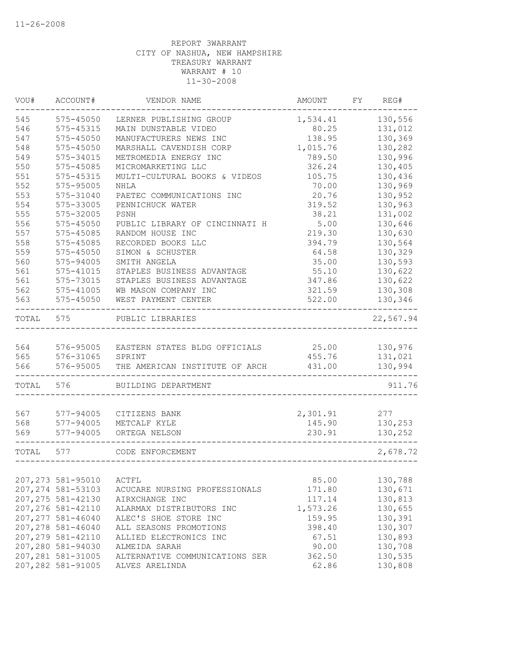| VOU#  | ACCOUNT#           | VENDOR NAME                    | AMOUNT   | FY | REG#      |
|-------|--------------------|--------------------------------|----------|----|-----------|
| 545   | 575-45050          | LERNER PUBLISHING GROUP        | 1,534.41 |    | 130,556   |
| 546   | 575-45315          | MAIN DUNSTABLE VIDEO           | 80.25    |    | 131,012   |
| 547   | 575-45050          | MANUFACTURERS NEWS INC         | 138.95   |    | 130,369   |
| 548   | 575-45050          | MARSHALL CAVENDISH CORP        | 1,015.76 |    | 130,282   |
| 549   | 575-34015          | METROMEDIA ENERGY INC          | 789.50   |    | 130,996   |
| 550   | 575-45085          | MICROMARKETING LLC             | 326.24   |    | 130,405   |
| 551   | 575-45315          | MULTI-CULTURAL BOOKS & VIDEOS  | 105.75   |    | 130,436   |
| 552   | 575-95005          | NHLA                           | 70.00    |    | 130,969   |
| 553   | 575-31040          | PAETEC COMMUNICATIONS INC      | 20.76    |    | 130,952   |
| 554   | 575-33005          | PENNICHUCK WATER               | 319.52   |    | 130,963   |
| 555   | 575-32005          | PSNH                           | 38.21    |    | 131,002   |
| 556   | 575-45050          | PUBLIC LIBRARY OF CINCINNATI H | 5.00     |    | 130,646   |
| 557   | 575-45085          | RANDOM HOUSE INC               | 219.30   |    | 130,630   |
| 558   | 575-45085          | RECORDED BOOKS LLC             | 394.79   |    | 130,564   |
| 559   | 575-45050          | SIMON & SCHUSTER               | 64.58    |    | 130,329   |
| 560   | 575-94005          | SMITH ANGELA                   | 35.00    |    | 130,593   |
| 561   | 575-41015          | STAPLES BUSINESS ADVANTAGE     | 55.10    |    | 130,622   |
| 561   | 575-73015          | STAPLES BUSINESS ADVANTAGE     | 347.86   |    | 130,622   |
| 562   | 575-41005          | WB MASON COMPANY INC           | 321.59   |    | 130,308   |
| 563   | 575-45050          | WEST PAYMENT CENTER            | 522.00   |    | 130,346   |
| TOTAL | 575                | PUBLIC LIBRARIES               |          |    | 22,567.94 |
|       |                    |                                |          |    |           |
| 564   | 576-95005          | EASTERN STATES BLDG OFFICIALS  | 25.00    |    | 130,976   |
| 565   | 576-31065          | SPRINT                         | 455.76   |    | 131,021   |
| 566   | 576-95005          | THE AMERICAN INSTITUTE OF ARCH | 431.00   |    | 130,994   |
| TOTAL | 576                | BUILDING DEPARTMENT            |          |    | 911.76    |
| 567   | 577-94005          | CITIZENS BANK                  | 2,301.91 |    | 277       |
| 568   | 577-94005          | METCALF KYLE                   | 145.90   |    | 130,253   |
| 569   | 577-94005          | ORTEGA NELSON                  | 230.91   |    | 130,252   |
|       |                    |                                |          |    |           |
| TOTAL | 577                | CODE ENFORCEMENT               |          |    | 2,678.72  |
|       |                    |                                |          |    |           |
|       | 207, 273 581-95010 | ACTFL                          | 85.00    |    | 130,788   |
|       | 207, 274 581-53103 | ACUCARE NURSING PROFESSIONALS  | 171.80   |    | 130,671   |
|       | 207, 275 581-42130 | AIRXCHANGE INC                 | 117.14   |    | 130,813   |
|       | 207,276 581-42110  | ALARMAX DISTRIBUTORS INC       | 1,573.26 |    | 130,655   |
|       | 207, 277 581-46040 | ALEC'S SHOE STORE INC          | 159.95   |    | 130,391   |
|       | 207,278 581-46040  | ALL SEASONS PROMOTIONS         | 398.40   |    | 130,307   |
|       | 207, 279 581-42110 | ALLIED ELECTRONICS INC         | 67.51    |    | 130,893   |
|       | 207,280 581-94030  | ALMEIDA SARAH                  | 90.00    |    | 130,708   |
|       | 207, 281 581-31005 | ALTERNATIVE COMMUNICATIONS SER | 362.50   |    | 130,535   |
|       | 207,282 581-91005  | ALVES ARELINDA                 | 62.86    |    | 130,808   |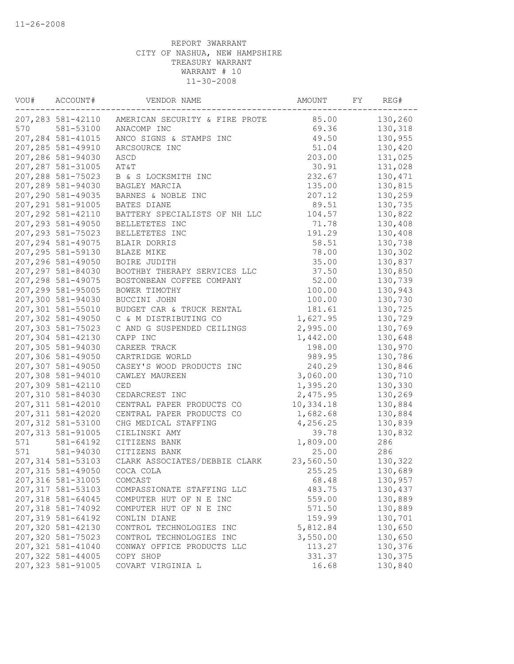| VOU# | ACCOUNT#           | VENDOR NAME                    | AMOUNT    | FY | REG#    |
|------|--------------------|--------------------------------|-----------|----|---------|
|      | 207, 283 581-42110 | AMERICAN SECURITY & FIRE PROTE | 85.00     |    | 130,260 |
| 570  | 581-53100          | ANACOMP INC                    | 69.36     |    | 130,318 |
|      | 207, 284 581-41015 | ANCO SIGNS & STAMPS INC        | 49.50     |    | 130,955 |
|      | 207, 285 581-49910 | ARCSOURCE INC                  | 51.04     |    | 130,420 |
|      | 207,286 581-94030  | ASCD                           | 203.00    |    | 131,025 |
|      | 207,287 581-31005  | AT&T                           | 30.91     |    | 131,028 |
|      | 207,288 581-75023  | B & S LOCKSMITH INC            | 232.67    |    | 130,471 |
|      | 207,289 581-94030  | BAGLEY MARCIA                  | 135.00    |    | 130,815 |
|      | 207,290 581-49035  | BARNES & NOBLE INC             | 207.12    |    | 130,259 |
|      | 207, 291 581-91005 | BATES DIANE                    | 89.51     |    | 130,735 |
|      | 207, 292 581-42110 | BATTERY SPECIALISTS OF NH LLC  | 104.57    |    | 130,822 |
|      | 207,293 581-49050  | BELLETETES INC                 | 71.78     |    | 130,408 |
|      | 207, 293 581-75023 | BELLETETES INC                 | 191.29    |    | 130,408 |
|      | 207, 294 581-49075 | BLAIR DORRIS                   | 58.51     |    | 130,738 |
|      | 207, 295 581-59130 | BLAZE MIKE                     | 78.00     |    | 130,302 |
|      | 207,296 581-49050  | BOIRE JUDITH                   | 35.00     |    | 130,837 |
|      | 207, 297 581-84030 | BOOTHBY THERAPY SERVICES LLC   | 37.50     |    | 130,850 |
|      | 207, 298 581-49075 | BOSTONBEAN COFFEE COMPANY      | 52.00     |    | 130,739 |
|      | 207,299 581-95005  | BOWER TIMOTHY                  | 100.00    |    | 130,943 |
|      | 207,300 581-94030  | BUCCINI JOHN                   | 100.00    |    | 130,730 |
|      | 207,301 581-55010  | BUDGET CAR & TRUCK RENTAL      | 181.61    |    | 130,725 |
|      | 207,302 581-49050  | C & M DISTRIBUTING CO          | 1,627.95  |    | 130,729 |
|      | 207,303 581-75023  | C AND G SUSPENDED CEILINGS     | 2,995.00  |    | 130,769 |
|      | 207,304 581-42130  | CAPP INC                       | 1,442.00  |    | 130,648 |
|      | 207,305 581-94030  | CAREER TRACK                   | 198.00    |    | 130,970 |
|      | 207,306 581-49050  | CARTRIDGE WORLD                | 989.95    |    | 130,786 |
|      | 207,307 581-49050  | CASEY'S WOOD PRODUCTS INC      | 240.29    |    | 130,846 |
|      | 207,308 581-94010  | CAWLEY MAUREEN                 | 3,060.00  |    | 130,710 |
|      | 207,309 581-42110  | CED                            | 1,395.20  |    | 130,330 |
|      | 207,310 581-84030  | CEDARCREST INC                 | 2,475.95  |    | 130,269 |
|      | 207, 311 581-42010 | CENTRAL PAPER PRODUCTS CO      | 10,334.18 |    | 130,884 |
|      | 207, 311 581-42020 | CENTRAL PAPER PRODUCTS CO      | 1,682.68  |    | 130,884 |
|      | 207,312 581-53100  | CHG MEDICAL STAFFING           | 4,256.25  |    | 130,839 |
|      | 207, 313 581-91005 | CIELINSKI AMY                  | 39.78     |    | 130,832 |
| 571  | 581-64192          | CITIZENS BANK                  | 1,809.00  |    | 286     |
| 571  | 581-94030          | CITIZENS BANK                  | 25.00     |    | 286     |
|      | 207, 314 581-53103 | CLARK ASSOCIATES/DEBBIE CLARK  | 23,560.50 |    | 130,322 |
|      | 207,315 581-49050  | COCA COLA                      | 255.25    |    | 130,689 |
|      | 207,316 581-31005  | COMCAST                        | 68.48     |    | 130,957 |
|      | 207, 317 581-53103 | COMPASSIONATE STAFFING LLC     | 483.75    |    | 130,437 |
|      | 207,318 581-64045  | COMPUTER HUT OF N E INC        | 559.00    |    | 130,889 |
|      | 207,318 581-74092  | COMPUTER HUT OF N E INC        | 571.50    |    | 130,889 |
|      | 207,319 581-64192  | CONLIN DIANE                   | 159.99    |    | 130,701 |
|      | 207,320 581-42130  | CONTROL TECHNOLOGIES INC       | 5,812.84  |    | 130,650 |
|      | 207,320 581-75023  | CONTROL TECHNOLOGIES INC       | 3,550.00  |    | 130,650 |
|      | 207,321 581-41040  | CONWAY OFFICE PRODUCTS LLC     | 113.27    |    | 130,376 |
|      | 207,322 581-44005  | COPY SHOP                      | 331.37    |    | 130,375 |
|      | 207,323 581-91005  | COVART VIRGINIA L              | 16.68     |    | 130,840 |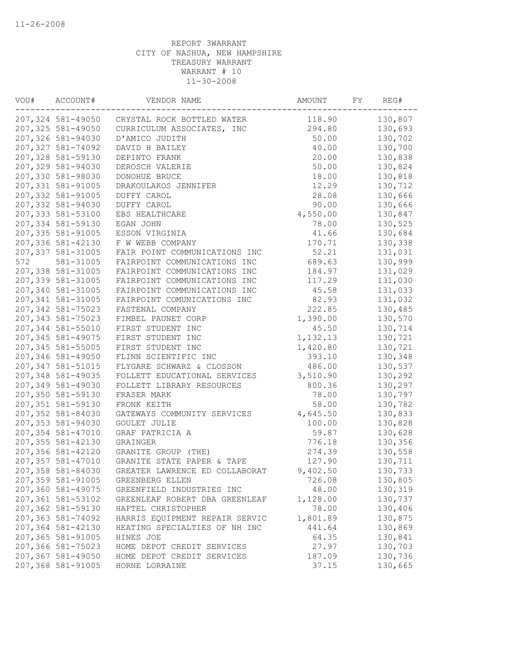|                   | 207,324 581-49050 CRYSTAL ROCK BOTTLED WATER |                                | 118.90   | 130,807 |
|-------------------|----------------------------------------------|--------------------------------|----------|---------|
| 207,325 581-49050 |                                              | CURRICULUM ASSOCIATES, INC     | 294.80   | 130,693 |
| 207,326 581-94030 | D'AMICO JUDITH                               |                                | 50.00    | 130,702 |
| 207,327 581-74092 | DAVID H BAILEY                               |                                | 40.00    | 130,700 |
| 207,328 581-59130 | DEPINTO FRANK                                |                                | 20.00    | 130,838 |
| 207,329 581-94030 | DEROSCH VALERIE                              |                                | 50.00    | 130,824 |
| 207,330 581-98030 | DONOHUE BRUCE                                |                                | 18.00    | 130,818 |
| 207,331 581-91005 | DRAKOULAKOS JENNIFER                         |                                | 12.29    | 130,712 |
| 207,332 581-91005 | DUFFY CAROL                                  |                                | 28.08    | 130,666 |
| 207,332 581-94030 | DUFFY CAROL                                  |                                | 90.00    | 130,666 |
| 207,333 581-53100 | EBS HEALTHCARE                               |                                | 4,550.00 | 130,847 |
| 207,334 581-59130 | EGAN JOHN                                    |                                | 78.00    | 130,525 |
| 207,335 581-91005 | ESSON VIRGINIA                               |                                | 41.66    | 130,684 |
| 207,336 581-42130 | F W WEBB COMPANY                             |                                | 170.71   | 130,338 |
| 207,337 581-31005 |                                              | FAIR POINT COMMUNICATIONS INC  | 52.21    | 131,031 |
| 572<br>581-31005  |                                              | FAIRPOINT COMMUNICATIONS INC   | 689.63   | 130,999 |
| 207,338 581-31005 |                                              | FAIRPOINT COMMUNICATIONS INC   | 184.97   | 131,029 |
| 207,339 581-31005 |                                              | FAIRPOINT COMMUNICATIONS INC   | 117.29   | 131,030 |
| 207,340 581-31005 |                                              | FAIRPOINT COMMUNICATIONS INC   | 45.58    | 131,033 |
| 207,341 581-31005 |                                              | FAIRPOINT COMUNICATIONS INC    | 82.93    | 131,032 |
| 207,342 581-75023 | FASTENAL COMPANY                             |                                | 222.85   | 130,485 |
| 207,343 581-75023 | FIMBEL PAUNET CORP                           |                                | 1,390.00 | 130,570 |
| 207,344 581-55010 | FIRST STUDENT INC                            |                                | 45.50    | 130,714 |
| 207,345 581-49075 | FIRST STUDENT INC                            |                                | 1,132.13 | 130,721 |
| 207,345 581-55005 | FIRST STUDENT INC                            |                                | 1,420.80 | 130,721 |
| 207,346 581-49050 | FLINN SCIENTIFIC INC                         |                                | 393.10   | 130,348 |
| 207,347 581-51015 |                                              | FLYGARE SCHWARZ & CLOSSON      | 486.00   | 130,537 |
| 207,348 581-49035 |                                              | FOLLETT EDUCATIONAL SERVICES   | 3,510.90 | 130,292 |
| 207,349 581-49030 |                                              | FOLLETT LIBRARY RESOURCES      | 800.36   | 130,297 |
| 207,350 581-59130 | FRASER MARK                                  |                                | 78.00    | 130,797 |
| 207,351 581-59130 | FRONK KEITH                                  |                                | 58.00    | 130,782 |
| 207,352 581-84030 |                                              | GATEWAYS COMMUNITY SERVICES    | 4,645.50 | 130,833 |
| 207,353 581-94030 | <b>GOULET JULIE</b>                          |                                | 100.00   | 130,828 |
| 207,354 581-47010 | GRAF PATRICIA A                              |                                | 59.87    | 130,628 |
| 207,355 581-42130 | GRAINGER                                     |                                | 776.18   | 130,356 |
| 207,356 581-42120 | GRANITE GROUP (THE)                          |                                | 274.39   | 130,558 |
| 207,357 581-47010 |                                              | GRANITE STATE PAPER & TAPE     | 127.90   | 130,711 |
| 207,358 581-84030 |                                              | GREATER LAWRENCE ED COLLABORAT | 9,402.50 | 130,733 |
| 207,359 581-91005 | GREENBERG ELLEN                              |                                | 726.08   | 130,805 |
| 207,360 581-49075 |                                              | GREENFIELD INDUSTRIES INC      | 48.00    | 130,319 |
| 207,361 581-53102 |                                              | GREENLEAF ROBERT DBA GREENLEAF | 1,128.00 | 130,737 |
| 207,362 581-59130 | HAFTEL CHRISTOPHER                           |                                | 78.00    | 130,406 |
| 207,363 581-74092 |                                              | HARRIS EQUIPMENT REPAIR SERVIC | 1,801.89 | 130,875 |
| 207,364 581-42130 |                                              | HEATING SPECIALTIES OF NH INC  | 441.64   | 130,869 |
| 207,365 581-91005 | HINES JOE                                    |                                | 64.35    | 130,841 |
| 207,366 581-75023 |                                              | HOME DEPOT CREDIT SERVICES     | 27.97    | 130,703 |
| 207,367 581-49050 |                                              | HOME DEPOT CREDIT SERVICES     | 187.09   | 130,736 |
| 207,368 581-91005 | HORNE LORRAINE                               |                                | 37.15    | 130,665 |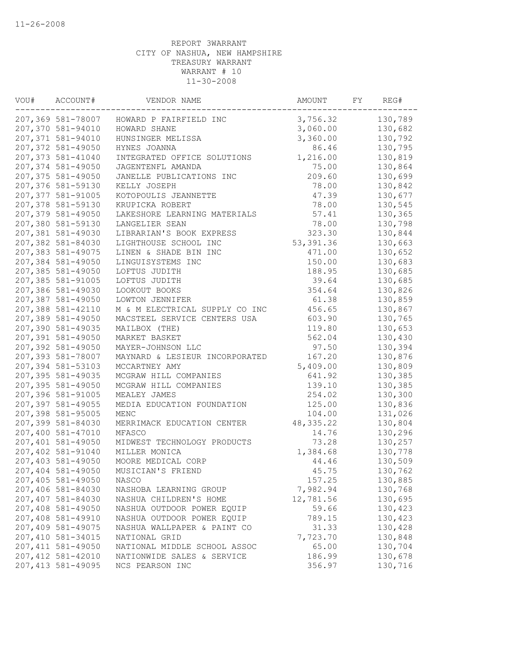| VOU# | ACCOUNT#           | VENDOR NAME                    | AMOUNT     | FY | REG#    |
|------|--------------------|--------------------------------|------------|----|---------|
|      | 207,369 581-78007  | HOWARD P FAIRFIELD INC         | 3,756.32   |    | 130,789 |
|      | 207,370 581-94010  | HOWARD SHANE                   | 3,060.00   |    | 130,682 |
|      | 207,371 581-94010  | HUNSINGER MELISSA              | 3,360.00   |    | 130,792 |
|      | 207,372 581-49050  | HYNES JOANNA                   | 86.46      |    | 130,795 |
|      | 207,373 581-41040  | INTEGRATED OFFICE SOLUTIONS    | 1,216.00   |    | 130,819 |
|      | 207,374 581-49050  | JAGENTENFL AMANDA              | 75.00      |    | 130,864 |
|      | 207,375 581-49050  | JANELLE PUBLICATIONS INC       | 209.60     |    | 130,699 |
|      | 207,376 581-59130  | KELLY JOSEPH                   | 78.00      |    | 130,842 |
|      | 207,377 581-91005  | KOTOPOULIS JEANNETTE           | 47.39      |    | 130,677 |
|      | 207,378 581-59130  | KRUPICKA ROBERT                | 78.00      |    | 130,545 |
|      | 207,379 581-49050  | LAKESHORE LEARNING MATERIALS   | 57.41      |    | 130,365 |
|      | 207,380 581-59130  | LANGELIER SEAN                 | 78.00      |    | 130,798 |
|      | 207,381 581-49030  | LIBRARIAN'S BOOK EXPRESS       | 323.30     |    | 130,844 |
|      | 207,382 581-84030  | LIGHTHOUSE SCHOOL INC          | 53, 391.36 |    | 130,663 |
|      | 207,383 581-49075  | LINEN & SHADE BIN INC          | 471.00     |    | 130,652 |
|      | 207,384 581-49050  | LINGUISYSTEMS INC              | 150.00     |    | 130,683 |
|      | 207,385 581-49050  | LOFTUS JUDITH                  | 188.95     |    | 130,685 |
|      | 207,385 581-91005  | LOFTUS JUDITH                  | 39.64      |    | 130,685 |
|      | 207,386 581-49030  | LOOKOUT BOOKS                  | 354.64     |    | 130,826 |
|      | 207,387 581-49050  | LOWTON JENNIFER                | 61.38      |    | 130,859 |
|      | 207,388 581-42110  | M & M ELECTRICAL SUPPLY CO INC | 456.65     |    | 130,867 |
|      | 207,389 581-49050  | MACSTEEL SERVICE CENTERS USA   | 603.90     |    | 130,765 |
|      | 207,390 581-49035  | MAILBOX (THE)                  | 119.80     |    | 130,653 |
|      | 207,391 581-49050  | MARKET BASKET                  | 562.04     |    | 130,430 |
|      | 207,392 581-49050  | MAYER-JOHNSON LLC              | 97.50      |    | 130,394 |
|      | 207,393 581-78007  | MAYNARD & LESIEUR INCORPORATED | 167.20     |    | 130,876 |
|      | 207,394 581-53103  | MCCARTNEY AMY                  | 5,409.00   |    | 130,809 |
|      | 207,395 581-49035  | MCGRAW HILL COMPANIES          | 641.92     |    | 130,385 |
|      | 207,395 581-49050  | MCGRAW HILL COMPANIES          | 139.10     |    | 130,385 |
|      | 207,396 581-91005  | MEALEY JAMES                   | 254.02     |    | 130,300 |
|      | 207,397 581-49055  | MEDIA EDUCATION FOUNDATION     | 125.00     |    | 130,836 |
|      | 207,398 581-95005  | MENC                           | 104.00     |    | 131,026 |
|      | 207,399 581-84030  | MERRIMACK EDUCATION CENTER     | 48, 335.22 |    | 130,804 |
|      | 207,400 581-47010  | MFASCO                         | 14.76      |    | 130,296 |
|      | 207,401 581-49050  | MIDWEST TECHNOLOGY PRODUCTS    | 73.28      |    | 130,257 |
|      | 207,402 581-91040  | MILLER MONICA                  | 1,384.68   |    | 130,778 |
|      | 207,403 581-49050  | MOORE MEDICAL CORP             | 44.46      |    | 130,509 |
|      | 207,404 581-49050  | MUSICIAN'S FRIEND              | 45.75      |    | 130,762 |
|      | 207,405 581-49050  | NASCO                          | 157.25     |    | 130,885 |
|      | 207,406 581-84030  | NASHOBA LEARNING GROUP         | 7,982.94   |    | 130,768 |
|      | 207,407 581-84030  | NASHUA CHILDREN'S HOME         | 12,781.56  |    | 130,695 |
|      | 207,408 581-49050  | NASHUA OUTDOOR POWER EQUIP     | 59.66      |    | 130,423 |
|      | 207,408 581-49910  | NASHUA OUTDOOR POWER EQUIP     | 789.15     |    | 130,423 |
|      | 207,409 581-49075  | NASHUA WALLPAPER & PAINT CO    | 31.33      |    | 130,428 |
|      | 207,410 581-34015  | NATIONAL GRID                  | 7,723.70   |    | 130,848 |
|      | 207, 411 581-49050 | NATIONAL MIDDLE SCHOOL ASSOC   | 65.00      |    | 130,704 |
|      | 207, 412 581-42010 | NATIONWIDE SALES & SERVICE     | 186.99     |    | 130,678 |
|      | 207, 413 581-49095 | NCS PEARSON INC                | 356.97     |    | 130,716 |
|      |                    |                                |            |    |         |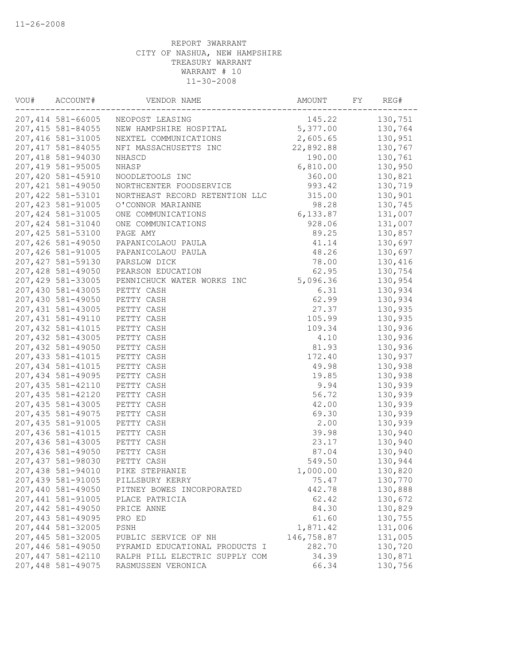| VOU# | ACCOUNT#           | VENDOR NAME                    | AMOUNT     | FY | REG#    |
|------|--------------------|--------------------------------|------------|----|---------|
|      | 207,414 581-66005  | NEOPOST LEASING                | 145.22     |    | 130,751 |
|      | 207,415 581-84055  | NEW HAMPSHIRE HOSPITAL         | 5,377.00   |    | 130,764 |
|      | 207,416 581-31005  | NEXTEL COMMUNICATIONS          | 2,605.65   |    | 130,951 |
|      | 207, 417 581-84055 | NFI MASSACHUSETTS INC          | 22,892.88  |    | 130,767 |
|      | 207,418 581-94030  | NHASCD                         | 190.00     |    | 130,761 |
|      | 207,419 581-95005  | NHASP                          | 6,810.00   |    | 130,950 |
|      | 207,420 581-45910  | NOODLETOOLS INC                | 360.00     |    | 130,821 |
|      | 207,421 581-49050  | NORTHCENTER FOODSERVICE        | 993.42     |    | 130,719 |
|      | 207, 422 581-53101 | NORTHEAST RECORD RETENTION LLC | 315.00     |    | 130,901 |
|      | 207, 423 581-91005 | O'CONNOR MARIANNE              | 98.28      |    | 130,745 |
|      | 207, 424 581-31005 | ONE COMMUNICATIONS             | 6,133.87   |    | 131,007 |
|      | 207,424 581-31040  | ONE COMMUNICATIONS             | 928.06     |    | 131,007 |
|      | 207,425 581-53100  | PAGE AMY                       | 89.25      |    | 130,857 |
|      | 207,426 581-49050  | PAPANICOLAOU PAULA             | 41.14      |    | 130,697 |
|      | 207,426 581-91005  | PAPANICOLAOU PAULA             | 48.26      |    | 130,697 |
|      | 207,427 581-59130  | PARSLOW DICK                   | 78.00      |    | 130,416 |
|      | 207,428 581-49050  | PEARSON EDUCATION              | 62.95      |    | 130,754 |
|      | 207,429 581-33005  | PENNICHUCK WATER WORKS INC     | 5,096.36   |    | 130,954 |
|      | 207,430 581-43005  | PETTY CASH                     | 6.31       |    | 130,934 |
|      | 207,430 581-49050  | PETTY CASH                     | 62.99      |    | 130,934 |
|      | 207,431 581-43005  | PETTY CASH                     | 27.37      |    | 130,935 |
|      | 207, 431 581-49110 | PETTY CASH                     | 105.99     |    | 130,935 |
|      | 207, 432 581-41015 | PETTY CASH                     | 109.34     |    | 130,936 |
|      | 207,432 581-43005  | PETTY CASH                     | 4.10       |    | 130,936 |
|      | 207,432 581-49050  | PETTY CASH                     | 81.93      |    | 130,936 |
|      | 207, 433 581-41015 |                                |            |    |         |
|      |                    | PETTY CASH                     | 172.40     |    | 130,937 |
|      | 207,434 581-41015  | PETTY CASH                     | 49.98      |    | 130,938 |
|      | 207,434 581-49095  | PETTY CASH                     | 19.85      |    | 130,938 |
|      | 207,435 581-42110  | PETTY CASH                     | 9.94       |    | 130,939 |
|      | 207,435 581-42120  | PETTY CASH                     | 56.72      |    | 130,939 |
|      | 207,435 581-43005  | PETTY CASH                     | 42.00      |    | 130,939 |
|      | 207, 435 581-49075 | PETTY CASH                     | 69.30      |    | 130,939 |
|      | 207,435 581-91005  | PETTY CASH                     | 2.00       |    | 130,939 |
|      | 207,436 581-41015  | PETTY CASH                     | 39.98      |    | 130,940 |
|      | 207,436 581-43005  | PETTY CASH                     | 23.17      |    | 130,940 |
|      | 207,436 581-49050  | PETTY CASH                     | 87.04      |    | 130,940 |
|      | 207,437 581-98030  | PETTY CASH                     | 549.50     |    | 130,944 |
|      | 207,438 581-94010  | PIKE STEPHANIE                 | 1,000.00   |    | 130,820 |
|      | 207,439 581-91005  | PILLSBURY KERRY                | 75.47      |    | 130,770 |
|      | 207,440 581-49050  | PITNEY BOWES INCORPORATED      | 442.78     |    | 130,888 |
|      | 207,441 581-91005  | PLACE PATRICIA                 | 62.42      |    | 130,672 |
|      | 207,442 581-49050  | PRICE ANNE                     | 84.30      |    | 130,829 |
|      | 207,443 581-49095  | PRO ED                         | 61.60      |    | 130,755 |
|      | 207,444 581-32005  | PSNH                           | 1,871.42   |    | 131,006 |
|      | 207,445 581-32005  | PUBLIC SERVICE OF NH           | 146,758.87 |    | 131,005 |
|      | 207,446 581-49050  | PYRAMID EDUCATIONAL PRODUCTS I | 282.70     |    | 130,720 |
|      | 207,447 581-42110  | RALPH PILL ELECTRIC SUPPLY COM | 34.39      |    | 130,871 |
|      | 207,448 581-49075  | RASMUSSEN VERONICA             | 66.34      |    | 130,756 |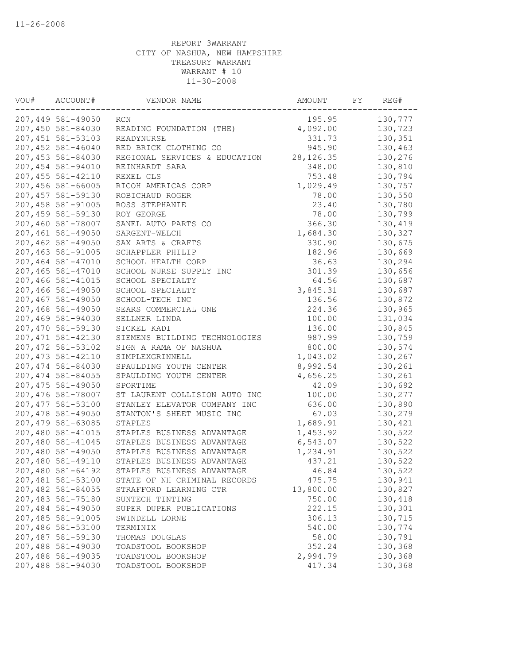| VOU# | ACCOUNT#           | VENDOR NAME                   | AMOUNT     | FY | REG#    |
|------|--------------------|-------------------------------|------------|----|---------|
|      | 207,449 581-49050  | RCN                           | 195.95     |    | 130,777 |
|      | 207,450 581-84030  | READING FOUNDATION (THE)      | 4,092.00   |    | 130,723 |
|      | 207, 451 581-53103 | READYNURSE                    | 331.73     |    | 130,351 |
|      | 207,452 581-46040  | RED BRICK CLOTHING CO         | 945.90     |    | 130,463 |
|      | 207,453 581-84030  | REGIONAL SERVICES & EDUCATION | 28, 126.35 |    | 130,276 |
|      | 207,454 581-94010  | REINHARDT SARA                | 348.00     |    | 130,810 |
|      | 207, 455 581-42110 | REXEL CLS                     | 753.48     |    | 130,794 |
|      | 207,456 581-66005  | RICOH AMERICAS CORP           | 1,029.49   |    | 130,757 |
|      | 207,457 581-59130  | ROBICHAUD ROGER               | 78.00      |    | 130,550 |
|      | 207,458 581-91005  | ROSS STEPHANIE                | 23.40      |    | 130,780 |
|      | 207,459 581-59130  | ROY GEORGE                    | 78.00      |    | 130,799 |
|      | 207,460 581-78007  | SANEL AUTO PARTS CO           | 366.30     |    | 130,419 |
|      | 207,461 581-49050  | SARGENT-WELCH                 | 1,684.30   |    | 130,327 |
|      | 207,462 581-49050  | SAX ARTS & CRAFTS             | 330.90     |    | 130,675 |
|      | 207,463 581-91005  | SCHAPPLER PHILIP              | 182.96     |    | 130,669 |
|      | 207,464 581-47010  | SCHOOL HEALTH CORP            | 36.63      |    | 130,294 |
|      | 207,465 581-47010  | SCHOOL NURSE SUPPLY INC       | 301.39     |    | 130,656 |
|      | 207,466 581-41015  | SCHOOL SPECIALTY              | 64.56      |    | 130,687 |
|      | 207,466 581-49050  | SCHOOL SPECIALTY              | 3,845.31   |    | 130,687 |
|      | 207,467 581-49050  | SCHOOL-TECH INC               | 136.56     |    | 130,872 |
|      | 207,468 581-49050  | SEARS COMMERCIAL ONE          | 224.36     |    | 130,965 |
|      | 207,469 581-94030  | SELLNER LINDA                 | 100.00     |    | 131,034 |
|      | 207,470 581-59130  | SICKEL KADI                   | 136.00     |    | 130,845 |
|      | 207, 471 581-42130 | SIEMENS BUILDING TECHNOLOGIES | 987.99     |    | 130,759 |
|      | 207, 472 581-53102 | SIGN A RAMA OF NASHUA         | 800.00     |    | 130,574 |
|      | 207, 473 581-42110 | SIMPLEXGRINNELL               | 1,043.02   |    | 130,267 |
|      | 207,474 581-84030  | SPAULDING YOUTH CENTER        | 8,992.54   |    | 130,261 |
|      | 207,474 581-84055  | SPAULDING YOUTH CENTER        | 4,656.25   |    | 130,261 |
|      | 207,475 581-49050  | SPORTIME                      | 42.09      |    | 130,692 |
|      | 207,476 581-78007  | ST LAURENT COLLISION AUTO INC | 100.00     |    | 130,277 |
|      | 207, 477 581-53100 | STANLEY ELEVATOR COMPANY INC  | 636.00     |    | 130,890 |
|      | 207,478 581-49050  | STANTON'S SHEET MUSIC INC     | 67.03      |    | 130,279 |
|      | 207,479 581-63085  | STAPLES                       | 1,689.91   |    | 130,421 |
|      | 207,480 581-41015  | STAPLES BUSINESS ADVANTAGE    | 1,453.92   |    | 130,522 |
|      | 207,480 581-41045  | STAPLES BUSINESS ADVANTAGE    | 6,543.07   |    | 130,522 |
|      | 207,480 581-49050  | STAPLES BUSINESS ADVANTAGE    | 1,234.91   |    | 130,522 |
|      | 207,480 581-49110  | STAPLES BUSINESS ADVANTAGE    | 437.21     |    | 130,522 |
|      | 207,480 581-64192  | STAPLES BUSINESS ADVANTAGE    | 46.84      |    | 130,522 |
|      | 207,481 581-53100  | STATE OF NH CRIMINAL RECORDS  | 475.75     |    | 130,941 |
|      | 207,482 581-84055  | STRAFFORD LEARNING CTR        | 13,800.00  |    | 130,827 |
|      | 207,483 581-75180  | SUNTECH TINTING               | 750.00     |    | 130,418 |
|      | 207,484 581-49050  | SUPER DUPER PUBLICATIONS      | 222.15     |    | 130,301 |
|      | 207,485 581-91005  | SWINDELL LORNE                | 306.13     |    | 130,715 |
|      | 207,486 581-53100  | TERMINIX                      | 540.00     |    | 130,774 |
|      | 207,487 581-59130  | THOMAS DOUGLAS                | 58.00      |    | 130,791 |
|      | 207,488 581-49030  | TOADSTOOL BOOKSHOP            | 352.24     |    | 130,368 |
|      | 207,488 581-49035  | TOADSTOOL BOOKSHOP            | 2,994.79   |    | 130,368 |
|      | 207,488 581-94030  | TOADSTOOL BOOKSHOP            | 417.34     |    | 130,368 |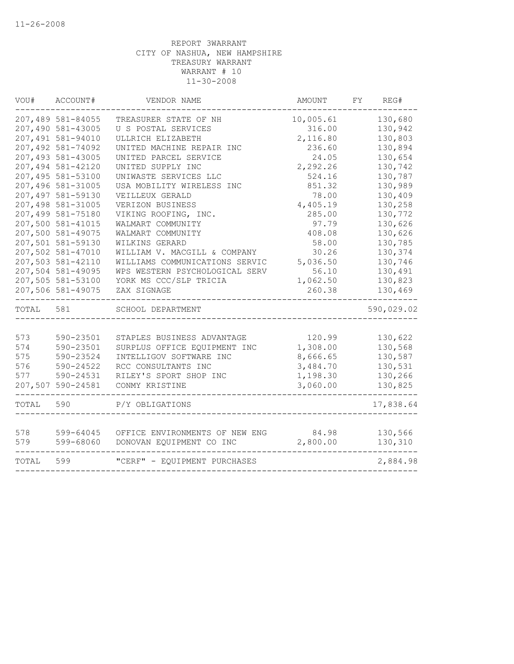| WOU#  | ACCOUNT#          | VENDOR NAME                    | AMOUNT    | FY | REG#       |
|-------|-------------------|--------------------------------|-----------|----|------------|
|       | 207,489 581-84055 | TREASURER STATE OF NH          | 10,005.61 |    | 130,680    |
|       | 207,490 581-43005 | U S POSTAL SERVICES            | 316.00    |    | 130,942    |
|       | 207,491 581-94010 | ULLRICH ELIZABETH              | 2,116.80  |    | 130,803    |
|       | 207,492 581-74092 | UNITED MACHINE REPAIR INC      | 236.60    |    | 130,894    |
|       | 207,493 581-43005 | UNITED PARCEL SERVICE          | 24.05     |    | 130,654    |
|       | 207,494 581-42120 | UNITED SUPPLY INC              | 2,292.26  |    | 130,742    |
|       | 207,495 581-53100 | UNIWASTE SERVICES LLC          | 524.16    |    | 130,787    |
|       | 207,496 581-31005 | USA MOBILITY WIRELESS INC      | 851.32    |    | 130,989    |
|       | 207,497 581-59130 | VEILLEUX GERALD                | 78.00     |    | 130,409    |
|       | 207,498 581-31005 | VERIZON BUSINESS               | 4,405.19  |    | 130,258    |
|       | 207,499 581-75180 | VIKING ROOFING, INC.           | 285.00    |    | 130,772    |
|       | 207,500 581-41015 | WALMART COMMUNITY              | 97.79     |    | 130,626    |
|       | 207,500 581-49075 | WALMART COMMUNITY              | 408.08    |    | 130,626    |
|       | 207,501 581-59130 | WILKINS GERARD                 | 58.00     |    | 130,785    |
|       | 207,502 581-47010 | WILLIAM V. MACGILL & COMPANY   | 30.26     |    | 130,374    |
|       | 207,503 581-42110 | WILLIAMS COMMUNICATIONS SERVIC | 5,036.50  |    | 130,746    |
|       | 207,504 581-49095 | WPS WESTERN PSYCHOLOGICAL SERV | 56.10     |    | 130,491    |
|       | 207,505 581-53100 | YORK MS CCC/SLP TRICIA         | 1,062.50  |    | 130,823    |
|       | 207,506 581-49075 | ZAX SIGNAGE                    | 260.38    |    | 130,469    |
| TOTAL | 581               | SCHOOL DEPARTMENT              |           |    | 590,029.02 |
|       |                   |                                |           |    |            |
| 573   | 590-23501         | STAPLES BUSINESS ADVANTAGE     | 120.99    |    | 130,622    |
| 574   | 590-23501         | SURPLUS OFFICE EQUIPMENT INC   | 1,308.00  |    | 130,568    |
| 575   | 590-23524         | INTELLIGOV SOFTWARE INC        | 8,666.65  |    | 130,587    |
| 576   | 590-24522         | RCC CONSULTANTS INC            | 3,484.70  |    | 130,531    |
| 577   | 590-24531         | RILEY'S SPORT SHOP INC         | 1,198.30  |    | 130,266    |
|       | 207,507 590-24581 | CONMY KRISTINE                 | 3,060.00  |    | 130,825    |
| TOTAL | 590               | P/Y OBLIGATIONS                |           |    | 17,838.64  |
|       |                   |                                |           |    |            |
| 578   | 599-64045         | OFFICE ENVIRONMENTS OF NEW ENG | 84.98     |    | 130,566    |
| 579   | 599-68060         | DONOVAN EQUIPMENT CO INC       | 2,800.00  |    | 130,310    |
| TOTAL | 599               | "CERF" - EQUIPMENT PURCHASES   |           |    | 2,884.98   |
|       |                   |                                |           |    |            |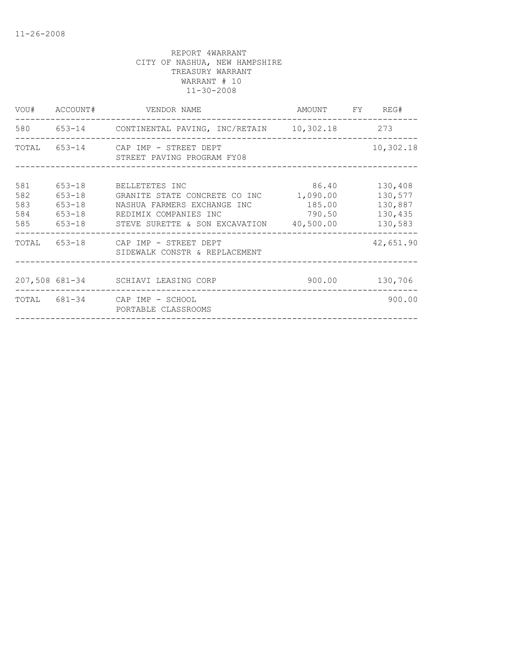|                                 |                                        | VOU# ACCOUNT# VENDOR NAME                                                                                                                                         | AMOUNT FY REG#                        |                                                     |
|---------------------------------|----------------------------------------|-------------------------------------------------------------------------------------------------------------------------------------------------------------------|---------------------------------------|-----------------------------------------------------|
|                                 | . _ _ _ _ _ _ _ _ _ _ _ _              | 580 653-14 CONTINENTAL PAVING, INC/RETAIN 10,302.18 273                                                                                                           |                                       |                                                     |
|                                 |                                        | TOTAL 653-14 CAP IMP - STREET DEPT<br>STREET PAVING PROGRAM FY08                                                                                                  |                                       | 10,302.18                                           |
| 581<br>582<br>583<br>584<br>585 | $653 - 18$<br>$653 - 18$<br>$653 - 18$ | 653-18 BELLETETES INC<br>GRANITE STATE CONCRETE CO INC<br>NASHUA FARMERS EXCHANGE INC<br>653-18 REDIMIX COMPANIES INC<br>STEVE SURETTE & SON EXCAVATION 40,500.00 | 86.40<br>1,090.00<br>185.00<br>790.50 | 130,408<br>130,577<br>130,887<br>130,435<br>130,583 |
|                                 |                                        | TOTAL 653-18 CAP IMP - STREET DEPT<br>SIDEWALK CONSTR & REPLACEMENT                                                                                               |                                       | 42,651.90                                           |
|                                 |                                        | 207,508 681-34 SCHIAVI LEASING CORP                                                                                                                               | 900.00                                | 130,706                                             |
|                                 |                                        | TOTAL 681-34 CAP IMP - SCHOOL<br>PORTABLE CLASSROOMS                                                                                                              |                                       | 900.00                                              |
|                                 |                                        |                                                                                                                                                                   |                                       |                                                     |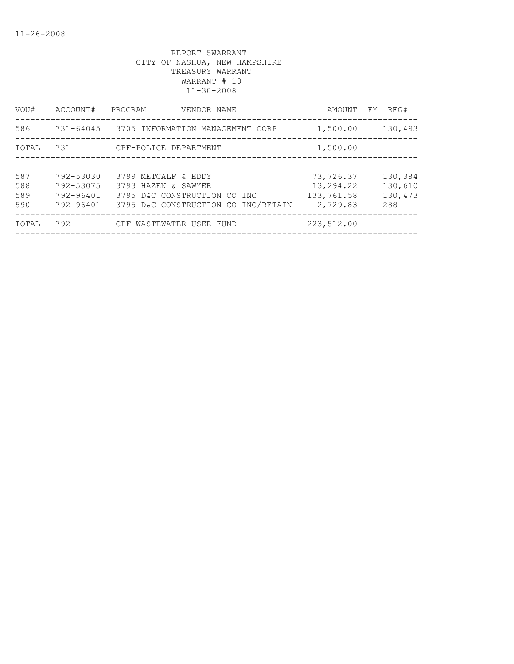| VOU#  | ACCOUNT#  | PROGRAM<br>VENDOR NAME                     | AMOUNT     | REG#<br>FY |
|-------|-----------|--------------------------------------------|------------|------------|
| 586   |           | 731-64045 3705 INFORMATION MANAGEMENT CORP | 1,500.00   | 130,493    |
| TOTAL | 731       | CPF-POLICE DEPARTMENT                      | 1,500.00   |            |
|       |           |                                            |            |            |
| 587   | 792-53030 | 3799 METCALF & EDDY                        | 73,726.37  | 130,384    |
| 588   | 792-53075 | 3793 HAZEN & SAWYER                        | 13,294.22  | 130,610    |
| 589   | 792-96401 | 3795 D&C CONSTRUCTION CO INC               | 133,761.58 | 130,473    |
| 590   | 792-96401 | 3795 D&C CONSTRUCTION CO INC/RETAIN        | 2,729.83   | 288        |
| TOTAL | 792       | CPF-WASTEWATER USER FUND                   | 223,512.00 |            |
|       |           |                                            |            |            |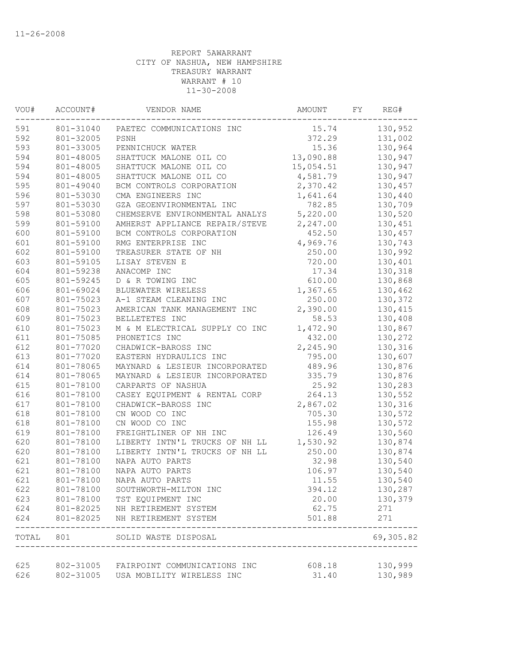| VOU#      | ACCOUNT#  | VENDOR NAME                                                 | AMOUNT    | FY | REG#      |
|-----------|-----------|-------------------------------------------------------------|-----------|----|-----------|
| 591       | 801-31040 | PAETEC COMMUNICATIONS INC                                   | 15.74     |    | 130,952   |
| 592       | 801-32005 | PSNH                                                        | 372.29    |    | 131,002   |
| 593       | 801-33005 | PENNICHUCK WATER                                            | 15.36     |    | 130,964   |
| 594       | 801-48005 | SHATTUCK MALONE OIL CO                                      | 13,090.88 |    | 130,947   |
| 594       | 801-48005 | SHATTUCK MALONE OIL CO                                      | 15,054.51 |    | 130,947   |
| 594       | 801-48005 | SHATTUCK MALONE OIL CO                                      | 4,581.79  |    | 130,947   |
| 595       | 801-49040 | BCM CONTROLS CORPORATION                                    | 2,370.42  |    | 130,457   |
| 596       | 801-53030 | CMA ENGINEERS INC                                           | 1,641.64  |    | 130,440   |
| 597       | 801-53030 | GZA GEOENVIRONMENTAL INC                                    | 782.85    |    | 130,709   |
| 598       | 801-53080 | CHEMSERVE ENVIRONMENTAL ANALYS                              | 5,220.00  |    | 130,520   |
| 599       | 801-59100 | AMHERST APPLIANCE REPAIR/STEVE                              | 2,247.00  |    | 130,451   |
| 600       | 801-59100 | BCM CONTROLS CORPORATION                                    | 452.50    |    | 130,457   |
| 601       | 801-59100 | RMG ENTERPRISE INC                                          | 4,969.76  |    | 130,743   |
| 602       | 801-59100 | TREASURER STATE OF NH                                       | 250.00    |    | 130,992   |
| 603       | 801-59105 | LISAY STEVEN E                                              | 720.00    |    | 130,401   |
| 604       | 801-59238 | ANACOMP INC                                                 | 17.34     |    | 130,318   |
| 605       | 801-59245 | D & R TOWING INC                                            | 610.00    |    | 130,868   |
| 606       | 801-69024 | BLUEWATER WIRELESS                                          | 1,367.65  |    | 130,462   |
| 607       | 801-75023 | A-1 STEAM CLEANING INC                                      | 250.00    |    | 130,372   |
| 608       | 801-75023 | AMERICAN TANK MANAGEMENT INC                                | 2,390.00  |    | 130,415   |
| 609       | 801-75023 | BELLETETES INC                                              | 58.53     |    | 130,408   |
| 610       | 801-75023 | M & M ELECTRICAL SUPPLY CO INC                              | 1,472.90  |    | 130,867   |
| 611       | 801-75085 | PHONETICS INC                                               | 432.00    |    | 130,272   |
| 612       | 801-77020 | CHADWICK-BAROSS INC                                         | 2,245.90  |    | 130,316   |
| 613       | 801-77020 | EASTERN HYDRAULICS INC                                      | 795.00    |    | 130,607   |
| 614       | 801-78065 | MAYNARD & LESIEUR INCORPORATED                              | 489.96    |    | 130,876   |
| 614       | 801-78065 | MAYNARD & LESIEUR INCORPORATED                              | 335.79    |    | 130,876   |
| 615       | 801-78100 | CARPARTS OF NASHUA                                          | 25.92     |    | 130,283   |
| 616       | 801-78100 | CASEY EQUIPMENT & RENTAL CORP                               | 264.13    |    | 130,552   |
| 617       | 801-78100 | CHADWICK-BAROSS INC                                         | 2,867.02  |    | 130,316   |
| 618       | 801-78100 | CN WOOD CO INC                                              | 705.30    |    | 130,572   |
| 618       | 801-78100 | CN WOOD CO INC                                              | 155.98    |    | 130,572   |
| 619       | 801-78100 | FREIGHTLINER OF NH INC                                      | 126.49    |    | 130,560   |
| 620       | 801-78100 | LIBERTY INTN'L TRUCKS OF NH LL                              | 1,530.92  |    | 130,874   |
| 620       | 801-78100 | LIBERTY INTN'L TRUCKS OF NH LL                              | 250.00    |    | 130,874   |
| 621       | 801-78100 | NAPA AUTO PARTS                                             | 32.98     |    | 130,540   |
| 621       | 801-78100 | NAPA AUTO PARTS                                             | 106.97    |    | 130,540   |
| 621       | 801-78100 | NAPA AUTO PARTS                                             | 11.55     |    | 130,540   |
| 622       | 801-78100 | SOUTHWORTH-MILTON INC                                       | 394.12    |    | 130,287   |
| 623       | 801-78100 | TST EQUIPMENT INC                                           | 20.00     |    | 130,379   |
| 624       | 801-82025 | NH RETIREMENT SYSTEM                                        | 62.75     |    | 271       |
| 624       | 801-82025 | NH RETIREMENT SYSTEM                                        | 501.88    |    | 271       |
| TOTAL 801 |           | SOLID WASTE DISPOSAL<br>----------------------------------- |           |    | 69,305.82 |
|           |           |                                                             |           |    |           |
| 625       |           | 802-31005 FAIRPOINT COMMUNICATIONS INC                      | 608.18    |    | 130,999   |
| 626       | 802-31005 | USA MOBILITY WIRELESS INC                                   | 31.40     |    | 130,989   |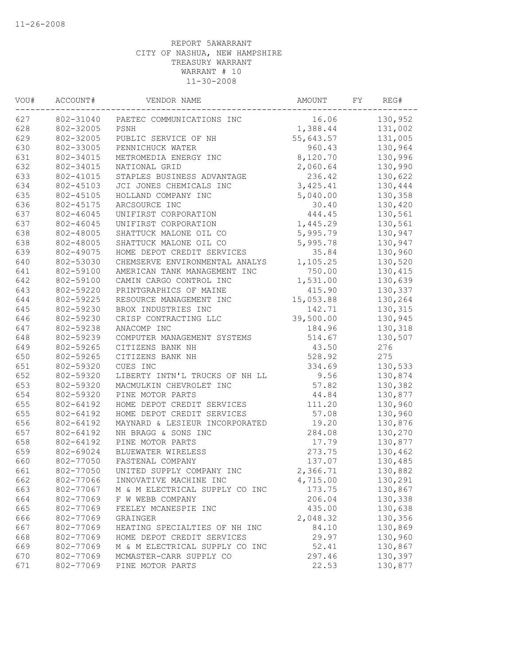| VOU# | ACCOUNT#  | VENDOR NAME                         | AMOUNT    | FY | REG#    |
|------|-----------|-------------------------------------|-----------|----|---------|
| 627  |           | 802-31040 PAETEC COMMUNICATIONS INC | 16.06     |    | 130,952 |
| 628  | 802-32005 | PSNH                                | 1,388.44  |    | 131,002 |
| 629  | 802-32005 | PUBLIC SERVICE OF NH                | 55,643.57 |    | 131,005 |
| 630  | 802-33005 | PENNICHUCK WATER                    | 960.43    |    | 130,964 |
| 631  | 802-34015 | METROMEDIA ENERGY INC               | 8,120.70  |    | 130,996 |
| 632  | 802-34015 | NATIONAL GRID                       | 2,060.64  |    | 130,990 |
| 633  | 802-41015 | STAPLES BUSINESS ADVANTAGE          | 236.42    |    | 130,622 |
| 634  | 802-45103 | JCI JONES CHEMICALS INC             | 3,425.41  |    | 130,444 |
| 635  | 802-45105 | HOLLAND COMPANY INC                 | 5,040.00  |    | 130,358 |
| 636  | 802-45175 | ARCSOURCE INC                       | 30.40     |    | 130,420 |
| 637  | 802-46045 | UNIFIRST CORPORATION                | 444.45    |    | 130,561 |
| 637  | 802-46045 | UNIFIRST CORPORATION                | 1,445.29  |    | 130,561 |
| 638  | 802-48005 | SHATTUCK MALONE OIL CO              | 5,995.79  |    | 130,947 |
| 638  | 802-48005 | SHATTUCK MALONE OIL CO              | 5,995.78  |    | 130,947 |
| 639  | 802-49075 | HOME DEPOT CREDIT SERVICES          | 35.84     |    | 130,960 |
| 640  | 802-53030 | CHEMSERVE ENVIRONMENTAL ANALYS      | 1,105.25  |    | 130,520 |
| 641  | 802-59100 | AMERICAN TANK MANAGEMENT INC        | 750.00    |    | 130,415 |
| 642  | 802-59100 | CAMIN CARGO CONTROL INC             | 1,531.00  |    | 130,639 |
| 643  | 802-59220 | PRINTGRAPHICS OF MAINE              | 415.90    |    | 130,337 |
| 644  | 802-59225 | RESOURCE MANAGEMENT INC             | 15,053.88 |    | 130,264 |
| 645  | 802-59230 | BROX INDUSTRIES INC                 | 142.71    |    | 130,315 |
| 646  | 802-59230 | CRISP CONTRACTING LLC               | 39,500.00 |    | 130,945 |
| 647  | 802-59238 | ANACOMP INC                         | 184.96    |    | 130,318 |
| 648  | 802-59239 | COMPUTER MANAGEMENT SYSTEMS         | 514.67    |    | 130,507 |
| 649  | 802-59265 | CITIZENS BANK NH                    | 43.50     |    | 276     |
| 650  | 802-59265 | CITIZENS BANK NH                    | 528.92    |    | 275     |
| 651  | 802-59320 | CUES INC                            | 334.69    |    | 130,533 |
| 652  | 802-59320 | LIBERTY INTN'L TRUCKS OF NH LL      | 9.56      |    | 130,874 |
| 653  | 802-59320 | MACMULKIN CHEVROLET INC             | 57.82     |    | 130,382 |
| 654  | 802-59320 | PINE MOTOR PARTS                    | 44.84     |    | 130,877 |
| 655  | 802-64192 | HOME DEPOT CREDIT SERVICES          | 111.20    |    | 130,960 |
| 655  | 802-64192 | HOME DEPOT CREDIT SERVICES          | 57.08     |    | 130,960 |
| 656  | 802-64192 | MAYNARD & LESIEUR INCORPORATED      | 19.20     |    | 130,876 |
| 657  | 802-64192 | NH BRAGG & SONS INC                 | 284.08    |    | 130,270 |
| 658  | 802-64192 | PINE MOTOR PARTS                    | 17.79     |    | 130,877 |
| 659  | 802-69024 | BLUEWATER WIRELESS                  | 273.75    |    | 130,462 |
| 660  | 802-77050 | FASTENAL COMPANY                    | 137.07    |    | 130,485 |
| 661  | 802-77050 | UNITED SUPPLY COMPANY INC           | 2,366.71  |    | 130,882 |
| 662  | 802-77066 | INNOVATIVE MACHINE INC              | 4,715.00  |    | 130,291 |
| 663  | 802-77067 | M & M ELECTRICAL SUPPLY CO INC      | 173.75    |    | 130,867 |
| 664  | 802-77069 | F W WEBB COMPANY                    | 206.04    |    | 130,338 |
| 665  | 802-77069 | FEELEY MCANESPIE INC                | 435.00    |    | 130,638 |
| 666  | 802-77069 | GRAINGER                            | 2,048.32  |    | 130,356 |
| 667  | 802-77069 | HEATING SPECIALTIES OF NH INC       | 84.10     |    | 130,869 |
| 668  | 802-77069 | HOME DEPOT CREDIT SERVICES          | 29.97     |    | 130,960 |
| 669  | 802-77069 | M & M ELECTRICAL SUPPLY CO INC      | 52.41     |    | 130,867 |
| 670  | 802-77069 | MCMASTER-CARR SUPPLY CO             | 297.46    |    | 130,397 |
| 671  | 802-77069 | PINE MOTOR PARTS                    | 22.53     |    | 130,877 |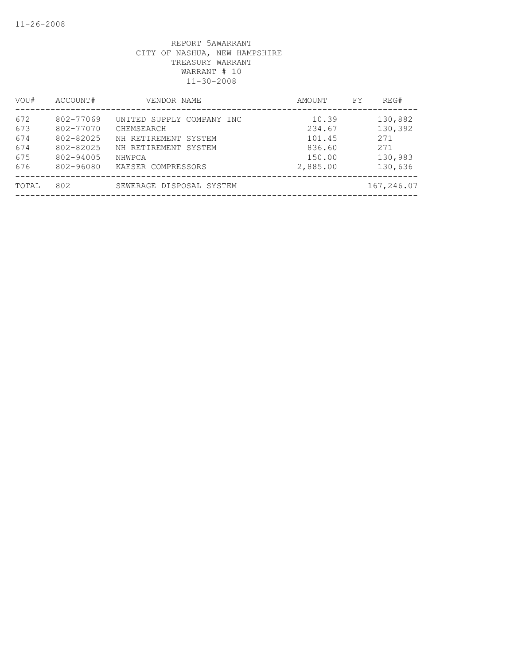| ACCOUNT#                                                                   | VENDOR NAME                                                                                                             | AMOUNT                                                    | REG#<br>FY                                             |
|----------------------------------------------------------------------------|-------------------------------------------------------------------------------------------------------------------------|-----------------------------------------------------------|--------------------------------------------------------|
| 802-77069<br>802-77070<br>802-82025<br>802-82025<br>802-94005<br>802-96080 | UNITED SUPPLY COMPANY INC<br>CHEMSEARCH<br>NH RETIREMENT SYSTEM<br>NH RETIREMENT SYSTEM<br>NHWPCA<br>KAESER COMPRESSORS | 10.39<br>234.67<br>101.45<br>836.60<br>150.00<br>2,885.00 | 130,882<br>130,392<br>271<br>271<br>130,983<br>130,636 |
| 802                                                                        | SEWERAGE DISPOSAL SYSTEM                                                                                                |                                                           | 167,246.07                                             |
|                                                                            |                                                                                                                         |                                                           |                                                        |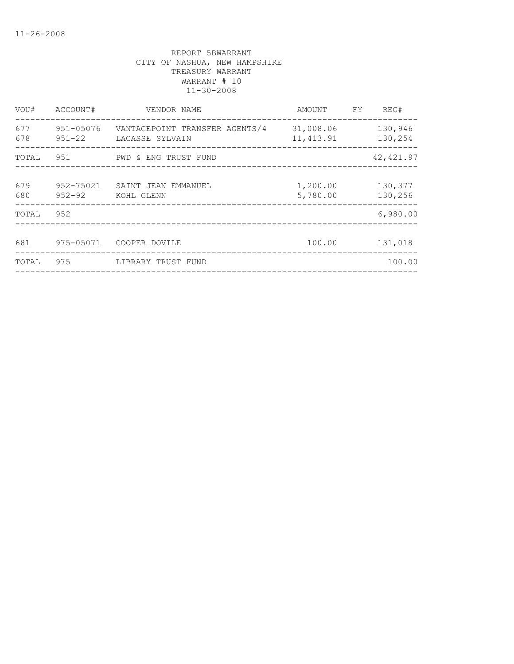| VOU#       | ACCOUNT#                | VENDOR NAME                                       | AMOUNT                  | FY | REG#               |
|------------|-------------------------|---------------------------------------------------|-------------------------|----|--------------------|
| 677<br>678 | 951-05076<br>$951 - 22$ | VANTAGEPOINT TRANSFER AGENTS/4<br>LACASSE SYLVAIN | 31,008.06<br>11, 413.91 |    | 130,946<br>130,254 |
| TOTAL      | 951                     | PWD & ENG TRUST FUND                              |                         |    | 42, 421.97         |
| 679<br>680 | 952-75021<br>$952 - 92$ | SAINT JEAN EMMANUEL<br>KOHL GLENN                 | 1,200.00<br>5,780.00    |    | 130,377<br>130,256 |
| TOTAL      | 952                     |                                                   |                         |    | 6,980.00           |
| 681        | 975-05071               | COOPER DOVILE                                     | 100.00                  |    | 131,018            |
| TOTAL      | 975                     | LIBRARY TRUST FUND                                |                         |    | 100.00             |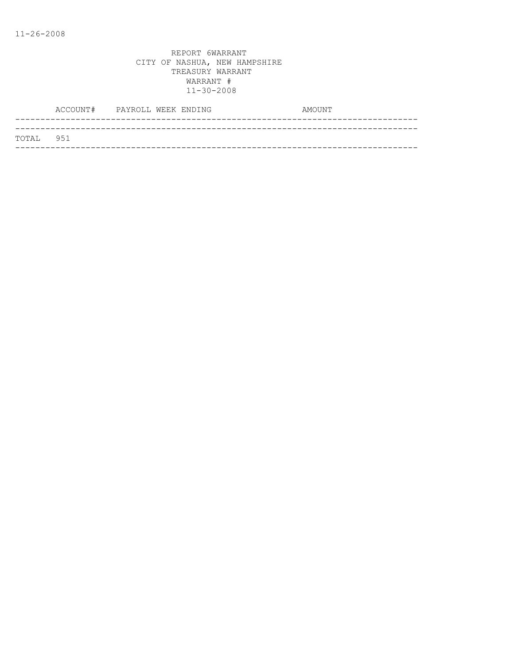| TOTAL 951 |  |
|-----------|--|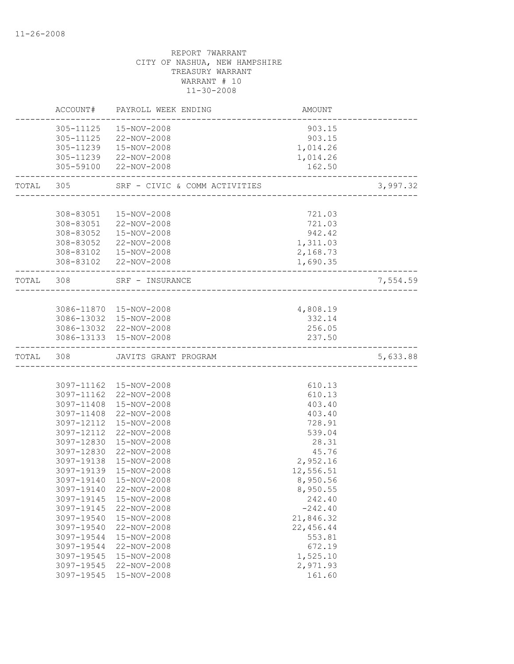|           | ACCOUNT#   | PAYROLL WEEK ENDING                          | AMOUNT    |          |
|-----------|------------|----------------------------------------------|-----------|----------|
|           | 305-11125  | 15-NOV-2008                                  | 903.15    |          |
|           |            | 305-11125 22-NOV-2008                        | 903.15    |          |
|           | 305-11239  | 15-NOV-2008                                  | 1,014.26  |          |
|           |            | 305-11239 22-NOV-2008                        | 1,014.26  |          |
|           | 305-59100  | 22-NOV-2008                                  | 162.50    |          |
| TOTAL 305 |            | SRF - CIVIC & COMM ACTIVITIES                |           | 3,997.32 |
|           |            |                                              |           |          |
|           | 308-83051  | 15-NOV-2008                                  | 721.03    |          |
|           |            | 308-83051 22-NOV-2008                        | 721.03    |          |
|           | 308-83052  | 15-NOV-2008                                  | 942.42    |          |
|           | 308-83052  | 22-NOV-2008                                  | 1,311.03  |          |
|           | 308-83102  | 15-NOV-2008                                  | 2,168.73  |          |
|           |            | 308-83102 22-NOV-2008                        | 1,690.35  |          |
| TOTAL 308 |            | SRF - INSURANCE<br>_________________________ |           | 7,554.59 |
|           |            |                                              |           |          |
|           |            | 3086-11870  15-NOV-2008                      | 4,808.19  |          |
|           |            | 3086-13032 15-NOV-2008                       | 332.14    |          |
|           |            | 3086-13032 22-NOV-2008                       | 256.05    |          |
|           |            | 3086-13133 15-NOV-2008                       | 237.50    |          |
| TOTAL 308 |            | JAVITS GRANT PROGRAM                         |           | 5,633.88 |
|           |            |                                              |           |          |
|           |            | 3097-11162  15-NOV-2008                      | 610.13    |          |
|           | 3097-11162 | 22-NOV-2008                                  | 610.13    |          |
|           | 3097-11408 | 15-NOV-2008                                  | 403.40    |          |
|           | 3097-11408 | 22-NOV-2008                                  | 403.40    |          |
|           | 3097-12112 | 15-NOV-2008                                  | 728.91    |          |
|           | 3097-12112 | 22-NOV-2008                                  | 539.04    |          |
|           | 3097-12830 | 15-NOV-2008                                  | 28.31     |          |
|           | 3097-12830 | 22-NOV-2008                                  | 45.76     |          |
|           | 3097-19138 | 15-NOV-2008                                  | 2,952.16  |          |
|           | 3097-19139 | 15-NOV-2008                                  | 12,556.51 |          |
|           | 3097-19140 | 15-NOV-2008                                  | 8,950.56  |          |
|           | 3097-19140 | 22-NOV-2008                                  | 8,950.55  |          |
|           | 3097-19145 | 15-NOV-2008                                  | 242.40    |          |
|           | 3097-19145 | 22-NOV-2008                                  | $-242.40$ |          |
|           | 3097-19540 | 15-NOV-2008                                  | 21,846.32 |          |
|           | 3097-19540 | 22-NOV-2008                                  | 22,456.44 |          |
|           | 3097-19544 | 15-NOV-2008                                  | 553.81    |          |
|           | 3097-19544 | 22-NOV-2008                                  | 672.19    |          |
|           | 3097-19545 | 15-NOV-2008                                  | 1,525.10  |          |
|           | 3097-19545 | 22-NOV-2008                                  | 2,971.93  |          |
|           | 3097-19545 | 15-NOV-2008                                  | 161.60    |          |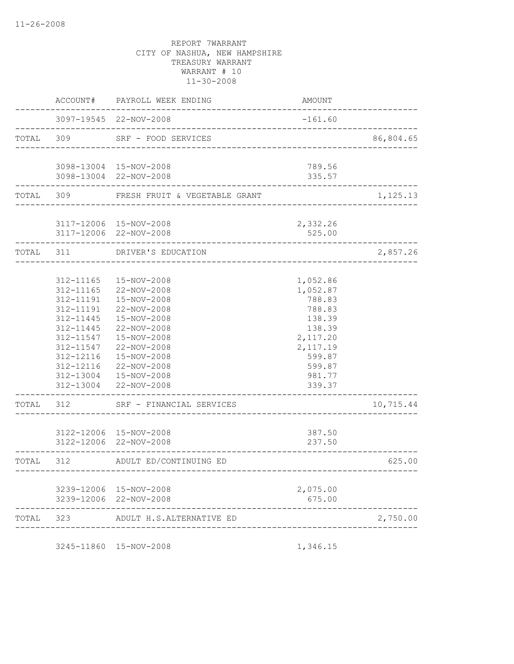|           | ACCOUNT#                                                                                                                       | PAYROLL WEEK ENDING                                                                                                                                                                                   | AMOUNT                                                                                                                        |           |
|-----------|--------------------------------------------------------------------------------------------------------------------------------|-------------------------------------------------------------------------------------------------------------------------------------------------------------------------------------------------------|-------------------------------------------------------------------------------------------------------------------------------|-----------|
|           |                                                                                                                                | 3097-19545 22-NOV-2008<br>_________________________________                                                                                                                                           | $-161.60$                                                                                                                     |           |
| TOTAL     | 309                                                                                                                            | SRF - FOOD SERVICES<br>___________________________                                                                                                                                                    |                                                                                                                               | 86,804.65 |
|           |                                                                                                                                | 3098-13004 15-NOV-2008<br>3098-13004 22-NOV-2008                                                                                                                                                      | 789.56<br>335.57                                                                                                              |           |
|           |                                                                                                                                | TOTAL 309 FRESH FRUIT & VEGETABLE GRANT                                                                                                                                                               |                                                                                                                               | 1,125.13  |
|           |                                                                                                                                | 3117-12006 15-NOV-2008<br>3117-12006 22-NOV-2008                                                                                                                                                      | 2,332.26<br>525.00                                                                                                            |           |
| TOTAL 311 |                                                                                                                                | DRIVER'S EDUCATION<br><u>.</u>                                                                                                                                                                        |                                                                                                                               | 2,857.26  |
|           | 312-11165<br>312-11165<br>312-11191<br>312-11191<br>312-11445<br>312-11445<br>312-11547<br>312-11547<br>312-12116<br>312-12116 | 15-NOV-2008<br>22-NOV-2008<br>15-NOV-2008<br>22-NOV-2008<br>15-NOV-2008<br>22-NOV-2008<br>15-NOV-2008<br>22-NOV-2008<br>15-NOV-2008<br>22-NOV-2008<br>312-13004  15-NOV-2008<br>312-13004 22-NOV-2008 | 1,052.86<br>1,052.87<br>788.83<br>788.83<br>138.39<br>138.39<br>2,117.20<br>2, 117.19<br>599.87<br>599.87<br>981.77<br>339.37 |           |
| TOTAL     | 312                                                                                                                            | SRF - FINANCIAL SERVICES                                                                                                                                                                              |                                                                                                                               | 10,715.44 |
|           |                                                                                                                                | 3122-12006 15-NOV-2008<br>3122-12006 22-NOV-2008                                                                                                                                                      | 387.50<br>237.50                                                                                                              |           |
| TOTAL 312 |                                                                                                                                | ADULT ED/CONTINUING ED<br>--------                                                                                                                                                                    | -----------------------------------                                                                                           | 625.00    |
|           |                                                                                                                                | 3239-12006 15-NOV-2008<br>3239-12006 22-NOV-2008                                                                                                                                                      | 2,075.00<br>675.00                                                                                                            |           |
| TOTAL     | 323                                                                                                                            | ADULT H.S.ALTERNATIVE ED                                                                                                                                                                              |                                                                                                                               | 2,750.00  |

3245-11860 15-NOV-2008 1,346.15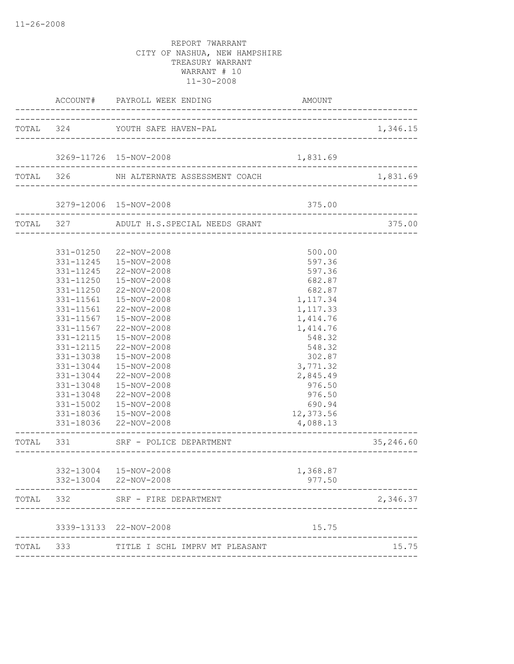|       |           | ACCOUNT# PAYROLL WEEK ENDING                                              | AMOUNT                             |           |
|-------|-----------|---------------------------------------------------------------------------|------------------------------------|-----------|
|       |           | TOTAL 324 YOUTH SAFE HAVEN-PAL                                            |                                    | 1,346.15  |
|       |           |                                                                           |                                    |           |
|       |           | 3269-11726 15-NOV-2008                                                    | 1,831.69                           |           |
|       |           | TOTAL 326 NH ALTERNATE ASSESSMENT COACH 1,83                              |                                    | 1,831.69  |
|       |           | 3279-12006 15-NOV-2008                                                    | 375.00                             |           |
|       |           | ------------------------------<br>TOTAL 327 ADULT H.S.SPECIAL NEEDS GRANT | __________________________________ | 375.00    |
|       |           |                                                                           |                                    |           |
|       |           | 331-01250 22-NOV-2008                                                     | 500.00                             |           |
|       | 331-11245 | 15-NOV-2008                                                               | 597.36                             |           |
|       | 331-11245 | 22-NOV-2008                                                               | 597.36                             |           |
|       | 331-11250 | 15-NOV-2008                                                               | 682.87                             |           |
|       | 331-11250 | 22-NOV-2008                                                               | 682.87                             |           |
|       | 331-11561 | 15-NOV-2008                                                               | 1,117.34                           |           |
|       | 331-11561 | 22-NOV-2008                                                               | 1,117.33                           |           |
|       | 331-11567 | 15-NOV-2008                                                               | 1,414.76                           |           |
|       | 331-11567 | 22-NOV-2008                                                               | 1,414.76                           |           |
|       | 331-12115 | 15-NOV-2008                                                               | 548.32                             |           |
|       | 331-12115 | 22-NOV-2008                                                               | 548.32                             |           |
|       | 331-13038 | 15-NOV-2008                                                               | 302.87                             |           |
|       | 331-13044 | 15-NOV-2008                                                               | 3,771.32                           |           |
|       | 331-13044 | 22-NOV-2008                                                               | 2,845.49                           |           |
|       | 331-13048 | 15-NOV-2008                                                               | 976.50                             |           |
|       |           | 331-13048 22-NOV-2008                                                     | 976.50                             |           |
|       |           | 331-15002  15-NOV-2008                                                    | 690.94                             |           |
|       |           | 331-18036  15-NOV-2008<br>331-18036 22-NOV-2008                           | 12,373.56<br>4,088.13              |           |
|       |           | TOTAL 331 SRF - POLICE DEPARTMENT                                         |                                    | 35,246.60 |
|       |           | --------------------------------                                          |                                    |           |
|       |           | 332-13004 15-NOV-2008                                                     | 1,368.87                           |           |
|       |           | 332-13004 22-NOV-2008                                                     | 977.50                             |           |
| TOTAL | 332       | SRF - FIRE DEPARTMENT                                                     |                                    | 2,346.37  |
|       |           | 3339-13133 22-NOV-2008                                                    | 15.75                              |           |
| TOTAL | 333       | TITLE I SCHL IMPRV MT PLEASANT                                            |                                    | 15.75     |
|       |           |                                                                           |                                    |           |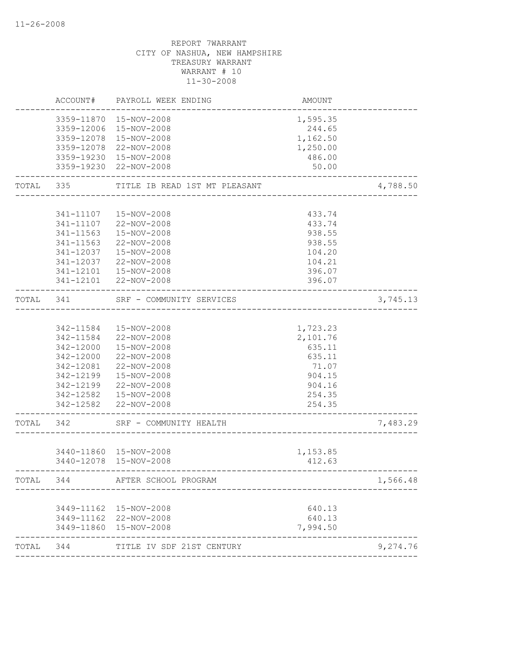|       | ACCOUNT#   | PAYROLL WEEK ENDING           | AMOUNT           |          |
|-------|------------|-------------------------------|------------------|----------|
|       | 3359-11870 | 15-NOV-2008                   | 1,595.35         |          |
|       | 3359-12006 | 15-NOV-2008                   | 244.65           |          |
|       | 3359-12078 | 15-NOV-2008                   | 1,162.50         |          |
|       | 3359-12078 | 22-NOV-2008                   | 1,250.00         |          |
|       | 3359-19230 | 15-NOV-2008                   | 486.00           |          |
|       | 3359-19230 | 22-NOV-2008                   | 50.00            |          |
| TOTAL | 335        | TITLE IB READ 1ST MT PLEASANT |                  | 4,788.50 |
|       |            |                               |                  |          |
|       | 341-11107  | 15-NOV-2008                   | 433.74           |          |
|       | 341-11107  | 22-NOV-2008                   | 433.74           |          |
|       | 341-11563  | 15-NOV-2008                   | 938.55           |          |
|       | 341-11563  | 22-NOV-2008                   | 938.55           |          |
|       | 341-12037  | 15-NOV-2008                   | 104.20           |          |
|       | 341-12037  | 22-NOV-2008                   | 104.21           |          |
|       | 341-12101  | 15-NOV-2008                   | 396.07           |          |
|       | 341-12101  | 22-NOV-2008                   | 396.07           |          |
| TOTAL | 341        | SRF - COMMUNITY SERVICES      |                  | 3,745.13 |
|       |            |                               |                  |          |
|       | 342-11584  | 15-NOV-2008                   | 1,723.23         |          |
|       | 342-11584  | 22-NOV-2008                   | 2,101.76         |          |
|       | 342-12000  | 15-NOV-2008                   | 635.11           |          |
|       | 342-12000  | 22-NOV-2008                   | 635.11           |          |
|       | 342-12081  | 22-NOV-2008                   | 71.07            |          |
|       | 342-12199  | 15-NOV-2008                   | 904.15           |          |
|       | 342-12199  | 22-NOV-2008                   | 904.16           |          |
|       |            | 342-12582  15-NOV-2008        | 254.35           |          |
|       | 342-12582  | 22-NOV-2008                   | 254.35           |          |
| TOTAL | 342        | SRF - COMMUNITY HEALTH        |                  | 7,483.29 |
|       |            | 3440-11860 15-NOV-2008        | 1,153.85         |          |
|       |            | 3440-12078 15-NOV-2008        | 412.63           |          |
| TOTAL | 344        | AFTER SCHOOL PROGRAM          |                  | 1,566.48 |
|       |            | 3449-11162  15-NOV-2008       |                  |          |
|       |            | 3449-11162 22-NOV-2008        | 640.13<br>640.13 |          |
|       |            | 3449-11860 15-NOV-2008        | 7,994.50         |          |
| TOTAL | 344        | TITLE IV SDF 21ST CENTURY     |                  | 9,274.76 |
|       |            |                               |                  |          |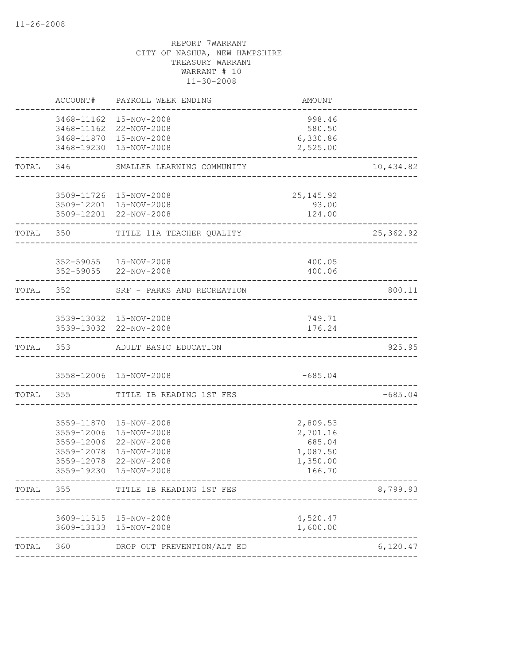|       | ACCOUNT#                 | PAYROLL WEEK ENDING                                                                                                                 | AMOUNT                                                           |           |
|-------|--------------------------|-------------------------------------------------------------------------------------------------------------------------------------|------------------------------------------------------------------|-----------|
|       |                          | 3468-11162  15-NOV-2008<br>3468-11162 22-NOV-2008<br>3468-11870 15-NOV-2008<br>3468-19230 15-NOV-2008                               | 998.46<br>580.50<br>6,330.86<br>2,525.00                         |           |
|       |                          | TOTAL 346 SMALLER LEARNING COMMUNITY                                                                                                |                                                                  | 10,434.82 |
|       |                          | 3509-11726 15-NOV-2008<br>3509-12201 15-NOV-2008<br>3509-12201 22-NOV-2008                                                          | 25, 145.92<br>93.00<br>124.00                                    |           |
|       | TOTAL 350                | TITLE 11A TEACHER QUALITY                                                                                                           |                                                                  | 25,362.92 |
|       |                          | 352-59055  15-NOV-2008<br>352-59055 22-NOV-2008                                                                                     | 400.05<br>400.06                                                 |           |
|       |                          | TOTAL 352 SRF - PARKS AND RECREATION                                                                                                |                                                                  | 800.11    |
|       |                          | 3539-13032 15-NOV-2008<br>3539-13032 22-NOV-2008                                                                                    | 749.71<br>176.24<br>________________________________             |           |
|       |                          | TOTAL 353 ADULT BASIC EDUCATION                                                                                                     |                                                                  | 925.95    |
|       |                          | 3558-12006 15-NOV-2008                                                                                                              | $-685.04$<br>------------------                                  |           |
|       |                          | TOTAL 355 TITLE IB READING 1ST FES                                                                                                  |                                                                  | $-685.04$ |
|       | 3559-12078<br>3559-19230 | 3559-11870  15-NOV-2008<br>3559-12006 15-NOV-2008<br>3559-12006 22-NOV-2008<br>3559-12078 15-NOV-2008<br>22-NOV-2008<br>15-NOV-2008 | 2,809.53<br>2,701.16<br>685.04<br>1,087.50<br>1,350.00<br>166.70 |           |
| TOTAL | 355                      | TITLE IB READING 1ST FES                                                                                                            |                                                                  | 8,799.93  |
|       |                          | 3609-11515 15-NOV-2008<br>3609-13133 15-NOV-2008                                                                                    | 4,520.47<br>1,600.00                                             |           |
| TOTAL | 360                      | DROP OUT PREVENTION/ALT ED                                                                                                          |                                                                  | 6,120.47  |
|       |                          |                                                                                                                                     |                                                                  |           |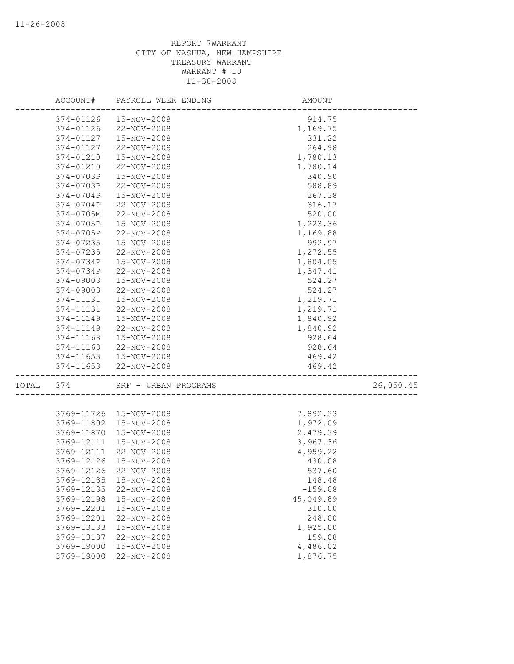|       | ACCOUNT#   | PAYROLL WEEK ENDING    | AMOUNT                |           |
|-------|------------|------------------------|-----------------------|-----------|
|       | 374-01126  | 15-NOV-2008            | 914.75                |           |
|       | 374-01126  | 22-NOV-2008            | 1,169.75              |           |
|       | 374-01127  | 15-NOV-2008            | 331.22                |           |
|       | 374-01127  | 22-NOV-2008            | 264.98                |           |
|       | 374-01210  | 15-NOV-2008            | 1,780.13              |           |
|       | 374-01210  | 22-NOV-2008            | 1,780.14              |           |
|       | 374-0703P  | 15-NOV-2008            | 340.90                |           |
|       | 374-0703P  | 22-NOV-2008            | 588.89                |           |
|       | 374-0704P  | 15-NOV-2008            | 267.38                |           |
|       | 374-0704P  | 22-NOV-2008            | 316.17                |           |
|       | 374-0705M  | 22-NOV-2008            | 520.00                |           |
|       | 374-0705P  | 15-NOV-2008            | 1,223.36              |           |
|       | 374-0705P  | 22-NOV-2008            | 1,169.88              |           |
|       | 374-07235  | 15-NOV-2008            | 992.97                |           |
|       | 374-07235  | 22-NOV-2008            | 1,272.55              |           |
|       | 374-0734P  | 15-NOV-2008            | 1,804.05              |           |
|       | 374-0734P  | 22-NOV-2008            | 1,347.41              |           |
|       | 374-09003  | 15-NOV-2008            | 524.27                |           |
|       | 374-09003  | 22-NOV-2008            | 524.27                |           |
|       | 374-11131  | 15-NOV-2008            | 1,219.71              |           |
|       | 374-11131  | 22-NOV-2008            | 1,219.71              |           |
|       | 374-11149  | 15-NOV-2008            | 1,840.92              |           |
|       | 374-11149  | 22-NOV-2008            | 1,840.92              |           |
|       | 374-11168  | 15-NOV-2008            | 928.64                |           |
|       | 374-11168  | 22-NOV-2008            | 928.64                |           |
|       | 374-11653  | 15-NOV-2008            | 469.42                |           |
|       | 374-11653  | 22-NOV-2008            | 469.42                |           |
| TOTAL | 374        | SRF - URBAN PROGRAMS   | --------------------- | 26,050.45 |
|       |            |                        |                       |           |
|       | 3769-11726 | 15-NOV-2008            | 7,892.33              |           |
|       | 3769-11802 | 15-NOV-2008            | 1,972.09              |           |
|       | 3769-11870 | 15-NOV-2008            | 2,479.39              |           |
|       | 3769-12111 | 15-NOV-2008            | 3,967.36              |           |
|       | 3769-12111 | 22-NOV-2008            | 4,959.22              |           |
|       | 3769-12126 | 15-NOV-2008            | 430.08                |           |
|       |            | 3769-12126 22-NOV-2008 | 537.60                |           |
|       | 3769-12135 | 15-NOV-2008            | 148.48                |           |
|       | 3769-12135 | 22-NOV-2008            | $-159.08$             |           |
|       | 3769-12198 | 15-NOV-2008            | 45,049.89             |           |
|       | 3769-12201 | 15-NOV-2008            | 310.00                |           |
|       | 3769-12201 | 22-NOV-2008            | 248.00                |           |
|       | 3769-13133 | 15-NOV-2008            | 1,925.00              |           |
|       | 3769-13137 | 22-NOV-2008            | 159.08                |           |
|       | 3769-19000 | 15-NOV-2008            | 4,486.02              |           |
|       | 3769-19000 | 22-NOV-2008            | 1,876.75              |           |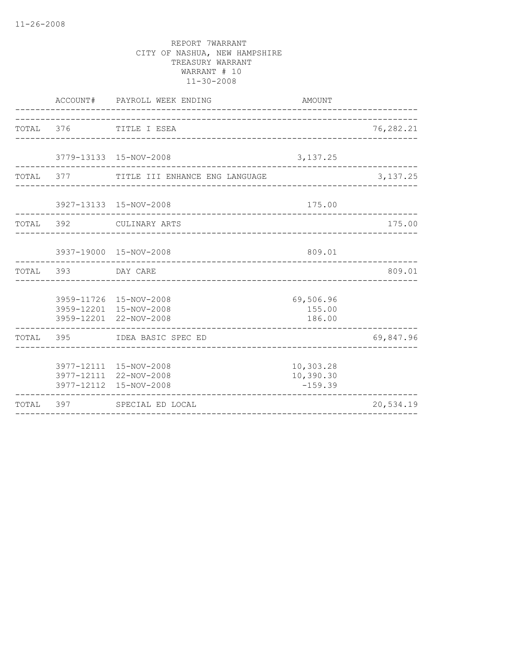|           |                    | ACCOUNT# PAYROLL WEEK ENDING                                               | AMOUNT<br>---------                 |            |
|-----------|--------------------|----------------------------------------------------------------------------|-------------------------------------|------------|
| TOTAL 376 |                    | TITLE I ESEA                                                               |                                     | 76,282.21  |
|           |                    | 3779-13133 15-NOV-2008                                                     | 3, 137.25                           |            |
|           |                    | TOTAL 377 TITLE III ENHANCE ENG LANGUAGE                                   |                                     | 3, 137. 25 |
|           |                    | 3927-13133 15-NOV-2008<br>_________________________________                | 175.00                              |            |
| TOTAL 392 |                    | CULINARY ARTS                                                              |                                     | 175.00     |
|           |                    | 3937-19000 15-NOV-2008                                                     | 809.01                              |            |
|           | TOTAL 393 DAY CARE |                                                                            |                                     | 809.01     |
|           |                    | 3959-11726 15-NOV-2008<br>3959-12201 15-NOV-2008<br>3959-12201 22-NOV-2008 | 69,506.96<br>155.00<br>186.00       |            |
|           |                    | TOTAL 395 IDEA BASIC SPEC ED                                               |                                     | 69,847.96  |
|           |                    | 3977-12111 15-NOV-2008<br>3977-12111 22-NOV-2008<br>3977-12112 15-NOV-2008 | 10,303.28<br>10,390.30<br>$-159.39$ |            |
| TOTAL 397 |                    | SPECIAL ED LOCAL                                                           |                                     | 20,534.19  |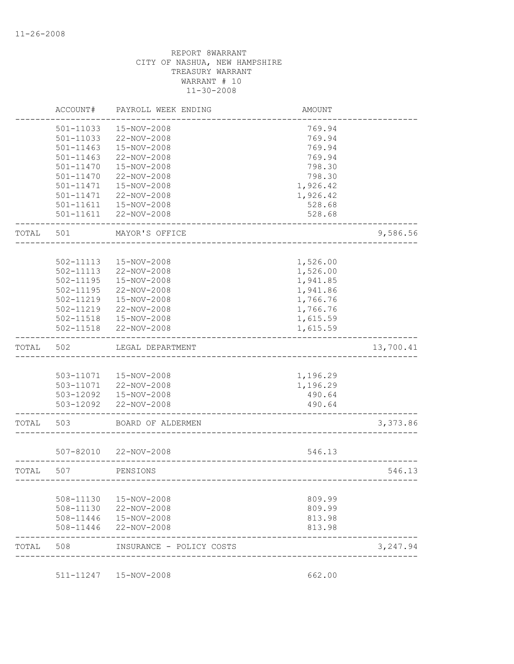|       | ACCOUNT#      | PAYROLL WEEK ENDING    | <b>AMOUNT</b> |           |
|-------|---------------|------------------------|---------------|-----------|
|       | 501-11033     | 15-NOV-2008            | 769.94        |           |
|       | 501-11033     | 22-NOV-2008            | 769.94        |           |
|       | $501 - 11463$ | 15-NOV-2008            | 769.94        |           |
|       | 501-11463     | 22-NOV-2008            | 769.94        |           |
|       | 501-11470     | 15-NOV-2008            | 798.30        |           |
|       | 501-11470     | 22-NOV-2008            | 798.30        |           |
|       | 501-11471     | 15-NOV-2008            | 1,926.42      |           |
|       | 501-11471     | 22-NOV-2008            | 1,926.42      |           |
|       | 501-11611     | 15-NOV-2008            | 528.68        |           |
|       |               | 501-11611 22-NOV-2008  | 528.68        |           |
| TOTAL | 501           | MAYOR'S OFFICE         |               | 9,586.56  |
|       |               |                        |               |           |
|       | 502-11113     | 15-NOV-2008            | 1,526.00      |           |
|       | 502-11113     | 22-NOV-2008            | 1,526.00      |           |
|       | 502-11195     | 15-NOV-2008            | 1,941.85      |           |
|       | 502-11195     | 22-NOV-2008            | 1,941.86      |           |
|       | 502-11219     | 15-NOV-2008            | 1,766.76      |           |
|       | 502-11219     | 22-NOV-2008            | 1,766.76      |           |
|       | 502-11518     | 15-NOV-2008            | 1,615.59      |           |
|       | 502-11518     | 22-NOV-2008            | 1,615.59      |           |
| TOTAL | 502           | LEGAL DEPARTMENT       |               | 13,700.41 |
|       |               |                        |               |           |
|       |               | 503-11071  15-NOV-2008 | 1,196.29      |           |
|       |               | 503-11071  22-NOV-2008 | 1,196.29      |           |
|       |               | 503-12092  15-NOV-2008 | 490.64        |           |
|       |               | 503-12092 22-NOV-2008  | 490.64        |           |
| TOTAL | 503           | BOARD OF ALDERMEN      |               | 3,373.86  |
|       | 507-82010     | 22-NOV-2008            | 546.13        |           |
|       |               |                        |               |           |
| TOTAL | 507           | PENSIONS               |               | 546.13    |
|       | 508-11130     | 15-NOV-2008            | 809.99        |           |
|       | 508-11130     | 22-NOV-2008            | 809.99        |           |
|       | 508-11446     | 15-NOV-2008            | 813.98        |           |
|       | 508-11446     | 22-NOV-2008            | 813.98        |           |
|       |               |                        |               |           |

511-11247 15-NOV-2008 662.00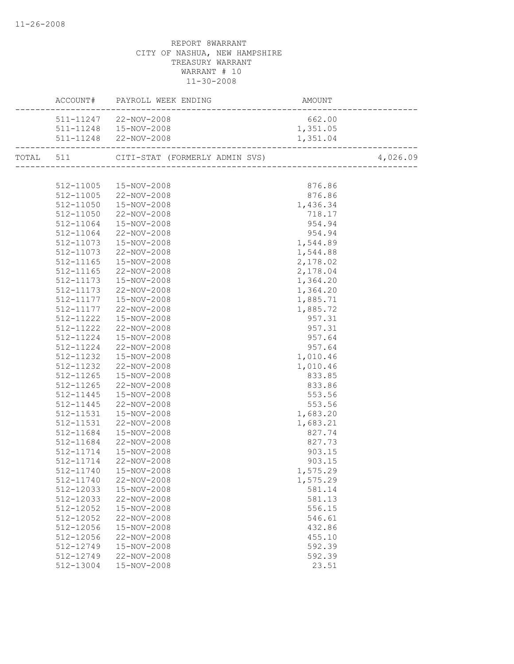|                        | AMOUNT<br>---------------------------<br>ACCOUNT# PAYROLL WEEK ENDING |                  |          |
|------------------------|-----------------------------------------------------------------------|------------------|----------|
|                        | 511-11247 22-NOV-2008                                                 | 662.00           |          |
|                        | 511-11248  15-NOV-2008                                                | 1,351.05         |          |
|                        | 511-11248 22-NOV-2008                                                 | 1,351.04         |          |
|                        | TOTAL 511 CITI-STAT (FORMERLY ADMIN SVS) 4,026                        |                  | 4,026.09 |
|                        |                                                                       |                  |          |
|                        | 512-11005  15-NOV-2008                                                | 876.86           |          |
|                        | 512-11005 22-NOV-2008                                                 | 876.86           |          |
|                        | 512-11050  15-NOV-2008                                                | 1,436.34         |          |
|                        | 512-11050 22-NOV-2008                                                 | 718.17           |          |
| 512-11064              | $15 - NOV - 2008$                                                     | 954.94           |          |
| 512-11064              | 22-NOV-2008                                                           | 954.94           |          |
| 512-11073              | 15-NOV-2008                                                           | 1,544.89         |          |
| 512-11073              | 22-NOV-2008                                                           | 1,544.88         |          |
| 512-11165              | 15-NOV-2008                                                           | 2,178.02         |          |
| 512-11165              | 22-NOV-2008                                                           | 2,178.04         |          |
| 512-11173              | 15-NOV-2008                                                           | 1,364.20         |          |
|                        | 512-11173 22-NOV-2008                                                 | 1,364.20         |          |
|                        | 512-11177  15-NOV-2008                                                | 1,885.71         |          |
| 512-11177              | 22-NOV-2008                                                           | 1,885.72         |          |
| 512-11222              | 15-NOV-2008                                                           | 957.31           |          |
| 512-11222              | 22-NOV-2008                                                           | 957.31           |          |
| 512-11224              | 15-NOV-2008                                                           | 957.64           |          |
| 512-11224              | 22-NOV-2008                                                           | 957.64           |          |
| 512-11232              | 15-NOV-2008                                                           | 1,010.46         |          |
| 512-11232              | 22-NOV-2008                                                           | 1,010.46         |          |
|                        | 512-11265  15-NOV-2008                                                | 833.85           |          |
| 512-11265              | 22-NOV-2008                                                           | 833.86           |          |
| 512-11445              | 15-NOV-2008                                                           | 553.56           |          |
| 512-11445              | 22-NOV-2008                                                           | 553.56           |          |
| 512-11531              | 15-NOV-2008                                                           | 1,683.20         |          |
| 512-11531              | 22-NOV-2008                                                           | 1,683.21         |          |
| 512-11684              | 15-NOV-2008                                                           | 827.74           |          |
| 512-11684              | 22-NOV-2008                                                           | 827.73           |          |
| 512-11714              | 15-NOV-2008                                                           | 903.15           |          |
| 512-11714              | 22-NOV-2008                                                           | 903.15           |          |
|                        | 512-11740  15-NOV-2008                                                | 1,575.29         |          |
| 512-11740              | 22-NOV-2008                                                           | 1,575.29         |          |
| 512-12033<br>512-12033 | 15-NOV-2008<br>22-NOV-2008                                            | 581.14<br>581.13 |          |
| 512-12052              | 15-NOV-2008                                                           | 556.15           |          |
| 512-12052              | 22-NOV-2008                                                           | 546.61           |          |
| 512-12056              | 15-NOV-2008                                                           | 432.86           |          |
| 512-12056              | 22-NOV-2008                                                           | 455.10           |          |
| 512-12749              | 15-NOV-2008                                                           | 592.39           |          |
| 512-12749              | 22-NOV-2008                                                           | 592.39           |          |
| 512-13004              | 15-NOV-2008                                                           | 23.51            |          |
|                        |                                                                       |                  |          |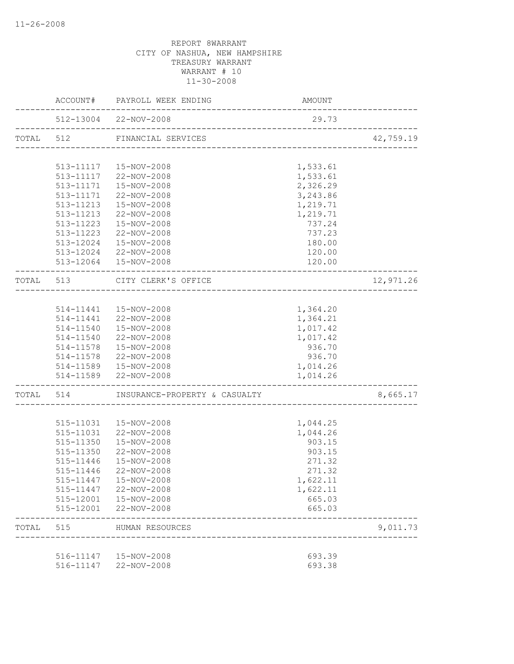|           |           | ACCOUNT# PAYROLL WEEK ENDING            | AMOUNT                                  |           |
|-----------|-----------|-----------------------------------------|-----------------------------------------|-----------|
|           |           | 512-13004 22-NOV-2008                   | 29.73                                   |           |
| TOTAL 512 |           | FINANCIAL SERVICES                      | ;<br>---------------------------------- | 42,759.19 |
|           |           |                                         |                                         |           |
|           |           | 513-11117  15-NOV-2008                  | 1,533.61                                |           |
|           |           | $513-11117$ $22-NOV-2008$               | 1,533.61                                |           |
|           |           | 513-11171  15-NOV-2008                  | 2,326.29                                |           |
|           |           | 513-11171 22-NOV-2008                   | 3,243.86                                |           |
|           |           | 513-11213  15-NOV-2008                  | 1,219.71                                |           |
|           |           | 513-11213 22-NOV-2008                   | 1,219.71                                |           |
|           |           | 513-11223  15-NOV-2008                  | 737.24                                  |           |
|           |           | 513-11223 22-NOV-2008                   | 737.23                                  |           |
|           |           | 513-12024  15-NOV-2008                  | 180.00                                  |           |
|           |           | 513-12024 22-NOV-2008                   | 120.00                                  |           |
|           |           | 513-12064  15-NOV-2008                  | 120.00                                  |           |
|           |           | TOTAL 513 CITY CLERK'S OFFICE           | -----------------------------------     | 12,971.26 |
|           |           |                                         |                                         |           |
|           |           | 514-11441  15-NOV-2008                  | 1,364.20                                |           |
|           |           | 514-11441 22-NOV-2008                   | 1,364.21                                |           |
|           |           | 514-11540  15-NOV-2008                  | 1,017.42                                |           |
|           |           | 514-11540 22-NOV-2008                   | 1,017.42                                |           |
|           |           | 514-11578  15-NOV-2008                  | 936.70                                  |           |
|           |           | 514-11578 22-NOV-2008                   | 936.70                                  |           |
|           |           | 514-11589  15-NOV-2008                  | 1,014.26                                |           |
|           |           | 514-11589 22-NOV-2008                   | 1,014.26                                |           |
|           |           | TOTAL 514 INSURANCE-PROPERTY & CASUALTY |                                         | 8,665.17  |
|           |           |                                         |                                         |           |
|           |           | 515-11031  15-NOV-2008                  | 1,044.25                                |           |
|           | 515-11031 | 22-NOV-2008                             | 1,044.26                                |           |
|           | 515-11350 | 15-NOV-2008                             | 903.15                                  |           |
|           |           | 515-11350 22-NOV-2008                   | 903.15                                  |           |
|           |           | 515-11446  15-NOV-2008                  | 271.32                                  |           |
|           |           | 515-11446 22-NOV-2008                   | 271.32                                  |           |
|           | 515-11447 | 15-NOV-2008                             | 1,622.11                                |           |
|           | 515-11447 | 22-NOV-2008                             | 1,622.11                                |           |
|           | 515-12001 | 15-NOV-2008                             | 665.03                                  |           |
|           | 515-12001 | 22-NOV-2008                             | 665.03                                  |           |
| TOTAL     | 515       | HUMAN RESOURCES                         |                                         | 9,011.73  |
|           |           |                                         |                                         |           |
|           | 516-11147 | 15-NOV-2008                             | 693.39                                  |           |
|           | 516-11147 | 22-NOV-2008                             | 693.38                                  |           |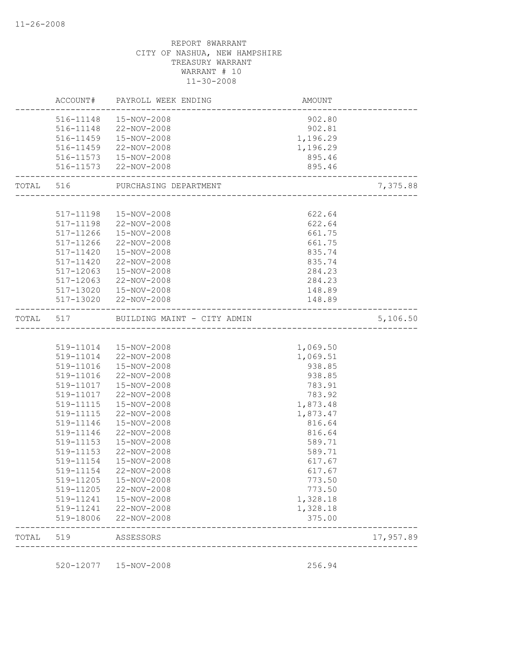|           |           | ACCOUNT# PAYROLL WEEK ENDING    | AMOUNT   |           |
|-----------|-----------|---------------------------------|----------|-----------|
|           | 516-11148 | 15-NOV-2008                     | 902.80   |           |
|           | 516-11148 | 22-NOV-2008                     | 902.81   |           |
|           | 516-11459 | 15-NOV-2008                     | 1,196.29 |           |
|           |           | 516-11459 22-NOV-2008           | 1,196.29 |           |
|           |           | 516-11573  15-NOV-2008          | 895.46   |           |
|           |           | 516-11573 22-NOV-2008           | 895.46   |           |
| TOTAL 516 |           | PURCHASING DEPARTMENT           |          | 7,375.88  |
|           |           |                                 |          |           |
|           |           | 517-11198  15-NOV-2008          | 622.64   |           |
|           |           | 517-11198 22-NOV-2008           | 622.64   |           |
|           |           | 517-11266  15-NOV-2008          | 661.75   |           |
|           | 517-11266 | 22-NOV-2008                     | 661.75   |           |
|           | 517-11420 | 15-NOV-2008                     | 835.74   |           |
|           | 517-11420 | 22-NOV-2008                     | 835.74   |           |
|           | 517-12063 | 15-NOV-2008                     | 284.23   |           |
|           | 517-12063 | 22-NOV-2008                     | 284.23   |           |
|           | 517-13020 | 15-NOV-2008                     | 148.89   |           |
|           |           | 517-13020 22-NOV-2008           | 148.89   |           |
| TOTAL     |           | 517 BUILDING MAINT - CITY ADMIN |          | 5,106.50  |
|           |           |                                 |          |           |
|           |           | 519-11014  15-NOV-2008          | 1,069.50 |           |
|           |           | 519-11014 22-NOV-2008           | 1,069.51 |           |
|           | 519-11016 | 15-NOV-2008                     | 938.85   |           |
|           | 519-11016 | 22-NOV-2008                     | 938.85   |           |
|           | 519-11017 | 15-NOV-2008                     | 783.91   |           |
|           | 519-11017 | 22-NOV-2008                     | 783.92   |           |
|           | 519-11115 | 15-NOV-2008                     | 1,873.48 |           |
|           | 519-11115 | 22-NOV-2008                     | 1,873.47 |           |
|           | 519-11146 | 15-NOV-2008                     | 816.64   |           |
|           | 519-11146 | 22-NOV-2008                     | 816.64   |           |
|           | 519-11153 | 15-NOV-2008                     | 589.71   |           |
|           | 519-11153 | 22-NOV-2008                     | 589.71   |           |
|           | 519-11154 | 15-NOV-2008                     | 617.67   |           |
|           | 519-11154 | 22-NOV-2008                     | 617.67   |           |
|           | 519-11205 | 15-NOV-2008                     | 773.50   |           |
|           |           | 519-11205 22-NOV-2008           | 773.50   |           |
|           |           | 519-11241  15-NOV-2008          | 1,328.18 |           |
|           |           | 519-11241 22-NOV-2008           | 1,328.18 |           |
|           | 519-18006 | 22-NOV-2008                     | 375.00   |           |
| TOTAL     | 519       | ASSESSORS                       |          | 17,957.89 |
|           |           | 520-12077  15-NOV-2008          | 256.94   |           |
|           |           |                                 |          |           |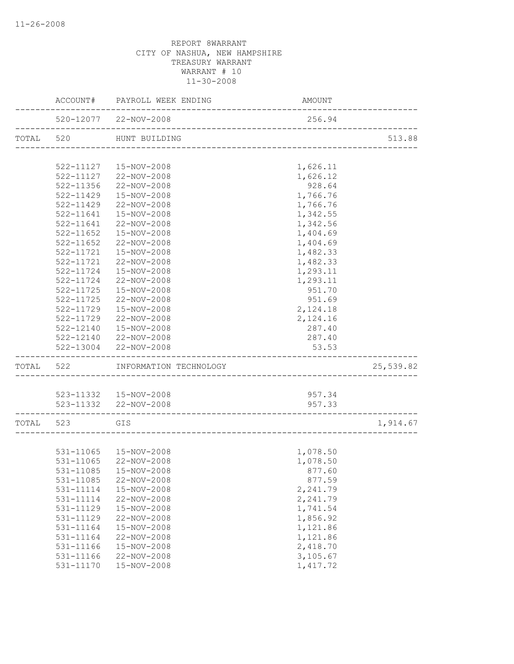|           |               | ACCOUNT# PAYROLL WEEK ENDING                                 | AMOUNT    |           |
|-----------|---------------|--------------------------------------------------------------|-----------|-----------|
|           |               | 520-12077 22-NOV-2008<br>----------------------------------- | 256.94    |           |
| TOTAL 520 |               | HUNT BUILDING                                                |           | 513.88    |
|           |               |                                                              |           |           |
|           |               | 522-11127  15-NOV-2008                                       | 1,626.11  |           |
|           |               | 522-11127 22-NOV-2008                                        | 1,626.12  |           |
|           | 522-11356     | 22-NOV-2008                                                  | 928.64    |           |
|           | 522-11429     | 15-NOV-2008                                                  | 1,766.76  |           |
|           | 522-11429     | 22-NOV-2008                                                  | 1,766.76  |           |
|           | 522-11641     | 15-NOV-2008                                                  | 1,342.55  |           |
|           | 522-11641     | 22-NOV-2008                                                  | 1,342.56  |           |
|           | $522 - 11652$ | 15-NOV-2008                                                  | 1,404.69  |           |
|           | $522 - 11652$ | 22-NOV-2008                                                  | 1,404.69  |           |
|           | 522-11721     | 15-NOV-2008                                                  | 1,482.33  |           |
|           | 522-11721     | 22-NOV-2008                                                  | 1,482.33  |           |
|           | 522-11724     | 15-NOV-2008                                                  | 1,293.11  |           |
|           | 522-11724     | 22-NOV-2008                                                  | 1,293.11  |           |
|           | $522 - 11725$ | 15-NOV-2008                                                  | 951.70    |           |
|           | $522 - 11725$ | 22-NOV-2008                                                  | 951.69    |           |
|           | 522-11729     | 15-NOV-2008                                                  | 2,124.18  |           |
|           | 522-11729     | 22-NOV-2008                                                  | 2,124.16  |           |
|           | 522-12140     | 15-NOV-2008                                                  | 287.40    |           |
|           |               | 522-12140 22-NOV-2008                                        | 287.40    |           |
|           |               | 522-13004 22-NOV-2008                                        | 53.53     |           |
| TOTAL     | 522           | INFORMATION TECHNOLOGY                                       |           | 25,539.82 |
|           |               |                                                              |           |           |
|           |               | 523-11332  15-NOV-2008                                       | 957.34    |           |
|           |               | 523-11332 22-NOV-2008<br>_________________________________   | 957.33    |           |
| TOTAL 523 | GIS           |                                                              |           | 1,914.67  |
|           |               |                                                              |           |           |
|           |               | 531-11065  15-NOV-2008                                       | 1,078.50  |           |
|           | 531-11065     | 22-NOV-2008                                                  | 1,078.50  |           |
|           |               | 531-11085  15-NOV-2008                                       | 877.60    |           |
|           | 531-11085     | 22-NOV-2008                                                  | 877.59    |           |
|           | 531-11114     | 15-NOV-2008                                                  | 2,241.79  |           |
|           | 531-11114     | 22-NOV-2008                                                  | 2,241.79  |           |
|           | 531-11129     | 15-NOV-2008                                                  | 1,741.54  |           |
|           | 531-11129     | 22-NOV-2008                                                  | 1,856.92  |           |
|           | 531-11164     | 15-NOV-2008                                                  | 1,121.86  |           |
|           | 531-11164     | 22-NOV-2008                                                  | 1,121.86  |           |
|           | 531-11166     | 15-NOV-2008                                                  | 2,418.70  |           |
|           | 531-11166     | 22-NOV-2008                                                  | 3,105.67  |           |
|           | 531-11170     | 15-NOV-2008                                                  | 1, 417.72 |           |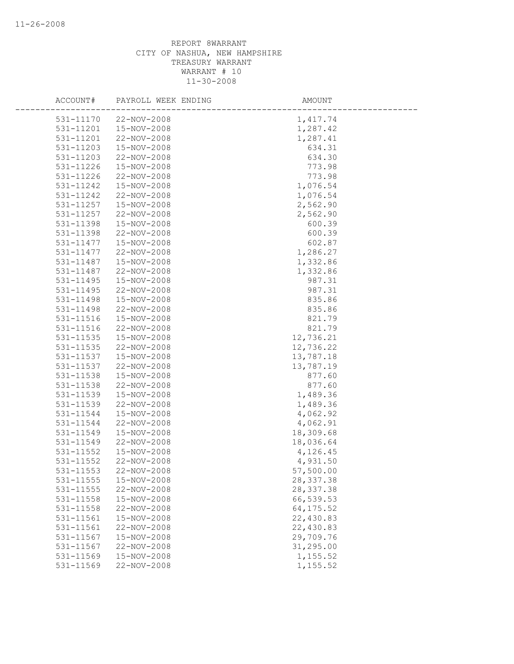| ACCOUNT#  | PAYROLL WEEK ENDING | AMOUNT     |
|-----------|---------------------|------------|
| 531-11170 | 22-NOV-2008         | 1,417.74   |
| 531-11201 | 15-NOV-2008         | 1,287.42   |
| 531-11201 | 22-NOV-2008         | 1,287.41   |
| 531-11203 | 15-NOV-2008         | 634.31     |
| 531-11203 | 22-NOV-2008         | 634.30     |
| 531-11226 | 15-NOV-2008         | 773.98     |
| 531-11226 | 22-NOV-2008         | 773.98     |
| 531-11242 | 15-NOV-2008         | 1,076.54   |
| 531-11242 | 22-NOV-2008         | 1,076.54   |
| 531-11257 | 15-NOV-2008         | 2,562.90   |
| 531-11257 | 22-NOV-2008         | 2,562.90   |
| 531-11398 | 15-NOV-2008         | 600.39     |
| 531-11398 | 22-NOV-2008         | 600.39     |
| 531-11477 | 15-NOV-2008         | 602.87     |
| 531-11477 | 22-NOV-2008         | 1,286.27   |
| 531-11487 | 15-NOV-2008         | 1,332.86   |
| 531-11487 | 22-NOV-2008         | 1,332.86   |
| 531-11495 | 15-NOV-2008         | 987.31     |
| 531-11495 | 22-NOV-2008         | 987.31     |
| 531-11498 | 15-NOV-2008         | 835.86     |
| 531-11498 | 22-NOV-2008         | 835.86     |
| 531-11516 | 15-NOV-2008         | 821.79     |
| 531-11516 | 22-NOV-2008         | 821.79     |
| 531-11535 | 15-NOV-2008         | 12,736.21  |
| 531-11535 | 22-NOV-2008         | 12,736.22  |
| 531-11537 | 15-NOV-2008         | 13,787.18  |
| 531-11537 | 22-NOV-2008         | 13,787.19  |
| 531-11538 | 15-NOV-2008         | 877.60     |
| 531-11538 | 22-NOV-2008         | 877.60     |
| 531-11539 | 15-NOV-2008         | 1,489.36   |
| 531-11539 | 22-NOV-2008         | 1,489.36   |
| 531-11544 | 15-NOV-2008         | 4,062.92   |
| 531-11544 | 22-NOV-2008         | 4,062.91   |
| 531-11549 | 15-NOV-2008         | 18,309.68  |
| 531-11549 | 22-NOV-2008         | 18,036.64  |
| 531-11552 | 15-NOV-2008         | 4,126.45   |
| 531-11552 | 22-NOV-2008         | 4,931.50   |
| 531-11553 | 22-NOV-2008         | 57,500.00  |
| 531-11555 | 15-NOV-2008         | 28, 337.38 |
| 531-11555 | 22-NOV-2008         | 28, 337.38 |
| 531-11558 | 15-NOV-2008         | 66,539.53  |
| 531-11558 | 22-NOV-2008         | 64, 175.52 |
| 531-11561 | 15-NOV-2008         | 22,430.83  |
| 531-11561 | 22-NOV-2008         | 22,430.83  |
| 531-11567 | 15-NOV-2008         | 29,709.76  |
| 531-11567 | 22-NOV-2008         | 31,295.00  |
| 531-11569 | 15-NOV-2008         | 1,155.52   |
| 531-11569 | 22-NOV-2008         | 1,155.52   |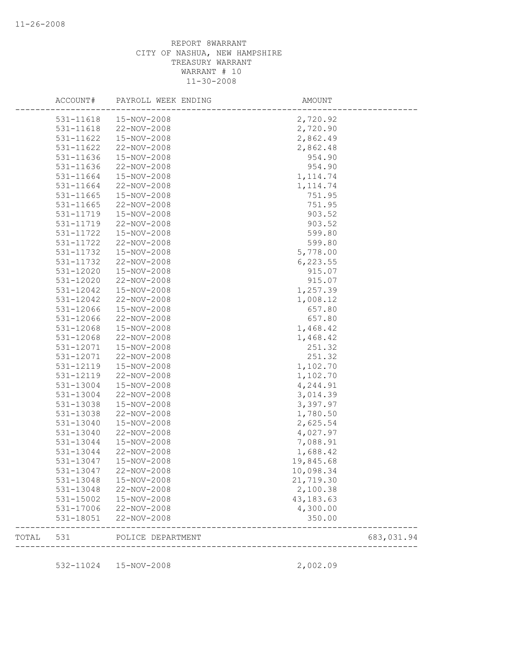|       | ACCOUNT#      | PAYROLL WEEK ENDING | AMOUNT                              |            |
|-------|---------------|---------------------|-------------------------------------|------------|
|       | 531-11618     | 15-NOV-2008         | 2,720.92                            |            |
|       | 531-11618     | 22-NOV-2008         | 2,720.90                            |            |
|       | 531-11622     | 15-NOV-2008         | 2,862.49                            |            |
|       | 531-11622     | 22-NOV-2008         | 2,862.48                            |            |
|       | 531-11636     | 15-NOV-2008         | 954.90                              |            |
|       | 531-11636     | 22-NOV-2008         | 954.90                              |            |
|       | 531-11664     | 15-NOV-2008         | 1, 114.74                           |            |
|       | 531-11664     | 22-NOV-2008         | 1, 114.74                           |            |
|       | $531 - 11665$ | 15-NOV-2008         | 751.95                              |            |
|       | 531-11665     | 22-NOV-2008         | 751.95                              |            |
|       | 531-11719     | 15-NOV-2008         | 903.52                              |            |
|       | 531-11719     | 22-NOV-2008         | 903.52                              |            |
|       | 531-11722     | 15-NOV-2008         | 599.80                              |            |
|       | 531-11722     | 22-NOV-2008         | 599.80                              |            |
|       | 531-11732     | 15-NOV-2008         | 5,778.00                            |            |
|       | 531-11732     | 22-NOV-2008         | 6, 223.55                           |            |
|       | 531-12020     | 15-NOV-2008         | 915.07                              |            |
|       | 531-12020     | 22-NOV-2008         | 915.07                              |            |
|       | 531-12042     | 15-NOV-2008         | 1,257.39                            |            |
|       | 531-12042     | 22-NOV-2008         | 1,008.12                            |            |
|       | 531-12066     | 15-NOV-2008         | 657.80                              |            |
|       | 531-12066     | 22-NOV-2008         | 657.80                              |            |
|       | 531-12068     | 15-NOV-2008         | 1,468.42                            |            |
|       | 531-12068     | 22-NOV-2008         | 1,468.42                            |            |
|       | 531-12071     | 15-NOV-2008         | 251.32                              |            |
|       | 531-12071     | 22-NOV-2008         | 251.32                              |            |
|       | 531-12119     | 15-NOV-2008         | 1,102.70                            |            |
|       | 531-12119     | 22-NOV-2008         | 1,102.70                            |            |
|       | 531-13004     | 15-NOV-2008         | 4,244.91                            |            |
|       | 531-13004     | 22-NOV-2008         | 3,014.39                            |            |
|       | 531-13038     | 15-NOV-2008         | 3,397.97                            |            |
|       | 531-13038     | 22-NOV-2008         | 1,780.50                            |            |
|       | 531-13040     | 15-NOV-2008         | 2,625.54                            |            |
|       | 531-13040     | 22-NOV-2008         | 4,027.97                            |            |
|       | 531-13044     | 15-NOV-2008         | 7,088.91                            |            |
|       | 531-13044     | 22-NOV-2008         | 1,688.42                            |            |
|       | 531-13047     | 15-NOV-2008         | 19,845.68                           |            |
|       | 531-13047     | 22-NOV-2008         | 10,098.34                           |            |
|       | 531-13048     | 15-NOV-2008         | 21,719.30                           |            |
|       | 531-13048     | 22-NOV-2008         | 2,100.38                            |            |
|       | 531-15002     | 15-NOV-2008         | 43, 183. 63                         |            |
|       | 531-17006     | 22-NOV-2008         | 4,300.00                            |            |
|       | 531-18051     | 22-NOV-2008         | 350.00                              |            |
| TOTAL | 531           | POLICE DEPARTMENT   | ___________________________________ | 683,031.94 |
|       |               | 15-NOV-2008         |                                     |            |
|       | 532-11024     |                     | 2,002.09                            |            |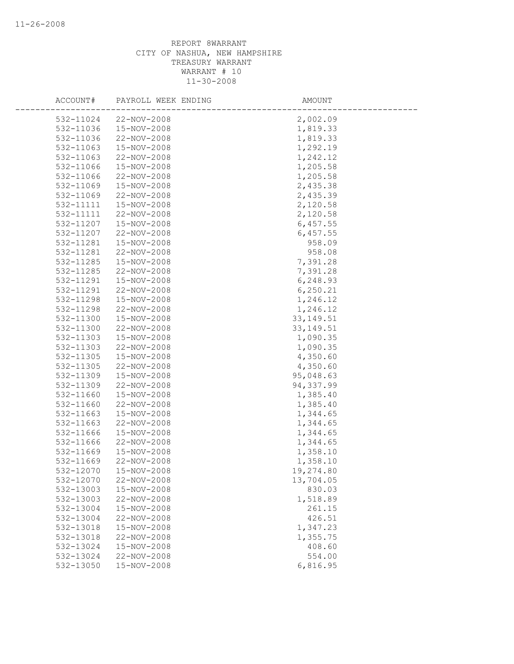| ACCOUNT#  | PAYROLL WEEK ENDING | AMOUNT     |
|-----------|---------------------|------------|
| 532-11024 | 22-NOV-2008         | 2,002.09   |
| 532-11036 | 15-NOV-2008         | 1,819.33   |
| 532-11036 | 22-NOV-2008         | 1,819.33   |
| 532-11063 | 15-NOV-2008         | 1,292.19   |
| 532-11063 | 22-NOV-2008         | 1,242.12   |
| 532-11066 | 15-NOV-2008         | 1,205.58   |
| 532-11066 | 22-NOV-2008         | 1,205.58   |
| 532-11069 | 15-NOV-2008         | 2,435.38   |
| 532-11069 | 22-NOV-2008         | 2,435.39   |
| 532-11111 | 15-NOV-2008         | 2,120.58   |
| 532-11111 | 22-NOV-2008         | 2,120.58   |
| 532-11207 | 15-NOV-2008         | 6,457.55   |
| 532-11207 | 22-NOV-2008         | 6,457.55   |
| 532-11281 | 15-NOV-2008         | 958.09     |
| 532-11281 | 22-NOV-2008         | 958.08     |
| 532-11285 | 15-NOV-2008         | 7,391.28   |
| 532-11285 | 22-NOV-2008         | 7,391.28   |
| 532-11291 | 15-NOV-2008         | 6,248.93   |
| 532-11291 | 22-NOV-2008         | 6, 250.21  |
| 532-11298 | 15-NOV-2008         | 1,246.12   |
| 532-11298 | 22-NOV-2008         | 1,246.12   |
| 532-11300 | 15-NOV-2008         | 33, 149.51 |
| 532-11300 | 22-NOV-2008         | 33, 149.51 |
| 532-11303 | 15-NOV-2008         | 1,090.35   |
| 532-11303 | 22-NOV-2008         | 1,090.35   |
| 532-11305 | 15-NOV-2008         | 4,350.60   |
| 532-11305 | 22-NOV-2008         | 4,350.60   |
| 532-11309 | 15-NOV-2008         | 95,048.63  |
| 532-11309 | 22-NOV-2008         | 94,337.99  |
| 532-11660 | 15-NOV-2008         | 1,385.40   |
| 532-11660 | 22-NOV-2008         | 1,385.40   |
| 532-11663 | 15-NOV-2008         | 1,344.65   |
| 532-11663 | 22-NOV-2008         | 1,344.65   |
| 532-11666 | 15-NOV-2008         | 1,344.65   |
| 532-11666 | 22-NOV-2008         | 1,344.65   |
| 532-11669 | 15-NOV-2008         | 1,358.10   |
| 532-11669 | 22-NOV-2008         | 1,358.10   |
| 532-12070 | 15-NOV-2008         | 19,274.80  |
| 532-12070 | 22-NOV-2008         | 13,704.05  |
| 532-13003 | 15-NOV-2008         | 830.03     |
| 532-13003 | 22-NOV-2008         | 1,518.89   |
| 532-13004 | 15-NOV-2008         | 261.15     |
| 532-13004 | 22-NOV-2008         | 426.51     |
| 532-13018 | 15-NOV-2008         | 1,347.23   |
| 532-13018 | 22-NOV-2008         | 1,355.75   |
| 532-13024 | 15-NOV-2008         | 408.60     |
| 532-13024 | 22-NOV-2008         | 554.00     |
| 532-13050 | 15-NOV-2008         | 6,816.95   |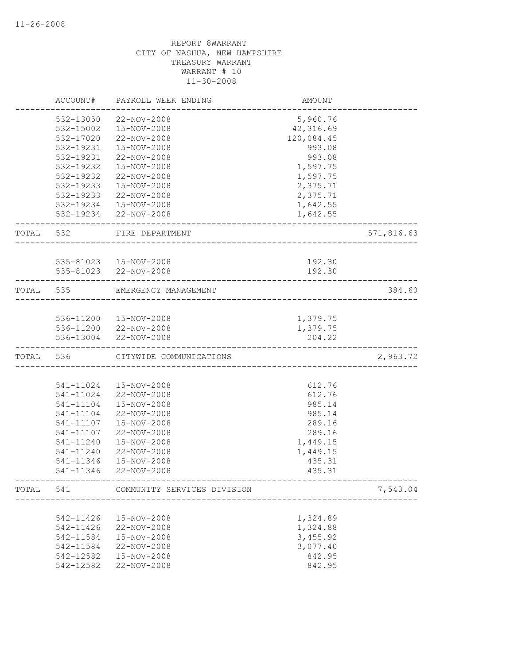|           | ACCOUNT#  | PAYROLL WEEK ENDING                                   | AMOUNT                             |            |
|-----------|-----------|-------------------------------------------------------|------------------------------------|------------|
|           | 532-13050 | 22-NOV-2008                                           | 5,960.76                           |            |
|           | 532-15002 | 15-NOV-2008                                           | 42,316.69                          |            |
|           | 532-17020 | 22-NOV-2008                                           | 120,084.45                         |            |
|           | 532-19231 | 15-NOV-2008                                           | 993.08                             |            |
|           | 532-19231 | 22-NOV-2008                                           | 993.08                             |            |
|           | 532-19232 | 15-NOV-2008                                           | 1,597.75                           |            |
|           | 532-19232 | 22-NOV-2008                                           | 1,597.75                           |            |
|           | 532-19233 | 15-NOV-2008                                           | 2,375.71                           |            |
|           | 532-19233 | 22-NOV-2008                                           | 2,375.71                           |            |
|           |           | 532-19234 15-NOV-2008                                 | 1,642.55                           |            |
|           |           | 532-19234 22-NOV-2008                                 | 1,642.55                           |            |
| TOTAL     | 532       | FIRE DEPARTMENT<br><u>. 22 22 22 22 22 22 22 22 2</u> |                                    | 571,816.63 |
|           |           |                                                       |                                    |            |
|           |           | 535-81023  15-NOV-2008<br>535-81023 22-NOV-2008       | 192.30<br>192.30                   |            |
| TOTAL 535 |           | EMERGENCY MANAGEMENT                                  | __________________________________ | 384.60     |
|           |           |                                                       |                                    |            |
|           |           | 536-11200  15-NOV-2008                                | 1,379.75                           |            |
|           |           | 536-11200 22-NOV-2008                                 | 1,379.75                           |            |
|           | 536-13004 | 22-NOV-2008                                           | 204.22                             |            |
| TOTAL 536 |           | CITYWIDE COMMUNICATIONS                               |                                    | 2,963.72   |
|           |           |                                                       |                                    |            |
|           | 541-11024 | 15-NOV-2008                                           | 612.76                             |            |
|           | 541-11024 | 22-NOV-2008                                           | 612.76                             |            |
|           | 541-11104 | 15-NOV-2008                                           | 985.14                             |            |
|           | 541-11104 | 22-NOV-2008                                           | 985.14                             |            |
|           | 541-11107 | 15-NOV-2008                                           | 289.16                             |            |
|           | 541-11107 | 22-NOV-2008                                           | 289.16                             |            |
|           | 541-11240 | 15-NOV-2008                                           | 1,449.15                           |            |
|           | 541-11240 | 22-NOV-2008                                           | 1,449.15                           |            |
|           | 541-11346 | 15-NOV-2008                                           | 435.31                             |            |
|           | 541-11346 | 22-NOV-2008                                           | 435.31                             |            |
| TOTAL     | 541       | COMMUNITY SERVICES DIVISION                           |                                    | 7,543.04   |
|           |           |                                                       |                                    |            |
|           | 542-11426 | 15-NOV-2008                                           | 1,324.89                           |            |
|           | 542-11426 | 22-NOV-2008                                           | 1,324.88                           |            |
|           | 542-11584 | 15-NOV-2008                                           | 3,455.92                           |            |
|           | 542-11584 | 22-NOV-2008                                           | 3,077.40                           |            |
|           | 542-12582 | 15-NOV-2008                                           | 842.95                             |            |
|           | 542-12582 | 22-NOV-2008                                           | 842.95                             |            |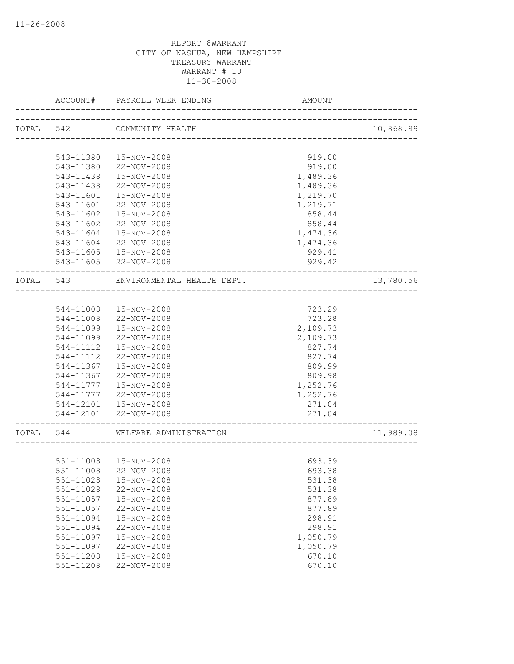|       | ACCOUNT#                            | PAYROLL WEEK ENDING                       | AMOUNT                       |           |
|-------|-------------------------------------|-------------------------------------------|------------------------------|-----------|
|       | TOTAL 542                           | COMMUNITY HEALTH                          |                              | 10,868.99 |
|       |                                     | --------------------------                |                              |           |
|       | 543-11380                           | 15-NOV-2008                               | 919.00                       |           |
|       | 543-11380                           | 22-NOV-2008                               | 919.00                       |           |
|       | 543-11438                           | 15-NOV-2008                               | 1,489.36                     |           |
|       | 543-11438                           | 22-NOV-2008                               | 1,489.36                     |           |
|       | 543-11601                           | 15-NOV-2008                               | 1,219.70                     |           |
|       | 543-11601                           | 22-NOV-2008                               | 1,219.71                     |           |
|       | 543-11602                           | 15-NOV-2008                               | 858.44                       |           |
|       | 543-11602                           | 22-NOV-2008                               | 858.44                       |           |
|       | 543-11604                           | 15-NOV-2008                               | 1,474.36                     |           |
|       | 543-11604                           | 22-NOV-2008                               | 1,474.36                     |           |
|       | 543-11605                           | 15-NOV-2008                               | 929.41                       |           |
|       | 543-11605                           | 22-NOV-2008                               | 929.42                       |           |
| TOTAL | 543                                 | ENVIRONMENTAL HEALTH DEPT.                |                              | 13,780.56 |
|       |                                     |                                           |                              |           |
|       | 544-11008                           | 15-NOV-2008                               | 723.29                       |           |
|       | 544-11008                           | 22-NOV-2008                               | 723.28                       |           |
|       | 544-11099                           | 15-NOV-2008                               | 2,109.73                     |           |
|       | 544-11099                           | 22-NOV-2008                               | 2,109.73                     |           |
|       | 544-11112                           | 15-NOV-2008                               | 827.74                       |           |
|       | 544-11112                           | 22-NOV-2008                               | 827.74                       |           |
|       | 544-11367                           | 15-NOV-2008                               | 809.99                       |           |
|       | 544-11367                           | 22-NOV-2008                               | 809.98                       |           |
|       | 544-11777                           | 15-NOV-2008                               | 1,252.76                     |           |
|       | 544-11777                           | 22-NOV-2008                               | 1,252.76                     |           |
|       | 544-12101                           | 15-NOV-2008                               | 271.04                       |           |
|       |                                     | 544-12101 22-NOV-2008                     | 271.04                       |           |
| TOTAL | 544                                 | WELFARE ADMINISTRATION                    | ______________________       | 11,989.08 |
|       |                                     |                                           |                              |           |
|       | 551-11008                           | 15-NOV-2008                               | 693.39                       |           |
|       |                                     | 551-11008 22-NOV-2008                     | 693.38                       |           |
|       | 551-11028                           | 15-NOV-2008                               | 531.38                       |           |
|       | 551-11028                           | 22-NOV-2008                               | 531.38                       |           |
|       | 551-11057                           | 15-NOV-2008                               | 877.89                       |           |
|       | 551-11057                           | 22-NOV-2008                               | 877.89                       |           |
|       | 551-11094                           | 15-NOV-2008                               | 298.91                       |           |
|       | 551-11094                           | 22-NOV-2008                               | 298.91                       |           |
|       | 551-11097                           | 15-NOV-2008                               | 1,050.79                     |           |
|       |                                     |                                           |                              |           |
|       |                                     |                                           |                              |           |
|       |                                     |                                           |                              |           |
|       | 551-11097<br>551-11208<br>551-11208 | 22-NOV-2008<br>15-NOV-2008<br>22-NOV-2008 | 1,050.79<br>670.10<br>670.10 |           |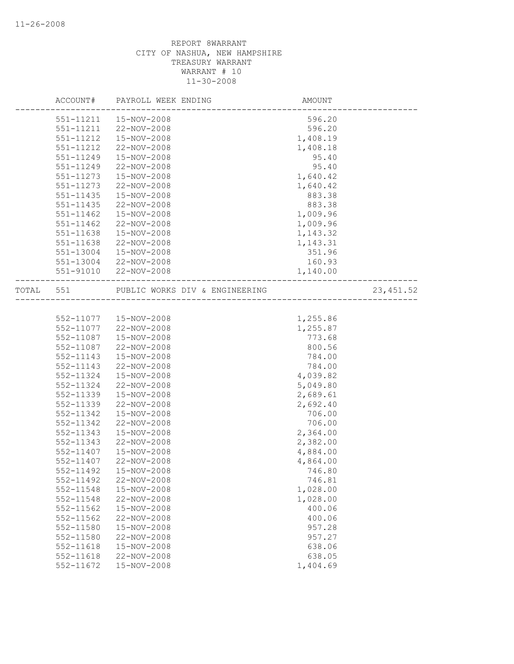|       | ACCOUNT#               | PAYROLL WEEK ENDING            | <b>AMOUNT</b>    |            |
|-------|------------------------|--------------------------------|------------------|------------|
|       | 551-11211              | 15-NOV-2008                    | 596.20           |            |
|       | 551-11211              | 22-NOV-2008                    | 596.20           |            |
|       | 551-11212              | 15-NOV-2008                    | 1,408.19         |            |
|       | 551-11212              | 22-NOV-2008                    | 1,408.18         |            |
|       | 551-11249              | 15-NOV-2008                    | 95.40            |            |
|       | 551-11249              | 22-NOV-2008                    | 95.40            |            |
|       | 551-11273              | 15-NOV-2008                    | 1,640.42         |            |
|       | 551-11273              | 22-NOV-2008                    | 1,640.42         |            |
|       | 551-11435              | 15-NOV-2008                    | 883.38           |            |
|       | $551 - 11435$          | 22-NOV-2008                    | 883.38           |            |
|       | 551-11462              | 15-NOV-2008                    | 1,009.96         |            |
|       | 551-11462              | 22-NOV-2008                    | 1,009.96         |            |
|       | 551-11638              | 15-NOV-2008                    | 1,143.32         |            |
|       | 551-11638              | 22-NOV-2008                    | 1,143.31         |            |
|       | 551-13004              | 15-NOV-2008                    | 351.96           |            |
|       | 551-13004              | 22-NOV-2008                    | 160.93           |            |
|       | 551-91010              | 22-NOV-2008                    | 1,140.00         |            |
|       |                        |                                |                  |            |
| TOTAL | 551                    | PUBLIC WORKS DIV & ENGINEERING |                  | 23, 451.52 |
|       |                        |                                |                  |            |
|       | 552-11077              | 15-NOV-2008                    | 1,255.86         |            |
|       | 552-11077              | 22-NOV-2008                    | 1,255.87         |            |
|       | 552-11087              | 15-NOV-2008                    | 773.68           |            |
|       | 552-11087              | 22-NOV-2008                    | 800.56           |            |
|       | 552-11143              | 15-NOV-2008                    | 784.00           |            |
|       | 552-11143              | 22-NOV-2008                    | 784.00           |            |
|       | 552-11324              | 15-NOV-2008                    | 4,039.82         |            |
|       | 552-11324              | 22-NOV-2008                    | 5,049.80         |            |
|       | 552-11339              | 15-NOV-2008                    | 2,689.61         |            |
|       | 552-11339              | 22-NOV-2008                    | 2,692.40         |            |
|       | 552-11342              | 15-NOV-2008                    | 706.00           |            |
|       | 552-11342              | 22-NOV-2008                    | 706.00           |            |
|       | 552-11343              | 15-NOV-2008                    | 2,364.00         |            |
|       | 552-11343              | 22-NOV-2008                    | 2,382.00         |            |
|       | 552-11407              | 15-NOV-2008                    | 4,884.00         |            |
|       | 552-11407              | 22-NOV-2008                    | 4,864.00         |            |
|       | 552-11492              | 15-NOV-2008                    | 746.80           |            |
|       | 552-11492              | 22-NOV-2008                    | 746.81           |            |
|       | 552-11548              | 15-NOV-2008                    | 1,028.00         |            |
|       | 552-11548              | 22-NOV-2008                    | 1,028.00         |            |
|       | 552-11562              | 15-NOV-2008                    | 400.06           |            |
|       | 552-11562              | 22-NOV-2008                    | 400.06           |            |
|       |                        | 15-NOV-2008                    |                  |            |
|       | 552-11580<br>552-11580 | 22-NOV-2008                    | 957.28<br>957.27 |            |
|       | $552 - 11618$          | 15-NOV-2008                    | 638.06           |            |
|       | $552 - 11618$          | 22-NOV-2008                    | 638.05           |            |
|       | 552-11672              | 15-NOV-2008                    | 1,404.69         |            |
|       |                        |                                |                  |            |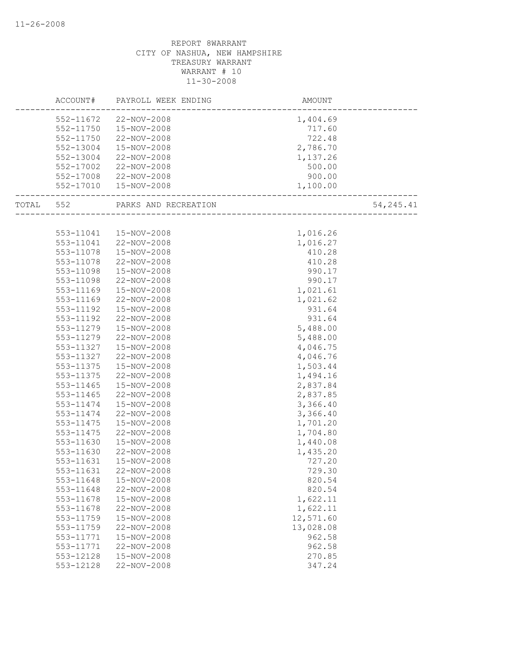|                   | ACCOUNT# PAYROLL WEEK ENDING   | AMOUNT<br>------------------------- |            |
|-------------------|--------------------------------|-------------------------------------|------------|
|                   | 552-11672 22-NOV-2008          | 1,404.69                            |            |
|                   | 552-11750  15-NOV-2008         | 717.60                              |            |
| 552-11750         | 22-NOV-2008                    | 722.48                              |            |
| 552-13004         | 15-NOV-2008                    | 2,786.70                            |            |
| 552-13004         | 22-NOV-2008                    | 1,137.26                            |            |
| 552-17002         | 22-NOV-2008                    | 500.00                              |            |
|                   | 552-17008 22-NOV-2008          | 900.00                              |            |
|                   | 552-17010  15-NOV-2008         | 1,100.00                            |            |
| _________________ | TOTAL 552 PARKS AND RECREATION | ________________________            | 54, 245.41 |
|                   |                                |                                     |            |
|                   | 553-11041  15-NOV-2008         | 1,016.26                            |            |
|                   | 553-11041 22-NOV-2008          | 1,016.27                            |            |
| 553-11078         | 15-NOV-2008                    | 410.28                              |            |
| 553-11078         | 22-NOV-2008                    | 410.28                              |            |
| 553-11098         | 15-NOV-2008                    | 990.17                              |            |
| 553-11098         | 22-NOV-2008                    | 990.17                              |            |
| 553-11169         | 15-NOV-2008                    | 1,021.61                            |            |
| 553-11169         | 22-NOV-2008                    | 1,021.62                            |            |
| 553-11192         | 15-NOV-2008                    | 931.64                              |            |
| 553-11192         | 22-NOV-2008                    | 931.64                              |            |
| 553-11279         | 15-NOV-2008                    | 5,488.00                            |            |
| 553-11279         | 22-NOV-2008                    | 5,488.00                            |            |
| 553-11327         | 15-NOV-2008                    | 4,046.75                            |            |
| 553-11327         | 22-NOV-2008                    | 4,046.76                            |            |
| 553-11375         | 15-NOV-2008                    | 1,503.44                            |            |
| 553-11375         | 22-NOV-2008                    | 1,494.16                            |            |
| 553-11465         | 15-NOV-2008                    | 2,837.84                            |            |
| 553-11465         | 22-NOV-2008                    | 2,837.85                            |            |
| 553-11474         | 15-NOV-2008                    | 3,366.40                            |            |
| 553-11474         | 22-NOV-2008                    | 3,366.40                            |            |
| 553-11475         | 15-NOV-2008                    | 1,701.20                            |            |
| 553-11475         | 22-NOV-2008                    | 1,704.80                            |            |
| 553-11630         | 15-NOV-2008                    | 1,440.08                            |            |
| 553-11630         | 22-NOV-2008                    | 1,435.20                            |            |
| 553-11631         | 15-NOV-2008                    | 727.20                              |            |
| 553-11631         | 22-NOV-2008                    | 729.30                              |            |
| 553-11648         | 15-NOV-2008                    | 820.54                              |            |
| 553-11648         | 22-NOV-2008                    | 820.54                              |            |
| 553-11678         | 15-NOV-2008                    | 1,622.11                            |            |
| 553-11678         | 22-NOV-2008                    | 1,622.11                            |            |
| 553-11759         | 15-NOV-2008                    | 12,571.60                           |            |
| 553-11759         | 22-NOV-2008                    | 13,028.08                           |            |
| 553-11771         | 15-NOV-2008                    | 962.58                              |            |
| 553-11771         | 22-NOV-2008                    | 962.58                              |            |
| 553-12128         | 15-NOV-2008                    | 270.85                              |            |
| 553-12128         | 22-NOV-2008                    | 347.24                              |            |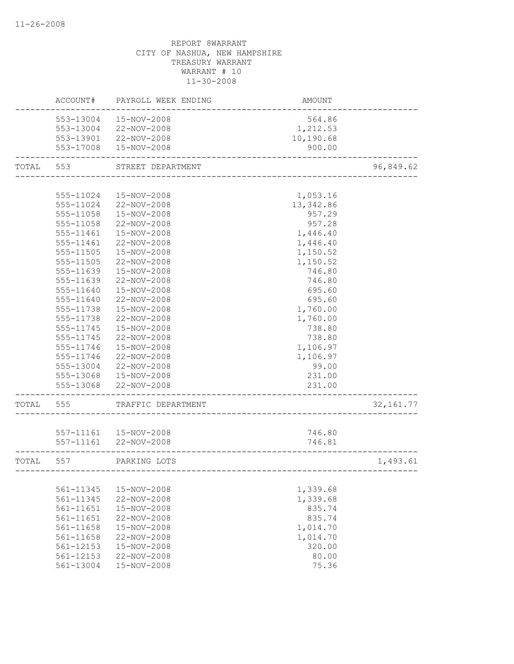|       | ACCOUNT#  | PAYROLL WEEK ENDING    | AMOUNT                               |            |
|-------|-----------|------------------------|--------------------------------------|------------|
|       | 553-13004 | 15-NOV-2008            | 564.86                               |            |
|       | 553-13004 | 22-NOV-2008            | 1,212.53                             |            |
|       |           | 553-13901 22-NOV-2008  | 10,190.68                            |            |
|       |           | 553-17008  15-NOV-2008 | 900.00                               |            |
| TOTAL | 553       | STREET DEPARTMENT      | ------------------------------------ | 96,849.62  |
|       |           |                        |                                      |            |
|       | 555-11024 | 15-NOV-2008            | 1,053.16                             |            |
|       | 555-11024 | 22-NOV-2008            | 13,342.86                            |            |
|       | 555-11058 | 15-NOV-2008            | 957.29                               |            |
|       | 555-11058 | 22-NOV-2008            | 957.28                               |            |
|       | 555-11461 | 15-NOV-2008            | 1,446.40                             |            |
|       | 555-11461 | 22-NOV-2008            | 1,446.40                             |            |
|       | 555-11505 | 15-NOV-2008            | 1,150.52                             |            |
|       | 555-11505 | 22-NOV-2008            | 1,150.52                             |            |
|       | 555-11639 | 15-NOV-2008            | 746.80                               |            |
|       | 555-11639 | 22-NOV-2008            | 746.80                               |            |
|       | 555-11640 | 15-NOV-2008            | 695.60                               |            |
|       | 555-11640 | 22-NOV-2008            | 695.60                               |            |
|       | 555-11738 | 15-NOV-2008            | 1,760.00                             |            |
|       | 555-11738 | 22-NOV-2008            | 1,760.00                             |            |
|       | 555-11745 | 15-NOV-2008            | 738.80                               |            |
|       | 555-11745 | 22-NOV-2008            | 738.80                               |            |
|       | 555-11746 | 15-NOV-2008            | 1,106.97                             |            |
|       | 555-11746 | 22-NOV-2008            | 1,106.97                             |            |
|       |           | 555-13004 22-NOV-2008  | 99.00                                |            |
|       |           | 555-13068 15-NOV-2008  | 231.00                               |            |
|       | 555-13068 | 22-NOV-2008            | 231.00                               |            |
| TOTAL | 555       | TRAFFIC DEPARTMENT     |                                      | 32, 161.77 |
|       |           |                        |                                      |            |
|       |           | 557-11161  15-NOV-2008 | 746.80                               |            |
|       |           | 557-11161 22-NOV-2008  | 746.81                               |            |
| TOTAL | 557       | PARKING LOTS           |                                      | 1,493.61   |
|       |           |                        |                                      |            |
|       | 561-11345 | 15-NOV-2008            | 1,339.68                             |            |
|       | 561-11345 | 22-NOV-2008            | 1,339.68                             |            |
|       | 561-11651 | 15-NOV-2008            | 835.74                               |            |
|       | 561-11651 | 22-NOV-2008            | 835.74                               |            |
|       | 561-11658 | 15-NOV-2008            | 1,014.70                             |            |
|       | 561-11658 | 22-NOV-2008            | 1,014.70                             |            |
|       | 561-12153 | 15-NOV-2008            | 320.00                               |            |
|       | 561-12153 | 22-NOV-2008            | 80.00                                |            |
|       | 561-13004 | 15-NOV-2008            | 75.36                                |            |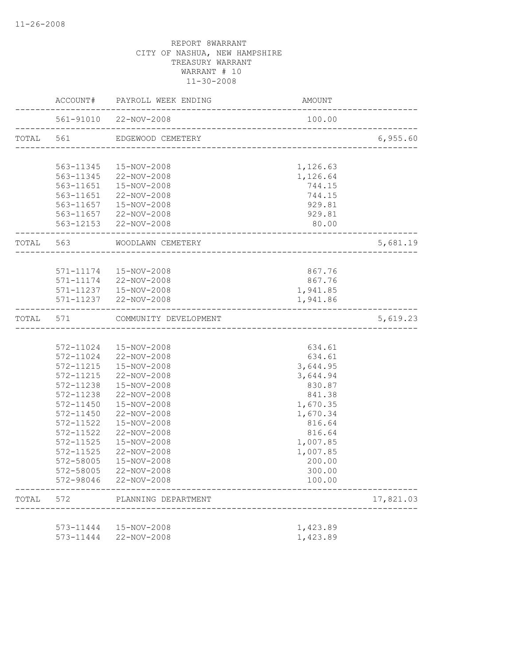|       |               | ACCOUNT# PAYROLL WEEK ENDING | AMOUNT                              |           |
|-------|---------------|------------------------------|-------------------------------------|-----------|
|       |               | 561-91010 22-NOV-2008        | 100.00                              |           |
|       |               | TOTAL 561 EDGEWOOD CEMETERY  |                                     | 6,955.60  |
|       |               | 563-11345  15-NOV-2008       | 1,126.63                            |           |
|       |               | 563-11345 22-NOV-2008        | 1,126.64                            |           |
|       |               | 563-11651  15-NOV-2008       | 744.15                              |           |
|       |               | 563-11651 22-NOV-2008        | 744.15                              |           |
|       |               | 563-11657  15-NOV-2008       | 929.81                              |           |
|       |               | 563-11657 22-NOV-2008        | 929.81                              |           |
|       |               | 563-12153 22-NOV-2008        | 80.00<br>__________________________ |           |
|       |               | TOTAL 563 WOODLAWN CEMETERY  | ________________________________    | 5,681.19  |
|       |               |                              |                                     |           |
|       |               | 571-11174   15-NOV-2008      | 867.76                              |           |
|       |               | 571-11174 22-NOV-2008        | 867.76                              |           |
|       |               | 571-11237  15-NOV-2008       | 1,941.85                            |           |
|       |               | 571-11237 22-NOV-2008        | 1,941.86                            |           |
| TOTAL | 571           | COMMUNITY DEVELOPMENT        |                                     | 5,619.23  |
|       |               |                              |                                     |           |
|       |               | 572-11024  15-NOV-2008       | 634.61                              |           |
|       |               | 572-11024 22-NOV-2008        | 634.61                              |           |
|       | 572-11215     | 15-NOV-2008                  | 3,644.95                            |           |
|       | 572-11215     | 22-NOV-2008                  | 3,644.94                            |           |
|       | 572-11238     | 15-NOV-2008                  | 830.87                              |           |
|       | 572-11238     | 22-NOV-2008                  | 841.38                              |           |
|       |               | 572-11450  15-NOV-2008       | 1,670.35                            |           |
|       | 572-11450     | 22-NOV-2008                  | 1,670.34                            |           |
|       | 572-11522     | 15-NOV-2008                  | 816.64                              |           |
|       | 572-11522     | 22-NOV-2008                  | 816.64                              |           |
|       | 572-11525     | 15-NOV-2008                  | 1,007.85                            |           |
|       | $572 - 11525$ | 22-NOV-2008                  | 1,007.85                            |           |
|       | 572-58005     | 15-NOV-2008                  | 200.00                              |           |
|       | 572-58005     | 22-NOV-2008                  | 300.00                              |           |
|       |               | 572-98046 22-NOV-2008        | 100.00                              |           |
| TOTAL | 572           | PLANNING DEPARTMENT          |                                     | 17,821.03 |
|       |               |                              |                                     |           |
|       |               | 573-11444  15-NOV-2008       | 1,423.89                            |           |
|       |               | 573-11444 22-NOV-2008        | 1,423.89                            |           |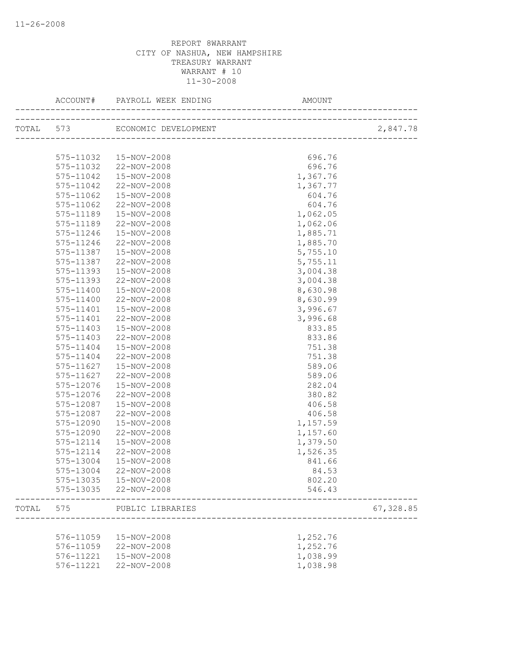|       | ACCOUNT#      | PAYROLL WEEK ENDING            | AMOUNT                       |           |
|-------|---------------|--------------------------------|------------------------------|-----------|
|       |               | TOTAL 573 ECONOMIC DEVELOPMENT | ____________________________ | 2,847.78  |
|       |               |                                |                              |           |
|       | 575-11032     | 15-NOV-2008                    | 696.76                       |           |
|       | 575-11032     | 22-NOV-2008                    | 696.76                       |           |
|       | 575-11042     | 15-NOV-2008                    | 1,367.76                     |           |
|       | 575-11042     | 22-NOV-2008                    | 1,367.77                     |           |
|       | 575-11062     | 15-NOV-2008                    | 604.76                       |           |
|       | 575-11062     | 22-NOV-2008                    | 604.76                       |           |
|       | 575-11189     | 15-NOV-2008                    | 1,062.05                     |           |
|       | 575-11189     | 22-NOV-2008                    | 1,062.06                     |           |
|       | 575-11246     | 15-NOV-2008                    | 1,885.71                     |           |
|       | 575-11246     | 22-NOV-2008                    | 1,885.70                     |           |
|       | 575-11387     | 15-NOV-2008                    | 5,755.10                     |           |
|       | 575-11387     | 22-NOV-2008                    | 5,755.11                     |           |
|       | 575-11393     | 15-NOV-2008                    | 3,004.38                     |           |
|       | 575-11393     | 22-NOV-2008                    | 3,004.38                     |           |
|       | 575-11400     | 15-NOV-2008                    | 8,630.98                     |           |
|       | 575-11400     | 22-NOV-2008                    | 8,630.99                     |           |
|       | $575 - 11401$ | 15-NOV-2008                    | 3,996.67                     |           |
|       | 575-11401     | 22-NOV-2008                    | 3,996.68                     |           |
|       | 575-11403     | 15-NOV-2008                    | 833.85                       |           |
|       | 575-11403     | 22-NOV-2008                    | 833.86                       |           |
|       | 575-11404     | 15-NOV-2008                    | 751.38                       |           |
|       | 575-11404     | 22-NOV-2008                    | 751.38                       |           |
|       | 575-11627     | 15-NOV-2008                    | 589.06                       |           |
|       | 575-11627     | 22-NOV-2008                    | 589.06                       |           |
|       | 575-12076     | 15-NOV-2008                    | 282.04                       |           |
|       | 575-12076     | 22-NOV-2008                    | 380.82                       |           |
|       | 575-12087     | 15-NOV-2008                    | 406.58                       |           |
|       | 575-12087     | 22-NOV-2008                    | 406.58                       |           |
|       | 575-12090     | 15-NOV-2008                    | 1,157.59                     |           |
|       | 575-12090     | 22-NOV-2008                    | 1,157.60                     |           |
|       | 575-12114     | 15-NOV-2008                    | 1,379.50                     |           |
|       | 575-12114     | 22-NOV-2008                    | 1,526.35                     |           |
|       | 575-13004     | 15-NOV-2008                    | 841.66                       |           |
|       | 575-13004     | 22-NOV-2008                    | 84.53                        |           |
|       |               | 575-13035  15-NOV-2008         | 802.20                       |           |
|       |               | 575-13035 22-NOV-2008          | 546.43                       |           |
| TOTAL | 575           | PUBLIC LIBRARIES               |                              | 67,328.85 |
|       |               |                                |                              |           |
|       | 576-11059     | 15-NOV-2008                    | 1,252.76                     |           |
|       | 576-11059     | 22-NOV-2008                    | 1,252.76                     |           |
|       | 576-11221     | 15-NOV-2008                    | 1,038.99                     |           |
|       | 576-11221     | 22-NOV-2008                    | 1,038.98                     |           |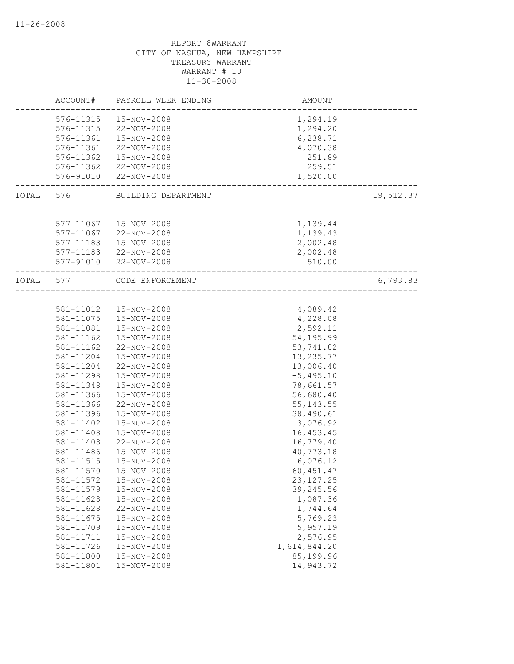|       | ACCOUNT#  | PAYROLL WEEK ENDING     | <b>AMOUNT</b>         |           |
|-------|-----------|-------------------------|-----------------------|-----------|
|       | 576-11315 | 15-NOV-2008             | 1,294.19              |           |
|       | 576-11315 | 22-NOV-2008             | 1,294.20              |           |
|       | 576-11361 | 15-NOV-2008             | 6,238.71              |           |
|       | 576-11361 | 22-NOV-2008             | 4,070.38              |           |
|       | 576-11362 | 15-NOV-2008             | 251.89                |           |
|       |           | 576-11362 22-NOV-2008   | 259.51                |           |
|       | 576-91010 | 22-NOV-2008             | 1,520.00              |           |
| TOTAL |           | 576 BUILDING DEPARTMENT | _____________________ | 19,512.37 |
|       |           |                         |                       |           |
|       |           | 577-11067  15-NOV-2008  | 1,139.44              |           |
|       |           | 577-11067 22-NOV-2008   | 1,139.43              |           |
|       | 577-11183 | 15-NOV-2008             | 2,002.48              |           |
|       |           | 577-11183 22-NOV-2008   | 2,002.48              |           |
|       |           | 577-91010 22-NOV-2008   | 510.00                |           |
| TOTAL | 577       | CODE ENFORCEMENT        |                       | 6,793.83  |
|       |           |                         |                       |           |
|       | 581-11012 | 15-NOV-2008             | 4,089.42              |           |
|       | 581-11075 | 15-NOV-2008             | 4,228.08              |           |
|       | 581-11081 | 15-NOV-2008             | 2,592.11              |           |
|       | 581-11162 | 15-NOV-2008             | 54,195.99             |           |
|       | 581-11162 | 22-NOV-2008             | 53,741.82             |           |
|       | 581-11204 | 15-NOV-2008             | 13, 235.77            |           |
|       | 581-11204 | 22-NOV-2008             | 13,006.40             |           |
|       | 581-11298 | 15-NOV-2008             | $-5,495.10$           |           |
|       | 581-11348 | 15-NOV-2008             | 78,661.57             |           |
|       | 581-11366 | 15-NOV-2008             | 56,680.40             |           |
|       | 581-11366 | 22-NOV-2008             | 55, 143.55            |           |
|       | 581-11396 | 15-NOV-2008             | 38,490.61             |           |
|       | 581-11402 | 15-NOV-2008             | 3,076.92              |           |
|       | 581-11408 | 15-NOV-2008             | 16, 453.45            |           |
|       | 581-11408 | 22-NOV-2008             | 16,779.40             |           |
|       | 581-11486 | 15-NOV-2008             | 40,773.18             |           |
|       | 581-11515 | 15-NOV-2008             | 6,076.12              |           |
|       | 581-11570 | 15-NOV-2008             | 60, 451.47            |           |
|       | 581-11572 | 15-NOV-2008             | 23, 127. 25           |           |
|       | 581-11579 | 15-NOV-2008             | 39,245.56             |           |
|       | 581-11628 | 15-NOV-2008             | 1,087.36              |           |
|       | 581-11628 | 22-NOV-2008             | 1,744.64              |           |
|       | 581-11675 | 15-NOV-2008             | 5,769.23              |           |
|       | 581-11709 | 15-NOV-2008             | 5,957.19              |           |
|       | 581-11711 | 15-NOV-2008             | 2,576.95              |           |
|       | 581-11726 | 15-NOV-2008             | 1,614,844.20          |           |
|       | 581-11800 | 15-NOV-2008             | 85,199.96             |           |
|       | 581-11801 | 15-NOV-2008             | 14,943.72             |           |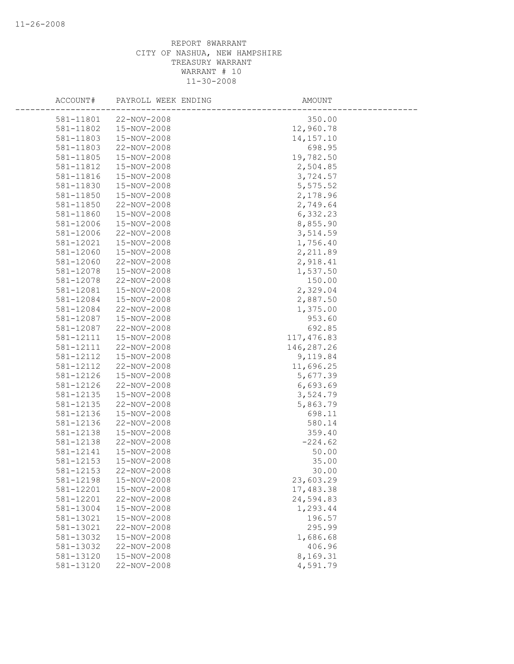| ACCOUNT#  | PAYROLL WEEK ENDING | AMOUNT      |  |
|-----------|---------------------|-------------|--|
| 581-11801 | 22-NOV-2008         | 350.00      |  |
| 581-11802 | 15-NOV-2008         | 12,960.78   |  |
| 581-11803 | 15-NOV-2008         | 14, 157. 10 |  |
| 581-11803 | 22-NOV-2008         | 698.95      |  |
| 581-11805 | 15-NOV-2008         | 19,782.50   |  |
| 581-11812 | 15-NOV-2008         | 2,504.85    |  |
| 581-11816 | 15-NOV-2008         | 3,724.57    |  |
| 581-11830 | 15-NOV-2008         | 5,575.52    |  |
| 581-11850 | 15-NOV-2008         | 2,178.96    |  |
| 581-11850 | 22-NOV-2008         | 2,749.64    |  |
| 581-11860 | 15-NOV-2008         | 6,332.23    |  |
| 581-12006 | 15-NOV-2008         | 8,855.90    |  |
| 581-12006 | 22-NOV-2008         | 3,514.59    |  |
| 581-12021 | 15-NOV-2008         | 1,756.40    |  |
| 581-12060 | 15-NOV-2008         | 2,211.89    |  |
| 581-12060 | 22-NOV-2008         | 2,918.41    |  |
| 581-12078 | 15-NOV-2008         | 1,537.50    |  |
| 581-12078 | 22-NOV-2008         | 150.00      |  |
| 581-12081 | 15-NOV-2008         | 2,329.04    |  |
| 581-12084 | 15-NOV-2008         | 2,887.50    |  |
| 581-12084 | 22-NOV-2008         | 1,375.00    |  |
| 581-12087 | 15-NOV-2008         | 953.60      |  |
| 581-12087 | 22-NOV-2008         | 692.85      |  |
| 581-12111 | 15-NOV-2008         | 117,476.83  |  |
| 581-12111 | 22-NOV-2008         | 146,287.26  |  |
| 581-12112 | 15-NOV-2008         | 9,119.84    |  |
| 581-12112 | 22-NOV-2008         | 11,696.25   |  |
| 581-12126 | 15-NOV-2008         | 5,677.39    |  |
| 581-12126 | 22-NOV-2008         | 6,693.69    |  |
| 581-12135 | 15-NOV-2008         | 3,524.79    |  |
| 581-12135 | 22-NOV-2008         | 5,863.79    |  |
| 581-12136 | 15-NOV-2008         | 698.11      |  |
| 581-12136 | 22-NOV-2008         | 580.14      |  |
| 581-12138 | 15-NOV-2008         | 359.40      |  |
| 581-12138 | 22-NOV-2008         | $-224.62$   |  |
| 581-12141 | 15-NOV-2008         | 50.00       |  |
| 581-12153 | 15-NOV-2008         | 35.00       |  |
| 581-12153 | 22-NOV-2008         | 30.00       |  |
| 581-12198 | 15-NOV-2008         | 23,603.29   |  |
| 581-12201 | 15-NOV-2008         | 17,483.38   |  |
| 581-12201 | 22-NOV-2008         | 24,594.83   |  |
| 581-13004 | 15-NOV-2008         | 1,293.44    |  |
| 581-13021 | 15-NOV-2008         | 196.57      |  |
| 581-13021 | 22-NOV-2008         | 295.99      |  |
| 581-13032 | 15-NOV-2008         | 1,686.68    |  |
| 581-13032 | 22-NOV-2008         | 406.96      |  |
| 581-13120 | 15-NOV-2008         | 8,169.31    |  |
| 581-13120 | 22-NOV-2008         | 4,591.79    |  |
|           |                     |             |  |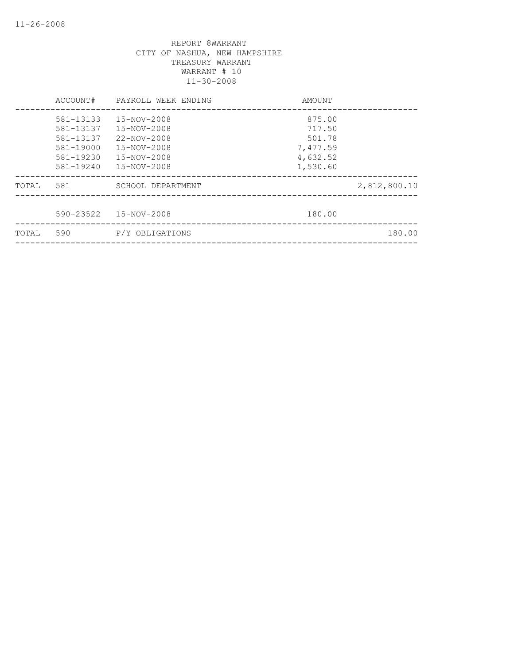|       | ACCOUNT#                                                      | PAYROLL WEEK ENDING                                                           | AMOUNT                                             |              |
|-------|---------------------------------------------------------------|-------------------------------------------------------------------------------|----------------------------------------------------|--------------|
|       | 581-13133<br>581-13137<br>581-13137<br>581-19000<br>581-19230 | 15-NOV-2008<br>15-NOV-2008<br>$22 - NOV - 2008$<br>15-NOV-2008<br>15-NOV-2008 | 875.00<br>717.50<br>501.78<br>7,477.59<br>4,632.52 |              |
|       | 581-19240                                                     | 15-NOV-2008                                                                   | 1,530.60                                           |              |
| TOTAL | 581                                                           | SCHOOL DEPARTMENT                                                             |                                                    | 2,812,800.10 |
|       | 590-23522                                                     | 15-NOV-2008                                                                   | 180.00                                             |              |
| TOTAL | 590                                                           | P/Y OBLIGATIONS                                                               |                                                    | 180.00       |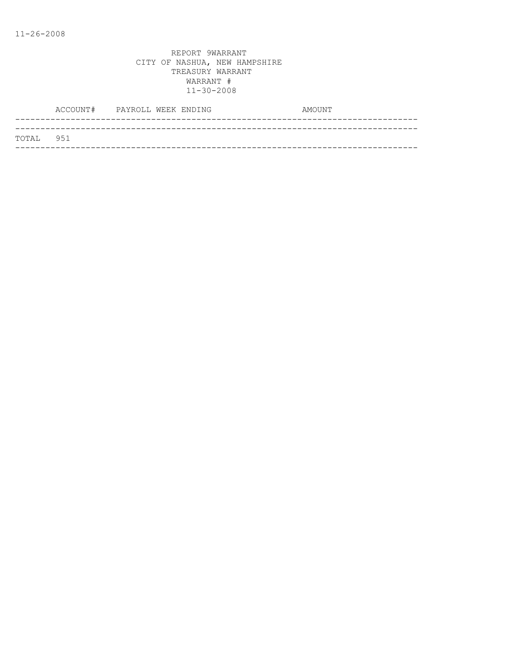| TOTAL 951 |  |
|-----------|--|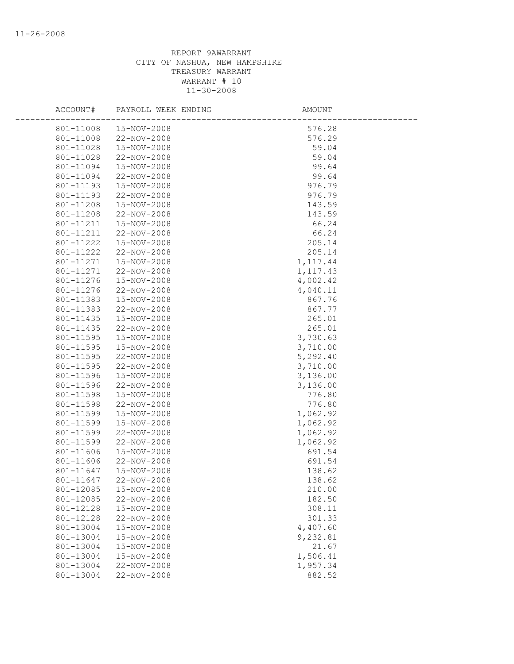| ACCOUNT#  | PAYROLL WEEK ENDING | AMOUNT    |  |
|-----------|---------------------|-----------|--|
| 801-11008 | 15-NOV-2008         | 576.28    |  |
| 801-11008 | 22-NOV-2008         | 576.29    |  |
| 801-11028 | 15-NOV-2008         | 59.04     |  |
| 801-11028 | 22-NOV-2008         | 59.04     |  |
| 801-11094 | 15-NOV-2008         | 99.64     |  |
| 801-11094 | 22-NOV-2008         | 99.64     |  |
| 801-11193 | 15-NOV-2008         | 976.79    |  |
| 801-11193 | 22-NOV-2008         | 976.79    |  |
| 801-11208 | 15-NOV-2008         | 143.59    |  |
| 801-11208 | 22-NOV-2008         | 143.59    |  |
| 801-11211 | 15-NOV-2008         | 66.24     |  |
| 801-11211 | 22-NOV-2008         | 66.24     |  |
| 801-11222 | 15-NOV-2008         | 205.14    |  |
| 801-11222 | 22-NOV-2008         | 205.14    |  |
| 801-11271 | 15-NOV-2008         | 1, 117.44 |  |
| 801-11271 | 22-NOV-2008         | 1, 117.43 |  |
| 801-11276 | 15-NOV-2008         | 4,002.42  |  |
| 801-11276 | 22-NOV-2008         | 4,040.11  |  |
| 801-11383 | 15-NOV-2008         | 867.76    |  |
| 801-11383 | 22-NOV-2008         | 867.77    |  |
| 801-11435 | 15-NOV-2008         | 265.01    |  |
| 801-11435 | 22-NOV-2008         | 265.01    |  |
| 801-11595 | 15-NOV-2008         | 3,730.63  |  |
| 801-11595 | 15-NOV-2008         | 3,710.00  |  |
| 801-11595 | 22-NOV-2008         | 5,292.40  |  |
| 801-11595 | 22-NOV-2008         | 3,710.00  |  |
| 801-11596 | 15-NOV-2008         | 3,136.00  |  |
| 801-11596 | 22-NOV-2008         | 3,136.00  |  |
| 801-11598 | 15-NOV-2008         | 776.80    |  |
| 801-11598 | 22-NOV-2008         | 776.80    |  |
| 801-11599 | 15-NOV-2008         | 1,062.92  |  |
| 801-11599 | 15-NOV-2008         | 1,062.92  |  |
| 801-11599 | 22-NOV-2008         | 1,062.92  |  |
| 801-11599 | 22-NOV-2008         | 1,062.92  |  |
| 801-11606 | 15-NOV-2008         | 691.54    |  |
| 801-11606 | 22-NOV-2008         | 691.54    |  |
| 801-11647 | 15-NOV-2008         | 138.62    |  |
| 801-11647 | 22-NOV-2008         | 138.62    |  |
| 801-12085 | 15-NOV-2008         | 210.00    |  |
| 801-12085 | 22-NOV-2008         | 182.50    |  |
| 801-12128 | 15-NOV-2008         | 308.11    |  |
| 801-12128 | 22-NOV-2008         | 301.33    |  |
| 801-13004 | 15-NOV-2008         | 4,407.60  |  |
| 801-13004 | 15-NOV-2008         | 9,232.81  |  |
| 801-13004 | 15-NOV-2008         | 21.67     |  |
| 801-13004 | 15-NOV-2008         | 1,506.41  |  |
| 801-13004 | 22-NOV-2008         | 1,957.34  |  |
| 801-13004 | 22-NOV-2008         | 882.52    |  |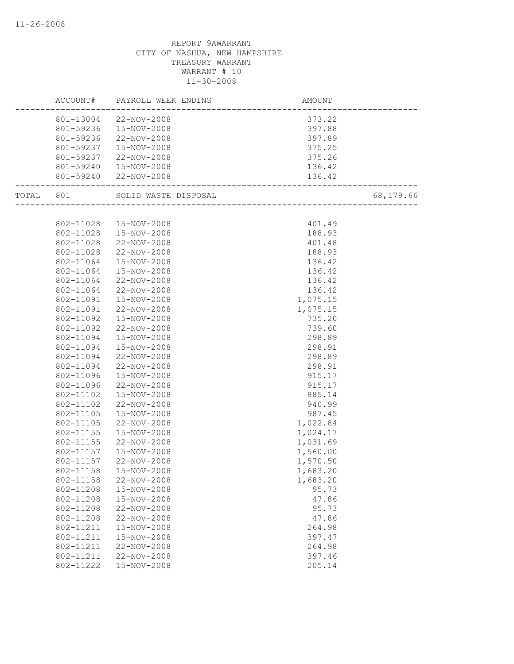|           | ACCOUNT#  | PAYROLL WEEK ENDING   | AMOUNT                   |           |
|-----------|-----------|-----------------------|--------------------------|-----------|
|           |           | 801-13004 22-NOV-2008 | 373.22                   |           |
|           | 801-59236 | 15-NOV-2008           | 397.88                   |           |
|           | 801-59236 | 22-NOV-2008           | 397.89                   |           |
|           | 801-59237 | 15-NOV-2008           | 375.25                   |           |
|           | 801-59237 | 22-NOV-2008           | 375.26                   |           |
|           | 801-59240 | 15-NOV-2008           | 136.42                   |           |
|           |           | 801-59240 22-NOV-2008 | 136.42                   |           |
| TOTAL 801 |           | SOLID WASTE DISPOSAL  | ------------------------ | 68,179.66 |
|           |           |                       |                          |           |
|           | 802-11028 | 15-NOV-2008           | 401.49                   |           |
|           | 802-11028 | 15-NOV-2008           | 188.93                   |           |
|           | 802-11028 | 22-NOV-2008           | 401.48                   |           |
|           | 802-11028 | 22-NOV-2008           | 188.93                   |           |
|           | 802-11064 | 15-NOV-2008           | 136.42                   |           |
|           | 802-11064 | 15-NOV-2008           | 136.42                   |           |
|           | 802-11064 | 22-NOV-2008           | 136.42                   |           |
|           | 802-11064 | 22-NOV-2008           | 136.42                   |           |
|           | 802-11091 | 15-NOV-2008           | 1,075.15                 |           |
|           | 802-11091 | 22-NOV-2008           | 1,075.15                 |           |
|           | 802-11092 | 15-NOV-2008           | 735.20                   |           |
|           | 802-11092 | 22-NOV-2008           | 739.60                   |           |
|           | 802-11094 | 15-NOV-2008           | 298.89                   |           |
|           | 802-11094 | 15-NOV-2008           | 298.91                   |           |
|           | 802-11094 | 22-NOV-2008           | 298.89                   |           |
|           | 802-11094 | 22-NOV-2008           | 298.91                   |           |
|           | 802-11096 | 15-NOV-2008           | 915.17                   |           |
|           | 802-11096 | 22-NOV-2008           | 915.17                   |           |
|           | 802-11102 | 15-NOV-2008           | 885.14                   |           |
|           | 802-11102 | 22-NOV-2008           | 940.99                   |           |
|           | 802-11105 | 15-NOV-2008           | 987.45                   |           |
|           | 802-11105 | 22-NOV-2008           | 1,022.84                 |           |
|           | 802-11155 | 15-NOV-2008           | 1,024.17                 |           |
|           | 802-11155 | 22-NOV-2008           | 1,031.69                 |           |
|           | 802-11157 | 15-NOV-2008           | 1,560.00                 |           |
|           | 802-11157 | 22-NOV-2008           | 1,570.50                 |           |
|           | 802-11158 | 15-NOV-2008           | 1,683.20                 |           |
|           | 802-11158 | 22-NOV-2008           | 1,683.20                 |           |
|           | 802-11208 | 15-NOV-2008           | 95.73                    |           |
|           | 802-11208 | 15-NOV-2008           | 47.86                    |           |
|           | 802-11208 | 22-NOV-2008           | 95.73                    |           |
|           | 802-11208 | 22-NOV-2008           | 47.86                    |           |
|           | 802-11211 | 15-NOV-2008           | 264.98                   |           |
|           | 802-11211 | 15-NOV-2008           | 397.47                   |           |
|           | 802-11211 | 22-NOV-2008           | 264.98                   |           |
|           | 802-11211 | 22-NOV-2008           | 397.46                   |           |
|           | 802-11222 | 15-NOV-2008           | 205.14                   |           |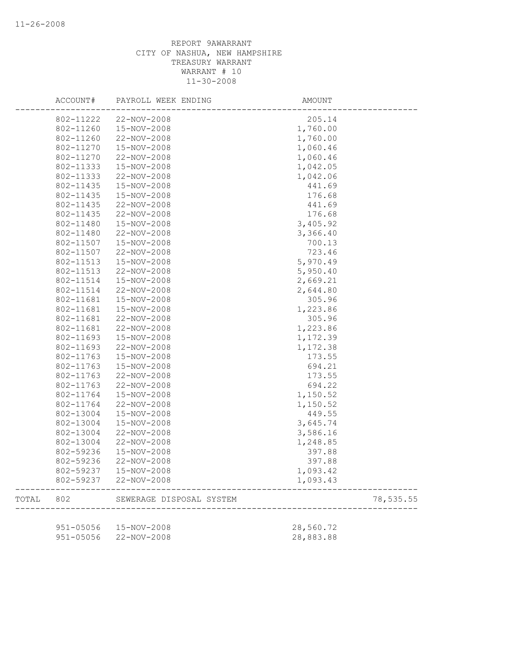|       | ACCOUNT#      | PAYROLL WEEK ENDING      | AMOUNT    |           |
|-------|---------------|--------------------------|-----------|-----------|
|       | 802-11222     | 22-NOV-2008              | 205.14    |           |
|       | 802-11260     | 15-NOV-2008              | 1,760.00  |           |
|       | 802-11260     | 22-NOV-2008              | 1,760.00  |           |
|       | 802-11270     | 15-NOV-2008              | 1,060.46  |           |
|       | 802-11270     | 22-NOV-2008              | 1,060.46  |           |
|       | 802-11333     | 15-NOV-2008              | 1,042.05  |           |
|       | 802-11333     | 22-NOV-2008              | 1,042.06  |           |
|       | 802-11435     | 15-NOV-2008              | 441.69    |           |
|       | 802-11435     | 15-NOV-2008              | 176.68    |           |
|       | 802-11435     | 22-NOV-2008              | 441.69    |           |
|       | 802-11435     | 22-NOV-2008              | 176.68    |           |
|       | 802-11480     | 15-NOV-2008              | 3,405.92  |           |
|       | 802-11480     | 22-NOV-2008              | 3,366.40  |           |
|       | 802-11507     | 15-NOV-2008              | 700.13    |           |
|       | 802-11507     | 22-NOV-2008              | 723.46    |           |
|       | 802-11513     | 15-NOV-2008              | 5,970.49  |           |
|       | 802-11513     | 22-NOV-2008              | 5,950.40  |           |
|       | 802-11514     | 15-NOV-2008              | 2,669.21  |           |
|       | 802-11514     | 22-NOV-2008              | 2,644.80  |           |
|       | 802-11681     | 15-NOV-2008              | 305.96    |           |
|       | 802-11681     | 15-NOV-2008              | 1,223.86  |           |
|       | 802-11681     | 22-NOV-2008              | 305.96    |           |
|       | 802-11681     | 22-NOV-2008              | 1,223.86  |           |
|       | 802-11693     | 15-NOV-2008              | 1,172.39  |           |
|       | 802-11693     | 22-NOV-2008              | 1,172.38  |           |
|       | 802-11763     | 15-NOV-2008              | 173.55    |           |
|       | 802-11763     | 15-NOV-2008              | 694.21    |           |
|       | 802-11763     | 22-NOV-2008              | 173.55    |           |
|       | 802-11763     | 22-NOV-2008              | 694.22    |           |
|       | 802-11764     | 15-NOV-2008              | 1,150.52  |           |
|       | 802-11764     | 22-NOV-2008              | 1,150.52  |           |
|       | 802-13004     | 15-NOV-2008              | 449.55    |           |
|       | 802-13004     | 15-NOV-2008              | 3,645.74  |           |
|       | 802-13004     | 22-NOV-2008              | 3,586.16  |           |
|       | 802-13004     | 22-NOV-2008              | 1,248.85  |           |
|       | 802-59236     | 15-NOV-2008              | 397.88    |           |
|       | 802-59236     | 22-NOV-2008              | 397.88    |           |
|       | 802-59237     | 15-NOV-2008              | 1,093.42  |           |
|       | 802-59237     | 22-NOV-2008              | 1,093.43  |           |
| TOTAL | 802           | SEWERAGE DISPOSAL SYSTEM |           | 78,535.55 |
|       |               |                          |           |           |
|       | 951-05056     | 15-NOV-2008              | 28,560.72 |           |
|       | $951 - 05056$ | 22-NOV-2008              | 28,883.88 |           |